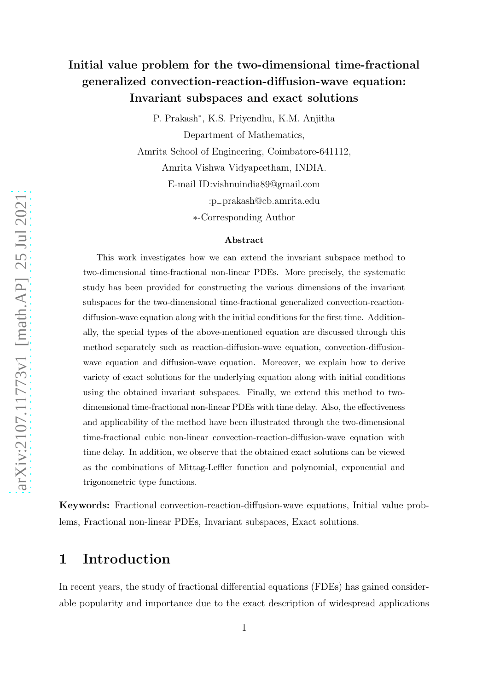#### Initial value problem for the two-dimensional time-fractional generalized convection-reaction-diffusion-wave equation: Invariant subspaces and exact solutions

P. Prakash<sup>∗</sup> , K.S. Priyendhu, K.M. Anjitha Department of Mathematics,

Amrita School of Engineering, Coimbatore-641112,

Amrita Vishwa Vidyapeetham, INDIA.

E-mail ID:vishnuindia89@gmail.com

:p−prakash@cb.amrita.edu

∗-Corresponding Author

#### Abstract

This work investigates how we can extend the invariant subspace method to two-dimensional time-fractional non-linear PDEs. More precisely, the systematic study has been provided for constructing the various dimensions of the invariant subspaces for the two-dimensional time-fractional generalized convection-reactiondiffusion-wave equation along with the initial conditions for the first time. Additionally, the special types of the above-mentioned equation are discussed through this method separately such as reaction-diffusion-wave equation, convection-diffusionwave equation and diffusion-wave equation. Moreover, we explain how to derive variety of exact solutions for the underlying equation along with initial conditions using the obtained invariant subspaces. Finally, we extend this method to twodimensional time-fractional non-linear PDEs with time delay. Also, the effectiveness and applicability of the method have been illustrated through the two-dimensional time-fractional cubic non-linear convection-reaction-diffusion-wave equation with time delay. In addition, we observe that the obtained exact solutions can be viewed as the combinations of Mittag-Leffler function and polynomial, exponential and trigonometric type functions.

Keywords: Fractional convection-reaction-diffusion-wave equations, Initial value problems, Fractional non-linear PDEs, Invariant subspaces, Exact solutions.

#### 1 Introduction

In recent years, the study of fractional differential equations (FDEs) has gained considerable popularity and importance due to the exact description of widespread applications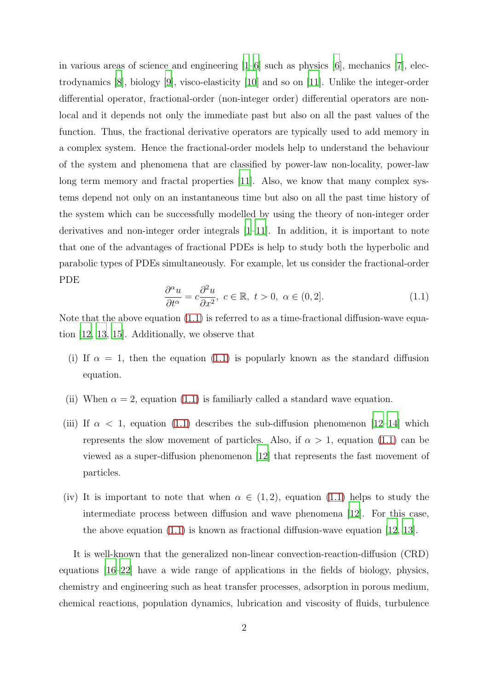in various areas of science and engineering  $[1-6]$  such as physics  $[6]$ , mechanics  $[7]$ , electrodynamics [\[8](#page-56-2)], biology [\[9\]](#page-56-3), visco-elasticity [\[10\]](#page-56-4) and so on [\[11\]](#page-56-5). Unlike the integer-order differential operator, fractional-order (non-integer order) differential operators are nonlocal and it depends not only the immediate past but also on all the past values of the function. Thus, the fractional derivative operators are typically used to add memory in a complex system. Hence the fractional-order models help to understand the behaviour of the system and phenomena that are classified by power-law non-locality, power-law long term memory and fractal properties [\[11\]](#page-56-5). Also, we know that many complex systems depend not only on an instantaneous time but also on all the past time history of the system which can be successfully modelled by using the theory of non-integer order derivatives and non-integer order integrals [\[1](#page-55-0)[–11\]](#page-56-5). In addition, it is important to note that one of the advantages of fractional PDEs is help to study both the hyperbolic and parabolic types of PDEs simultaneously. For example, let us consider the fractional-order PDE

<span id="page-1-0"></span>
$$
\frac{\partial^{\alpha} u}{\partial t^{\alpha}} = c \frac{\partial^2 u}{\partial x^2}, \ c \in \mathbb{R}, \ t > 0, \ \alpha \in (0, 2]. \tag{1.1}
$$

Note that the above equation [\(1.1\)](#page-1-0) is referred to as a time-fractional diffusion-wave equation [\[12,](#page-56-6) [13,](#page-56-7) [15\]](#page-57-0). Additionally, we observe that

- (i) If  $\alpha = 1$ , then the equation [\(1.1\)](#page-1-0) is popularly known as the standard diffusion equation.
- (ii) When  $\alpha = 2$ , equation [\(1.1\)](#page-1-0) is familiarly called a standard wave equation.
- (iii) If  $\alpha$  < 1, equation [\(1.1\)](#page-1-0) describes the sub-diffusion phenomenon [\[12](#page-56-6)[–14\]](#page-56-8) which represents the slow movement of particles. Also, if  $\alpha > 1$ , equation [\(1.1\)](#page-1-0) can be viewed as a super-diffusion phenomenon [\[12\]](#page-56-6) that represents the fast movement of particles.
- (iv) It is important to note that when  $\alpha \in (1,2)$ , equation [\(1.1\)](#page-1-0) helps to study the intermediate process between diffusion and wave phenomena [\[12](#page-56-6)]. For this case, the above equation  $(1.1)$  is known as fractional diffusion-wave equation  $[12, 13]$  $[12, 13]$  $[12, 13]$ .

It is well-known that the generalized non-linear convection-reaction-diffusion (CRD) equations [\[16](#page-57-1)[–22\]](#page-57-2) have a wide range of applications in the fields of biology, physics, chemistry and engineering such as heat transfer processes, adsorption in porous medium, chemical reactions, population dynamics, lubrication and viscosity of fluids, turbulence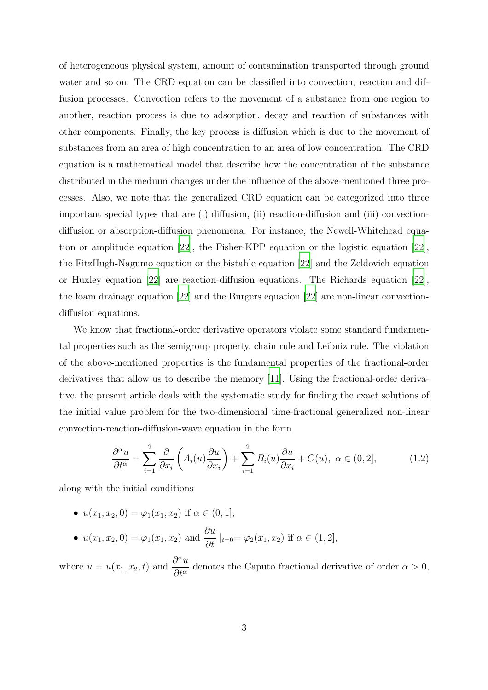of heterogeneous physical system, amount of contamination transported through ground water and so on. The CRD equation can be classified into convection, reaction and diffusion processes. Convection refers to the movement of a substance from one region to another, reaction process is due to adsorption, decay and reaction of substances with other components. Finally, the key process is diffusion which is due to the movement of substances from an area of high concentration to an area of low concentration. The CRD equation is a mathematical model that describe how the concentration of the substance distributed in the medium changes under the influence of the above-mentioned three processes. Also, we note that the generalized CRD equation can be categorized into three important special types that are (i) diffusion, (ii) reaction-diffusion and (iii) convectiondiffusion or absorption-diffusion phenomena. For instance, the Newell-Whitehead equation or amplitude equation [\[22](#page-57-2)], the Fisher-KPP equation or the logistic equation [\[22\]](#page-57-2), the FitzHugh-Nagumo equation or the bistable equation [\[22\]](#page-57-2) and the Zeldovich equation or Huxley equation [\[22](#page-57-2)] are reaction-diffusion equations. The Richards equation [\[22\]](#page-57-2), the foam drainage equation [\[22](#page-57-2)] and the Burgers equation [\[22\]](#page-57-2) are non-linear convectiondiffusion equations.

We know that fractional-order derivative operators violate some standard fundamental properties such as the semigroup property, chain rule and Leibniz rule. The violation of the above-mentioned properties is the fundamental properties of the fractional-order derivatives that allow us to describe the memory [\[11\]](#page-56-5). Using the fractional-order derivative, the present article deals with the systematic study for finding the exact solutions of the initial value problem for the two-dimensional time-fractional generalized non-linear convection-reaction-diffusion-wave equation in the form

<span id="page-2-0"></span>
$$
\frac{\partial^{\alpha} u}{\partial t^{\alpha}} = \sum_{i=1}^{2} \frac{\partial}{\partial x_{i}} \left( A_{i}(u) \frac{\partial u}{\partial x_{i}} \right) + \sum_{i=1}^{2} B_{i}(u) \frac{\partial u}{\partial x_{i}} + C(u), \ \alpha \in (0, 2], \tag{1.2}
$$

along with the initial conditions

- $u(x_1, x_2, 0) = \varphi_1(x_1, x_2)$  if  $\alpha \in (0, 1]$ ,
- $u(x_1, x_2, 0) = \varphi_1(x_1, x_2)$  and  $\frac{\partial u}{\partial t} |_{t=0} = \varphi_2(x_1, x_2)$  if  $\alpha \in (1, 2],$

where  $u = u(x_1, x_2, t)$  and  $\frac{\partial^{\alpha} u}{\partial x_2}$  $\frac{\partial^{\alpha}}{\partial t^{\alpha}}$  denotes the Caputo fractional derivative of order  $\alpha > 0$ ,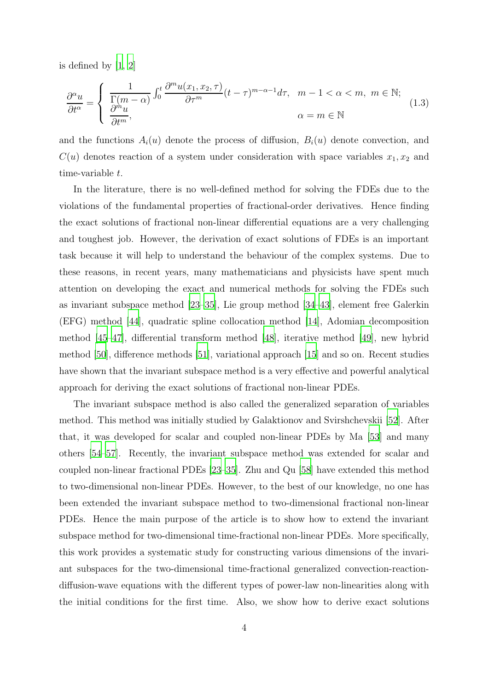is defined by [\[1,](#page-55-0) [2](#page-55-1)]

<span id="page-3-0"></span>
$$
\frac{\partial^{\alpha} u}{\partial t^{\alpha}} = \begin{cases} \frac{1}{\Gamma(m-\alpha)} \int_0^t \frac{\partial^m u(x_1, x_2, \tau)}{\partial \tau^m} (t-\tau)^{m-\alpha-1} d\tau, & m-1 < \alpha < m, \ m \in \mathbb{N};\\ \frac{\partial^m u}{\partial t^m}, & \alpha = m \in \mathbb{N} \end{cases}
$$
(1.3)

and the functions  $A_i(u)$  denote the process of diffusion,  $B_i(u)$  denote convection, and  $C(u)$  denotes reaction of a system under consideration with space variables  $x_1, x_2$  and time-variable t.

In the literature, there is no well-defined method for solving the FDEs due to the violations of the fundamental properties of fractional-order derivatives. Hence finding the exact solutions of fractional non-linear differential equations are a very challenging and toughest job. However, the derivation of exact solutions of FDEs is an important task because it will help to understand the behaviour of the complex systems. Due to these reasons, in recent years, many mathematicians and physicists have spent much attention on developing the exact and numerical methods for solving the FDEs such as invariant subspace method [\[23](#page-57-3)[–35](#page-58-0)], Lie group method [\[34](#page-58-1)[–43\]](#page-59-0), element free Galerkin (EFG) method [\[44](#page-59-1)], quadratic spline collocation method [\[14\]](#page-56-8), Adomian decomposition method [\[45](#page-59-2)[–47\]](#page-60-0), differential transform method [\[48](#page-60-1)], iterative method [\[49\]](#page-60-2), new hybrid method [\[50](#page-60-3)], difference methods [\[51\]](#page-60-4), variational approach [\[15\]](#page-57-0) and so on. Recent studies have shown that the invariant subspace method is a very effective and powerful analytical approach for deriving the exact solutions of fractional non-linear PDEs.

The invariant subspace method is also called the generalized separation of variables method. This method was initially studied by Galaktionov and Svirshchevskii [\[52](#page-60-5)]. After that, it was developed for scalar and coupled non-linear PDEs by Ma [\[53\]](#page-60-6) and many others [\[54](#page-60-7)[–57](#page-61-0)]. Recently, the invariant subspace method was extended for scalar and coupled non-linear fractional PDEs [\[23](#page-57-3)[–35](#page-58-0)]. Zhu and Qu [\[58\]](#page-61-1) have extended this method to two-dimensional non-linear PDEs. However, to the best of our knowledge, no one has been extended the invariant subspace method to two-dimensional fractional non-linear PDEs. Hence the main purpose of the article is to show how to extend the invariant subspace method for two-dimensional time-fractional non-linear PDEs. More specifically, this work provides a systematic study for constructing various dimensions of the invariant subspaces for the two-dimensional time-fractional generalized convection-reactiondiffusion-wave equations with the different types of power-law non-linearities along with the initial conditions for the first time. Also, we show how to derive exact solutions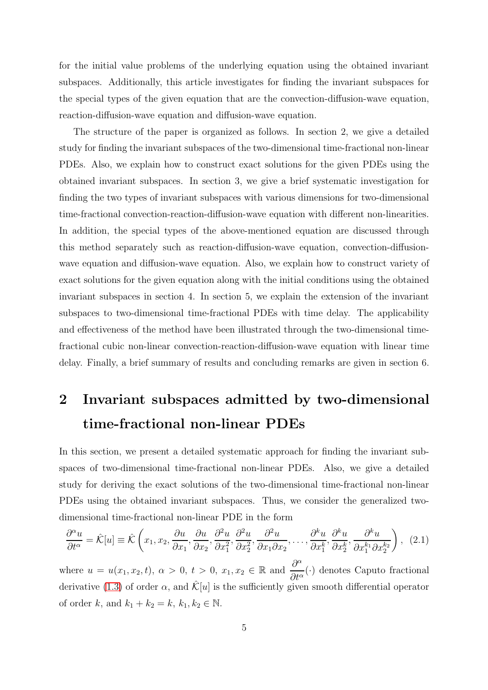for the initial value problems of the underlying equation using the obtained invariant subspaces. Additionally, this article investigates for finding the invariant subspaces for the special types of the given equation that are the convection-diffusion-wave equation, reaction-diffusion-wave equation and diffusion-wave equation.

The structure of the paper is organized as follows. In section 2, we give a detailed study for finding the invariant subspaces of the two-dimensional time-fractional non-linear PDEs. Also, we explain how to construct exact solutions for the given PDEs using the obtained invariant subspaces. In section 3, we give a brief systematic investigation for finding the two types of invariant subspaces with various dimensions for two-dimensional time-fractional convection-reaction-diffusion-wave equation with different non-linearities. In addition, the special types of the above-mentioned equation are discussed through this method separately such as reaction-diffusion-wave equation, convection-diffusionwave equation and diffusion-wave equation. Also, we explain how to construct variety of exact solutions for the given equation along with the initial conditions using the obtained invariant subspaces in section 4. In section 5, we explain the extension of the invariant subspaces to two-dimensional time-fractional PDEs with time delay. The applicability and effectiveness of the method have been illustrated through the two-dimensional timefractional cubic non-linear convection-reaction-diffusion-wave equation with linear time delay. Finally, a brief summary of results and concluding remarks are given in section 6.

# 2 Invariant subspaces admitted by two-dimensional time-fractional non-linear PDEs

In this section, we present a detailed systematic approach for finding the invariant subspaces of two-dimensional time-fractional non-linear PDEs. Also, we give a detailed study for deriving the exact solutions of the two-dimensional time-fractional non-linear PDEs using the obtained invariant subspaces. Thus, we consider the generalized twodimensional time-fractional non-linear PDE in the form

<span id="page-4-0"></span>
$$
\frac{\partial^{\alpha} u}{\partial t^{\alpha}} = \hat{\mathcal{K}}[u] \equiv \hat{\mathcal{K}}\left(x_1, x_2, \frac{\partial u}{\partial x_1}, \frac{\partial u}{\partial x_2}, \frac{\partial^2 u}{\partial x_1^2}, \frac{\partial^2 u}{\partial x_2^2}, \frac{\partial^2 u}{\partial x_1 \partial x_2}, \dots, \frac{\partial^k u}{\partial x_1^k}, \frac{\partial^k u}{\partial x_2^k}, \frac{\partial^k u}{\partial x_1^{k_1} \partial x_2^{k_2}}\right), (2.1)
$$

where  $u = u(x_1, x_2, t)$ ,  $\alpha > 0$ ,  $t > 0$ ,  $x_1, x_2 \in \mathbb{R}$  and  $\frac{\partial^{\alpha}}{\partial t^{\alpha}}$  $\frac{\partial}{\partial t^{\alpha}}(\cdot)$  denotes Caputo fractional derivative [\(1.3\)](#page-3-0) of order  $\alpha$ , and  $\mathcal{K}[u]$  is the sufficiently given smooth differential operator of order  $k$ , and  $k_1 + k_2 = k$ ,  $k_1, k_2 \in \mathbb{N}$ .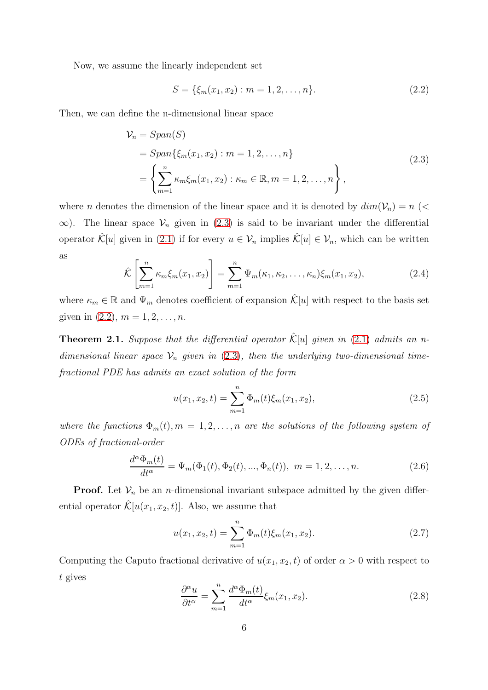Now, we assume the linearly independent set

<span id="page-5-1"></span>
$$
S = \{\xi_m(x_1, x_2) : m = 1, 2, \dots, n\}.
$$
\n(2.2)

Then, we can define the n-dimensional linear space

<span id="page-5-0"></span>
$$
\mathcal{V}_n = Span(S)
$$
  
=  $Span\{\xi_m(x_1, x_2) : m = 1, 2, ..., n\}$   
=  $\left\{\sum_{m=1}^n \kappa_m \xi_m(x_1, x_2) : \kappa_m \in \mathbb{R}, m = 1, 2, ..., n\right\},$  (2.3)

where *n* denotes the dimension of the linear space and it is denoted by  $dim(V_n) = n$  (<  $\infty$ ). The linear space  $\mathcal{V}_n$  given in [\(2.3\)](#page-5-0) is said to be invariant under the differential operator  $\hat{\mathcal{K}}[u]$  given in [\(2.1\)](#page-4-0) if for every  $u \in \mathcal{V}_n$  implies  $\hat{\mathcal{K}}[u] \in \mathcal{V}_n$ , which can be written as

<span id="page-5-4"></span>
$$
\hat{\mathcal{K}}\left[\sum_{m=1}^{n} \kappa_m \xi_m(x_1, x_2)\right] = \sum_{m=1}^{n} \Psi_m(\kappa_1, \kappa_2, \dots, \kappa_n) \xi_m(x_1, x_2),\tag{2.4}
$$

where  $\kappa_m \in \mathbb{R}$  and  $\Psi_m$  denotes coefficient of expansion  $\mathcal{K}[u]$  with respect to the basis set given in  $(2.2), m = 1, 2, ..., n$ .

**Theorem 2.1.** Suppose that the differential operator  $\hat{\mathcal{K}}[u]$  given in [\(2.1\)](#page-4-0) admits an ndimensional linear space  $\mathcal{V}_n$  given in [\(2.3\)](#page-5-0), then the underlying two-dimensional timefractional PDE has admits an exact solution of the form

$$
u(x_1, x_2, t) = \sum_{m=1}^{n} \Phi_m(t) \xi_m(x_1, x_2), \qquad (2.5)
$$

where the functions  $\Phi_m(t)$ ,  $m = 1, 2, \ldots, n$  are the solutions of the following system of ODEs of fractional-order

<span id="page-5-3"></span>
$$
\frac{d^{\alpha}\Phi_m(t)}{dt^{\alpha}} = \Psi_m(\Phi_1(t), \Phi_2(t), ..., \Phi_n(t)), \ m = 1, 2, ..., n.
$$
 (2.6)

**Proof.** Let  $V_n$  be an *n*-dimensional invariant subspace admitted by the given differential operator  $\hat{\mathcal{K}}[u(x_1, x_2, t)]$ . Also, we assume that

$$
u(x_1, x_2, t) = \sum_{m=1}^{n} \Phi_m(t) \xi_m(x_1, x_2).
$$
 (2.7)

Computing the Caputo fractional derivative of  $u(x_1, x_2, t)$  of order  $\alpha > 0$  with respect to t gives

<span id="page-5-2"></span>
$$
\frac{\partial^{\alpha} u}{\partial t^{\alpha}} = \sum_{m=1}^{n} \frac{d^{\alpha} \Phi_m(t)}{dt^{\alpha}} \xi_m(x_1, x_2).
$$
 (2.8)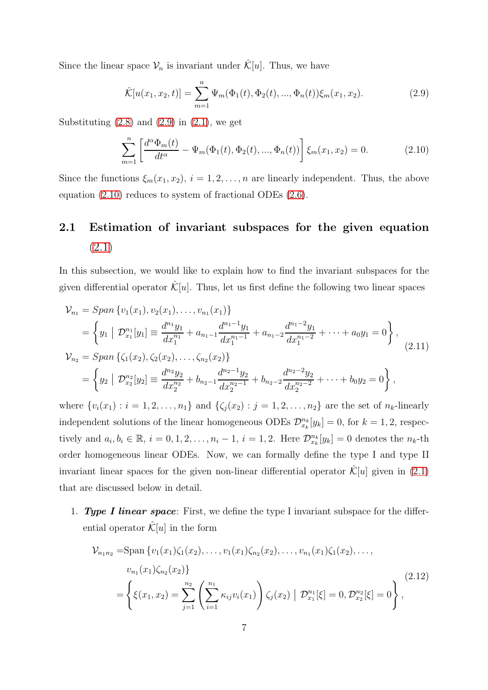Since the linear space  $\mathcal{V}_n$  is invariant under  $\hat{\mathcal{K}}[u]$ . Thus, we have

<span id="page-6-0"></span>
$$
\hat{\mathcal{K}}[u(x_1, x_2, t)] = \sum_{m=1}^{n} \Psi_m(\Phi_1(t), \Phi_2(t), ..., \Phi_n(t)) \xi_m(x_1, x_2).
$$
 (2.9)

Substituting  $(2.8)$  and  $(2.9)$  in  $(2.1)$ , we get

<span id="page-6-1"></span>
$$
\sum_{m=1}^{n} \left[ \frac{d^{\alpha} \Phi_m(t)}{dt^{\alpha}} - \Psi_m(\Phi_1(t), \Phi_2(t), ..., \Phi_n(t)) \right] \xi_m(x_1, x_2) = 0.
$$
 (2.10)

Since the functions  $\xi_m(x_1, x_2)$ ,  $i = 1, 2, ..., n$  are linearly independent. Thus, the above equation [\(2.10\)](#page-6-1) reduces to system of fractional ODEs [\(2.6\)](#page-5-3).

### 2.1 Estimation of invariant subspaces for the given equation [\(2.1\)](#page-4-0)

In this subsection, we would like to explain how to find the invariant subspaces for the given differential operator  $\mathcal{K}[u]$ . Thus, let us first define the following two linear spaces

$$
\mathcal{V}_{n_1} = Span\{v_1(x_1), v_2(x_1), \dots, v_{n_1}(x_1)\}\
$$
  
\n
$$
= \left\{ y_1 \mid \mathcal{D}_{x_1}^{n_1}[y_1] \equiv \frac{d^{n_1}y_1}{dx_1^{n_1}} + a_{n_1-1}\frac{d^{n_1-1}y_1}{dx_1^{n_1-1}} + a_{n_1-2}\frac{d^{n_1-2}y_1}{dx_1^{n_1-2}} + \dots + a_0y_1 = 0 \right\},\
$$
  
\n
$$
\mathcal{V}_{n_2} = Span\left\{ \zeta_1(x_2), \zeta_2(x_2), \dots, \zeta_{n_2}(x_2) \right\}
$$
  
\n
$$
= \left\{ y_2 \mid \mathcal{D}_{x_2}^{n_2}[y_2] \equiv \frac{d^{n_2}y_2}{dx_2^{n_2}} + b_{n_2-1}\frac{d^{n_2-1}y_2}{dx_2^{n_2-1}} + b_{n_2-2}\frac{d^{n_2-2}y_2}{dx_2^{n_2-2}} + \dots + b_0y_2 = 0 \right\},\
$$
  
\n(2.11)

where  $\{v_i(x_1) : i = 1, 2, ..., n_1\}$  and  $\{\zeta_j(x_2) : j = 1, 2, ..., n_2\}$  are the set of  $n_k$ -linearly independent solutions of the linear homogeneous ODEs  $\mathcal{D}_{x_k}^{n_k}[y_k] = 0$ , for  $k = 1, 2$ , respectively and  $a_i, b_i \in \mathbb{R}$ ,  $i = 0, 1, 2, \ldots, n_i - 1$ ,  $i = 1, 2$ . Here  $\mathcal{D}_{x_k}^{n_k}[y_k] = 0$  denotes the  $n_k$ -th order homogeneous linear ODEs. Now, we can formally define the type I and type II invariant linear spaces for the given non-linear differential operator  $\mathcal{K}[u]$  given in [\(2.1\)](#page-4-0) that are discussed below in detail.

1. Type I linear space: First, we define the type I invariant subspace for the differential operator  $\mathcal{K}[u]$  in the form

<span id="page-6-2"></span>
$$
\mathcal{V}_{n_1 n_2} = \text{Span}\left\{v_1(x_1)\zeta_1(x_2), \dots, v_1(x_1)\zeta_{n_2}(x_2), \dots, v_{n_1}(x_1)\zeta_1(x_2), \dots, v_{n_1}(x_1)\zeta_{n_2}(x_2)\right\}
$$
\n
$$
= \left\{\xi(x_1, x_2) = \sum_{j=1}^{n_2} \left(\sum_{i=1}^{n_1} \kappa_{ij} v_i(x_1)\right) \zeta_j(x_2) \mid \mathcal{D}_{x_1}^{n_1}[\xi] = 0, \mathcal{D}_{x_2}^{n_2}[\xi] = 0\right\},\tag{2.12}
$$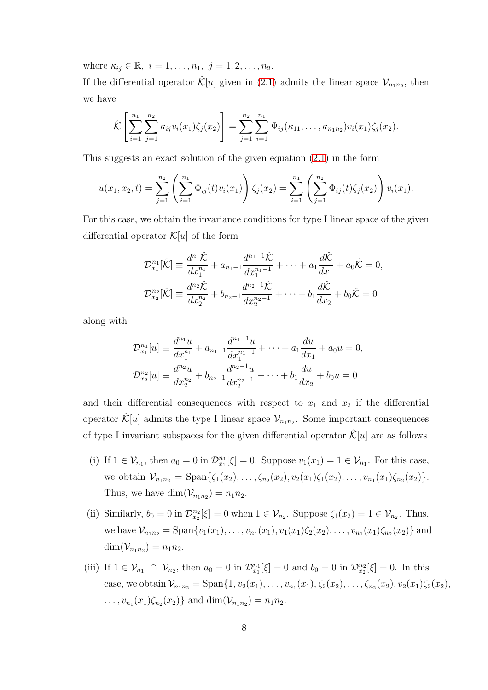where  $\kappa_{ij} \in \mathbb{R}, i = 1, \ldots, n_1, j = 1, 2, \ldots, n_2$ .

If the differential operator  $\hat{\mathcal{K}}[u]$  given in [\(2.1\)](#page-4-0) admits the linear space  $\mathcal{V}_{n_1 n_2}$ , then we have

$$
\hat{\mathcal{K}}\left[\sum_{i=1}^{n_1}\sum_{j=1}^{n_2}\kappa_{ij}v_i(x_1)\zeta_j(x_2)\right]=\sum_{j=1}^{n_2}\sum_{i=1}^{n_1}\Psi_{ij}(\kappa_{11},\ldots,\kappa_{n_1n_2})v_i(x_1)\zeta_j(x_2).
$$

This suggests an exact solution of the given equation [\(2.1\)](#page-4-0) in the form

$$
u(x_1, x_2, t) = \sum_{j=1}^{n_2} \left( \sum_{i=1}^{n_1} \Phi_{ij}(t) v_i(x_1) \right) \zeta_j(x_2) = \sum_{i=1}^{n_1} \left( \sum_{j=1}^{n_2} \Phi_{ij}(t) \zeta_j(x_2) \right) v_i(x_1).
$$

For this case, we obtain the invariance conditions for type I linear space of the given differential operator  $\mathcal{K}[u]$  of the form

$$
\mathcal{D}_{x_1}^{n_1}[\hat{\mathcal{K}}] \equiv \frac{d^{n_1}\hat{\mathcal{K}}}{dx_1^{n_1}} + a_{n_1-1}\frac{d^{n_1-1}\hat{\mathcal{K}}}{dx_1^{n_1-1}} + \cdots + a_1\frac{d\hat{\mathcal{K}}}{dx_1} + a_0\hat{\mathcal{K}} = 0,
$$
  

$$
\mathcal{D}_{x_2}^{n_2}[\hat{\mathcal{K}}] \equiv \frac{d^{n_2}\hat{\mathcal{K}}}{dx_2^{n_2}} + b_{n_2-1}\frac{d^{n_2-1}\hat{\mathcal{K}}}{dx_2^{n_2-1}} + \cdots + b_1\frac{d\hat{\mathcal{K}}}{dx_2} + b_0\hat{\mathcal{K}} = 0
$$

along with

$$
\mathcal{D}_{x_1}^{n_1}[u] \equiv \frac{d^{n_1}u}{dx_1^{n_1}} + a_{n_1-1}\frac{d^{n_1-1}u}{dx_1^{n_1-1}} + \dots + a_1\frac{du}{dx_1} + a_0u = 0,
$$
  

$$
\mathcal{D}_{x_2}^{n_2}[u] \equiv \frac{d^{n_2}u}{dx_2^{n_2}} + b_{n_2-1}\frac{d^{n_2-1}u}{dx_2^{n_2-1}} + \dots + b_1\frac{du}{dx_2} + b_0u = 0
$$

and their differential consequences with respect to  $x_1$  and  $x_2$  if the differential operator  $\hat{\mathcal{K}}[u]$  admits the type I linear space  $\mathcal{V}_{n_1 n_2}$ . Some important consequences of type I invariant subspaces for the given differential operator  $\mathcal{K}[u]$  are as follows

- (i) If  $1 \in V_{n_1}$ , then  $a_0 = 0$  in  $\mathcal{D}_{x_1}^{n_1}[\xi] = 0$ . Suppose  $v_1(x_1) = 1 \in V_{n_1}$ . For this case, we obtain  $\mathcal{V}_{n_1 n_2} = \text{Span}\{\zeta_1(x_2), \ldots, \zeta_{n_2}(x_2), v_2(x_1)\zeta_1(x_2), \ldots, v_{n_1}(x_1)\zeta_{n_2}(x_2)\}.$ Thus, we have  $\dim(\mathcal{V}_{n_1n_2}) = n_1n_2$ .
- (ii) Similarly,  $b_0 = 0$  in  $\mathcal{D}_{x_2}^{n_2}[\xi] = 0$  when  $1 \in \mathcal{V}_{n_2}$ . Suppose  $\zeta_1(x_2) = 1 \in \mathcal{V}_{n_2}$ . Thus, we have  $\mathcal{V}_{n_1n_2} = \text{Span}\{v_1(x_1), \ldots, v_{n_1}(x_1), v_1(x_1)\zeta_2(x_2), \ldots, v_{n_1}(x_1)\zeta_{n_2}(x_2)\}\$ and  $\dim(\mathcal{V}_{n_1n_2}) = n_1n_2.$
- (iii) If  $1 \in V_{n_1} \cap V_{n_2}$ , then  $a_0 = 0$  in  $\mathcal{D}_{x_1}^{n_1}[\xi] = 0$  and  $b_0 = 0$  in  $\mathcal{D}_{x_2}^{n_2}[\xi] = 0$ . In this case, we obtain  $\mathcal{V}_{n_1 n_2} = \text{Span}\{1, v_2(x_1), \ldots, v_{n_1}(x_1), \zeta_2(x_2), \ldots, \zeta_{n_2}(x_2), v_2(x_1)\zeta_2(x_2),$  $\ldots, v_{n_1}(x_1)\zeta_{n_2}(x_2)$  and  $\dim(\mathcal{V}_{n_1n_2}) = n_1n_2$ .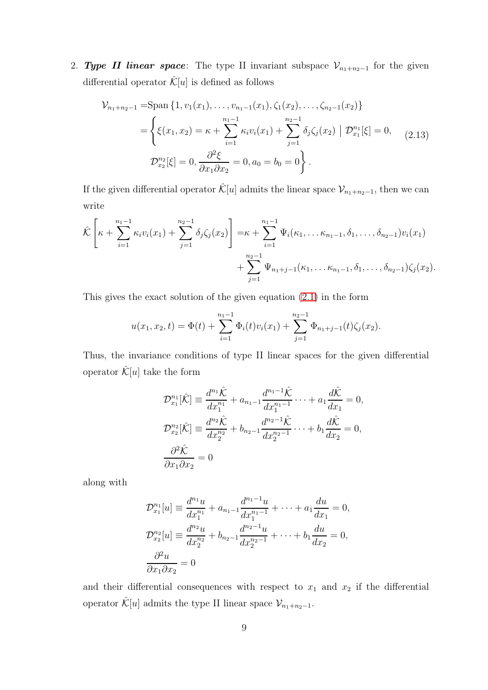2. Type II linear space: The type II invariant subspace  $\mathcal{V}_{n_1+n_2-1}$  for the given differential operator  $\mathcal{K}[u]$  is defined as follows

<span id="page-8-0"></span>
$$
\mathcal{V}_{n_1+n_2-1} = \text{Span}\left\{1, v_1(x_1), \dots, v_{n_1-1}(x_1), \zeta_1(x_2), \dots, \zeta_{n_2-1}(x_2)\right\}
$$
\n
$$
= \left\{ \xi(x_1, x_2) = \kappa + \sum_{i=1}^{n_1-1} \kappa_i v_i(x_1) + \sum_{j=1}^{n_2-1} \delta_j \zeta_j(x_2) \middle| \mathcal{D}_{x_1}^{n_1}[\xi] = 0, \quad (2.13)
$$
\n
$$
\mathcal{D}_{x_2}^{n_2}[\xi] = 0, \frac{\partial^2 \xi}{\partial x_1 \partial x_2} = 0, a_0 = b_0 = 0 \right\}.
$$

If the given differential operator  $\hat{\mathcal{K}}[u]$  admits the linear space  $\mathcal{V}_{n_1+n_2-1}$ , then we can write

$$
\hat{\mathcal{K}}\left[\kappa + \sum_{i=1}^{n_1-1} \kappa_i v_i(x_1) + \sum_{j=1}^{n_2-1} \delta_j \zeta_j(x_2)\right] = \kappa + \sum_{i=1}^{n_1-1} \Psi_i(\kappa_1, \ldots \kappa_{n_1-1}, \delta_1, \ldots, \delta_{n_2-1})v_i(x_1) + \sum_{j=1}^{n_2-1} \Psi_{n_1+j-1}(\kappa_1, \ldots \kappa_{n_1-1}, \delta_1, \ldots, \delta_{n_2-1})\zeta_j(x_2).
$$

This gives the exact solution of the given equation [\(2.1\)](#page-4-0) in the form

$$
u(x_1, x_2, t) = \Phi(t) + \sum_{i=1}^{n_1-1} \Phi_i(t) v_i(x_1) + \sum_{j=1}^{n_2-1} \Phi_{n_1+j-1}(t) \zeta_j(x_2).
$$

Thus, the invariance conditions of type II linear spaces for the given differential operator  $\hat{\mathcal{K}}[u]$  take the form

$$
\mathcal{D}_{x_1}^{n_1}[\hat{\mathcal{K}}] \equiv \frac{d^{n_1}\hat{\mathcal{K}}}{dx_1^{n_1}} + a_{n_1-1} \frac{d^{n_1-1}\hat{\mathcal{K}}}{dx_1^{n_1-1}} \cdots + a_1 \frac{d\hat{\mathcal{K}}}{dx_1} = 0,
$$
  

$$
\mathcal{D}_{x_2}^{n_2}[\hat{\mathcal{K}}] \equiv \frac{d^{n_2}\hat{\mathcal{K}}}{dx_2^{n_2}} + b_{n_2-1} \frac{d^{n_2-1}\hat{\mathcal{K}}}{dx_2^{n_2-1}} \cdots + b_1 \frac{d\hat{\mathcal{K}}}{dx_2} = 0,
$$
  

$$
\frac{\partial^2 \hat{\mathcal{K}}}{\partial x_1 \partial x_2} = 0
$$

along with

$$
\mathcal{D}_{x_1}^{n_1}[u] \equiv \frac{d^{n_1}u}{dx_1^{n_1}} + a_{n_1-1}\frac{d^{n_1-1}u}{dx_1^{n_1-1}} + \dots + a_1\frac{du}{dx_1} = 0,
$$
  

$$
\mathcal{D}_{x_2}^{n_2}[u] \equiv \frac{d^{n_2}u}{dx_2^{n_2}} + b_{n_2-1}\frac{d^{n_2-1}u}{dx_2^{n_2-1}} + \dots + b_1\frac{du}{dx_2} = 0,
$$
  

$$
\frac{\partial^2 u}{\partial x_1 \partial x_2} = 0
$$

and their differential consequences with respect to  $x_1$  and  $x_2$  if the differential operator  $\hat{\mathcal{K}}[u]$  admits the type II linear space  $\mathcal{V}_{n_1+n_2-1}$ .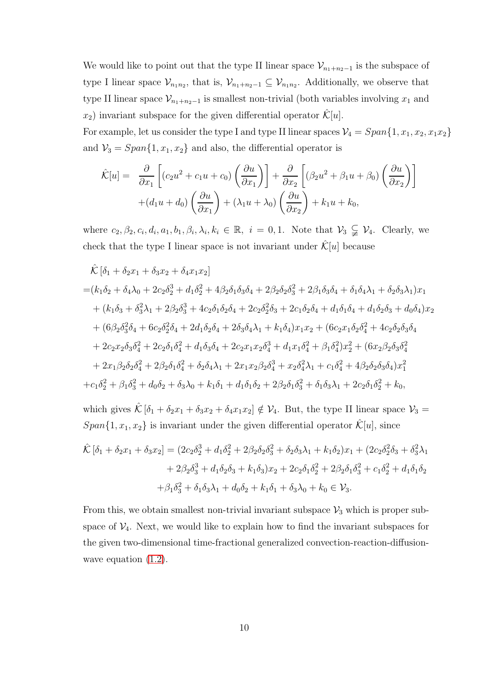We would like to point out that the type II linear space  $\mathcal{V}_{n_1+n_2-1}$  is the subspace of type I linear space  $\mathcal{V}_{n_1n_2}$ , that is,  $\mathcal{V}_{n_1+n_2-1} \subseteq \mathcal{V}_{n_1n_2}$ . Additionally, we observe that type II linear space  $\mathcal{V}_{n_1+n_2-1}$  is smallest non-trivial (both variables involving  $x_1$  and  $x_2$ ) invariant subspace for the given differential operator  $\mathcal{K}[u]$ .

For example, let us consider the type I and type II linear spaces  $V_4 = Span{1, x_1, x_2, x_1x_2}$ and  $V_3 = Span{1, x_1, x_2}$  and also, the differential operator is

$$
\hat{\mathcal{K}}[u] = \frac{\partial}{\partial x_1} \left[ (c_2 u^2 + c_1 u + c_0) \left( \frac{\partial u}{\partial x_1} \right) \right] + \frac{\partial}{\partial x_2} \left[ (\beta_2 u^2 + \beta_1 u + \beta_0) \left( \frac{\partial u}{\partial x_2} \right) \right] \n+ (d_1 u + d_0) \left( \frac{\partial u}{\partial x_1} \right) + (\lambda_1 u + \lambda_0) \left( \frac{\partial u}{\partial x_2} \right) + k_1 u + k_0,
$$

where  $c_2, \beta_2, c_i, d_i, a_1, b_1, \beta_i, \lambda_i, k_i \in \mathbb{R}, i = 0, 1$ . Note that  $\mathcal{V}_3 \subsetneq \mathcal{V}_4$ . Clearly, we check that the type I linear space is not invariant under  $\mathcal{K}[u]$  because

$$
\hat{\mathcal{K}}\left[\delta_{1}+\delta_{2}x_{1}+\delta_{3}x_{2}+\delta_{4}x_{1}x_{2}\right]
$$
\n
$$
=\left(k_{1}\delta_{2}+\delta_{4}\lambda_{0}+2c_{2}\delta_{2}^{3}+d_{1}\delta_{2}^{2}+4\beta_{2}\delta_{1}\delta_{3}\delta_{4}+2\beta_{2}\delta_{2}\delta_{3}^{2}+2\beta_{1}\delta_{3}\delta_{4}+\delta_{1}\delta_{4}\lambda_{1}+\delta_{2}\delta_{3}\lambda_{1}\right)x_{1}
$$
\n
$$
+\left(k_{1}\delta_{3}+\delta_{3}^{2}\lambda_{1}+2\beta_{2}\delta_{3}^{3}+4c_{2}\delta_{1}\delta_{2}\delta_{4}+2c_{2}\delta_{2}^{2}\delta_{3}+2c_{1}\delta_{2}\delta_{4}+d_{1}\delta_{1}\delta_{4}+d_{1}\delta_{2}\delta_{3}+d_{0}\delta_{4}\right)x_{2}
$$
\n
$$
+\left(6\beta_{2}\delta_{3}^{2}\delta_{4}+6c_{2}\delta_{2}^{2}\delta_{4}+2d_{1}\delta_{2}\delta_{4}+2\delta_{3}\delta_{4}\lambda_{1}+k_{1}\delta_{4}\right)x_{1}x_{2}+\left(6c_{2}x_{1}\delta_{2}\delta_{4}^{2}+4c_{2}\delta_{2}\delta_{3}\delta_{4}\right)x_{2}
$$
\n
$$
+2c_{2}x_{2}\delta_{3}\delta_{4}^{2}+2c_{2}\delta_{1}\delta_{4}^{2}+d_{1}\delta_{3}\delta_{4}+2c_{2}x_{1}x_{2}\delta_{4}^{3}+d_{1}x_{1}\delta_{4}^{2}+\beta_{1}\delta_{4}^{2}\right)x_{2}^{2}+\left(6x_{2}\beta_{2}\delta_{3}\delta_{4}^{2}+2x_{1}\beta_{2}\delta_{2}\delta_{4}^{2}+2\beta_{2}\delta_{1}\delta_{4}^{2}+\delta_{2}\delta_{4}\lambda_{1}+2x_{1}x_{2}\beta_{2}\delta_{4}^{3}+x_{2}\delta_{4}^{2}\lambda_{1}+c_{1}\delta_{4}^{2}+4\beta_{2}\delta_{2}\delta_{3}\delta_{4}\right)x_{1}^{2}
$$
\n
$$
+c_{1}\delta_{2}^{2}+\beta_{1}\delta_{3}^{2}+d
$$

which gives  $\hat{\mathcal{K}}\left[\delta_1 + \delta_2 x_1 + \delta_3 x_2 + \delta_4 x_1 x_2\right] \notin \mathcal{V}_4$ . But, the type II linear space  $\mathcal{V}_3$  =  $Span{1, x_1, x_2}$  is invariant under the given differential operator  $\mathcal{K}[u]$ , since

$$
\hat{\mathcal{K}}\left[\delta_{1}+\delta_{2}x_{1}+\delta_{3}x_{2}\right] = (2c_{2}\delta_{2}^{3}+d_{1}\delta_{2}^{2}+2\beta_{2}\delta_{2}\delta_{3}^{2}+\delta_{2}\delta_{3}\lambda_{1}+k_{1}\delta_{2})x_{1} + (2c_{2}\delta_{2}^{2}\delta_{3}+\delta_{3}^{2}\lambda_{1} + 2\beta_{2}\delta_{3}^{3}+d_{1}\delta_{2}\delta_{3}+k_{1}\delta_{3})x_{2} + 2c_{2}\delta_{1}\delta_{2}^{2} + 2\beta_{2}\delta_{1}\delta_{3}^{2} + c_{1}\delta_{2}^{2}+d_{1}\delta_{1}\delta_{2} + \beta_{1}\delta_{3}^{2}+\delta_{1}\delta_{3}\lambda_{1}+d_{0}\delta_{2}+k_{1}\delta_{1}+\delta_{3}\lambda_{0}+k_{0}\in\mathcal{V}_{3}.
$$

From this, we obtain smallest non-trivial invariant subspace  $\mathcal{V}_3$  which is proper subspace of  $V_4$ . Next, we would like to explain how to find the invariant subspaces for the given two-dimensional time-fractional generalized convection-reaction-diffusionwave equation  $(1.2)$ .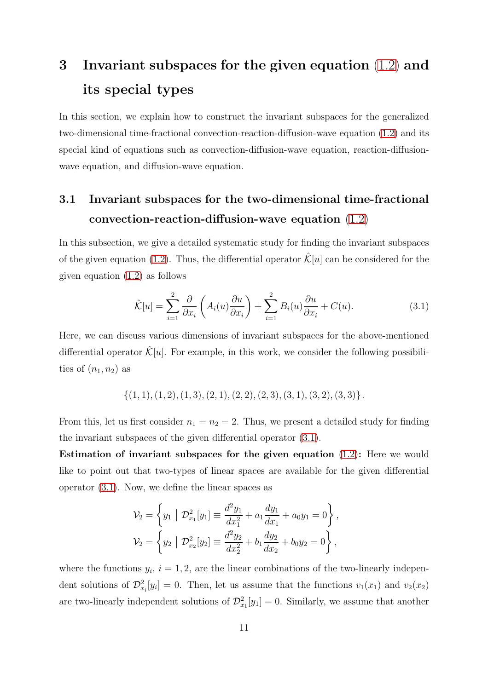# 3 Invariant subspaces for the given equation [\(1.2\)](#page-2-0) and its special types

In this section, we explain how to construct the invariant subspaces for the generalized two-dimensional time-fractional convection-reaction-diffusion-wave equation [\(1.2\)](#page-2-0) and its special kind of equations such as convection-diffusion-wave equation, reaction-diffusionwave equation, and diffusion-wave equation.

#### 3.1 Invariant subspaces for the two-dimensional time-fractional convection-reaction-diffusion-wave equation [\(1.2\)](#page-2-0)

In this subsection, we give a detailed systematic study for finding the invariant subspaces of the given equation [\(1.2\)](#page-2-0). Thus, the differential operator  $\mathcal{K}[u]$  can be considered for the given equation [\(1.2\)](#page-2-0) as follows

<span id="page-10-1"></span><span id="page-10-0"></span>
$$
\hat{\mathcal{K}}[u] = \sum_{i=1}^{2} \frac{\partial}{\partial x_i} \left( A_i(u) \frac{\partial u}{\partial x_i} \right) + \sum_{i=1}^{2} B_i(u) \frac{\partial u}{\partial x_i} + C(u). \tag{3.1}
$$

Here, we can discuss various dimensions of invariant subspaces for the above-mentioned differential operator  $\mathcal{K}[u]$ . For example, in this work, we consider the following possibilities of  $(n_1, n_2)$  as

 $\{(1, 1), (1, 2), (1, 3), (2, 1), (2, 2), (2, 3), (3, 1), (3, 2), (3, 3)\}.$ 

From this, let us first consider  $n_1 = n_2 = 2$ . Thus, we present a detailed study for finding the invariant subspaces of the given differential operator [\(3.1\)](#page-10-0).

Estimation of invariant subspaces for the given equation [\(1.2\)](#page-2-0): Here we would like to point out that two-types of linear spaces are available for the given differential operator [\(3.1\)](#page-10-0). Now, we define the linear spaces as

$$
\mathcal{V}_2 = \left\{ y_1 \mid \mathcal{D}_{x_1}^2[y_1] \equiv \frac{d^2 y_1}{dx_1^2} + a_1 \frac{dy_1}{dx_1} + a_0 y_1 = 0 \right\},
$$
  

$$
\mathcal{V}_2 = \left\{ y_2 \mid \mathcal{D}_{x_2}^2[y_2] \equiv \frac{d^2 y_2}{dx_2^2} + b_1 \frac{dy_2}{dx_2} + b_0 y_2 = 0 \right\},
$$

where the functions  $y_i$ ,  $i = 1, 2$ , are the linear combinations of the two-linearly independent solutions of  $\mathcal{D}_{x_i}^2[y_i] = 0$ . Then, let us assume that the functions  $v_1(x_1)$  and  $v_2(x_2)$ are two-linearly independent solutions of  $\mathcal{D}_{x_1}^2[y_1] = 0$ . Similarly, we assume that another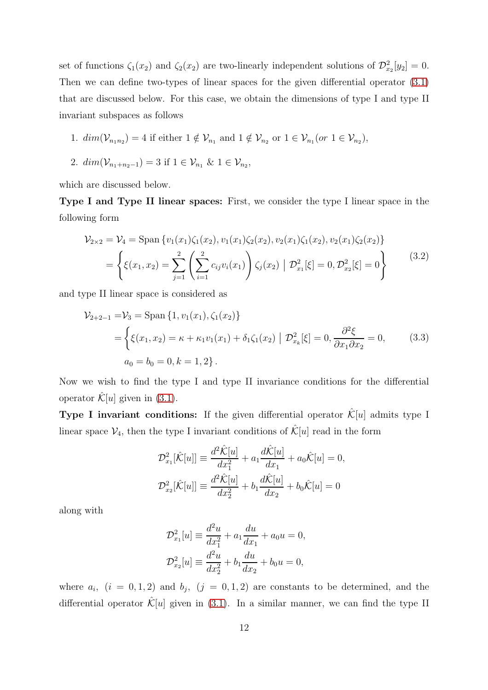set of functions  $\zeta_1(x_2)$  and  $\zeta_2(x_2)$  are two-linearly independent solutions of  $\mathcal{D}_{x_2}^2[y_2] = 0$ . Then we can define two-types of linear spaces for the given differential operator [\(3.1\)](#page-10-0) that are discussed below. For this case, we obtain the dimensions of type I and type II invariant subspaces as follows

1. 
$$
dim(\mathcal{V}_{n_1n_2}) = 4
$$
 if either  $1 \notin \mathcal{V}_{n_1}$  and  $1 \notin \mathcal{V}_{n_2}$  or  $1 \in \mathcal{V}_{n_1}(or 1 \in \mathcal{V}_{n_2}),$ 

2. 
$$
dim(\mathcal{V}_{n_1+n_2-1}) = 3
$$
 if  $1 \in \mathcal{V}_{n_1} \& 1 \in \mathcal{V}_{n_2}$ ,

which are discussed below.

Type I and Type II linear spaces: First, we consider the type I linear space in the following form

$$
\mathcal{V}_{2\times 2} = \mathcal{V}_4 = \text{Span}\left\{v_1(x_1)\zeta_1(x_2), v_1(x_1)\zeta_2(x_2), v_2(x_1)\zeta_1(x_2), v_2(x_1)\zeta_2(x_2)\right\}
$$

$$
= \left\{\xi(x_1, x_2) = \sum_{j=1}^2 \left(\sum_{i=1}^2 c_{ij} v_i(x_1)\right) \zeta_j(x_2) \middle| \mathcal{D}_{x_1}^2[\xi] = 0, \mathcal{D}_{x_2}^2[\xi] = 0\right\} \tag{3.2}
$$

and type II linear space is considered as

$$
\mathcal{V}_{2+2-1} = \mathcal{V}_3 = \text{Span}\{1, v_1(x_1), \zeta_1(x_2)\}\
$$
  
= 
$$
\begin{cases} \xi(x_1, x_2) = \kappa + \kappa_1 v_1(x_1) + \delta_1 \zeta_1(x_2) & \mathcal{D}_{x_k}^2[\xi] = 0, \frac{\partial^2 \xi}{\partial x_1 \partial x_2} = 0, \end{cases}
$$
 (3.3)  

$$
a_0 = b_0 = 0, k = 1, 2 \}.
$$

Now we wish to find the type I and type II invariance conditions for the differential operator  $\mathcal{K}[u]$  given in [\(3.1\)](#page-10-0).

**Type I invariant conditions:** If the given differential operator  $\mathcal{K}[u]$  admits type I linear space  $V_4$ , then the type I invariant conditions of  $\mathcal{K}[u]$  read in the form

$$
\mathcal{D}_{x_1}^2[\hat{\mathcal{K}}[u]] \equiv \frac{d^2 \hat{\mathcal{K}}[u]}{dx_1^2} + a_1 \frac{d \hat{\mathcal{K}}[u]}{dx_1} + a_0 \hat{\mathcal{K}}[u] = 0,
$$
  

$$
\mathcal{D}_{x_2}^2[\hat{\mathcal{K}}[u]] \equiv \frac{d^2 \hat{\mathcal{K}}[u]}{dx_2^2} + b_1 \frac{d \hat{\mathcal{K}}[u]}{dx_2} + b_0 \hat{\mathcal{K}}[u] = 0
$$

along with

$$
\mathcal{D}_{x_1}^2[u] \equiv \frac{d^2u}{dx_1^2} + a_1 \frac{du}{dx_1} + a_0 u = 0,
$$
  

$$
\mathcal{D}_{x_2}^2[u] \equiv \frac{d^2u}{dx_2^2} + b_1 \frac{du}{dx_2} + b_0 u = 0,
$$

where  $a_i$ ,  $(i = 0, 1, 2)$  and  $b_j$ ,  $(j = 0, 1, 2)$  are constants to be determined, and the differential operator  $\mathcal{K}[u]$  given in [\(3.1\)](#page-10-0). In a similar manner, we can find the type II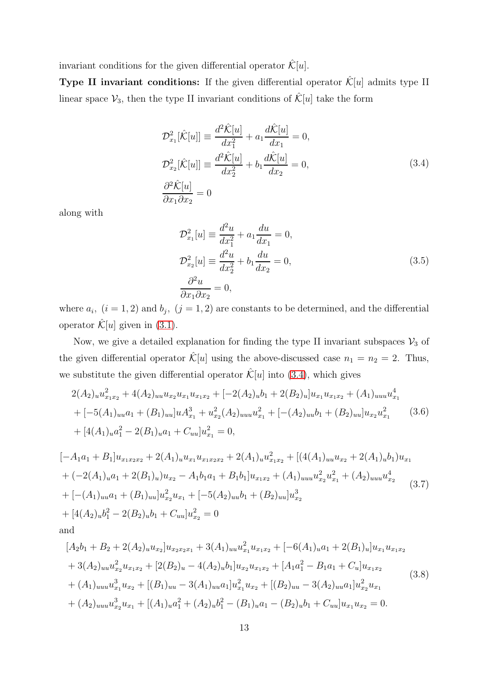invariant conditions for the given differential operator  $\hat{\mathcal{K}}[u]$ .

**Type II invariant conditions:** If the given differential operator  $\hat{\mathcal{K}}[u]$  admits type II linear space  $\mathcal{V}_3$ , then the type II invariant conditions of  $\hat{\mathcal{K}}[u]$  take the form

<span id="page-12-0"></span>
$$
\mathcal{D}_{x_1}^2[\hat{\mathcal{K}}[u]] \equiv \frac{d^2 \hat{\mathcal{K}}[u]}{dx_1^2} + a_1 \frac{d \hat{\mathcal{K}}[u]}{dx_1} = 0,
$$
  
\n
$$
\mathcal{D}_{x_2}^2[\hat{\mathcal{K}}[u]] \equiv \frac{d^2 \hat{\mathcal{K}}[u]}{dx_2^2} + b_1 \frac{d \hat{\mathcal{K}}[u]}{dx_2} = 0,
$$
  
\n
$$
\frac{\partial^2 \hat{\mathcal{K}}[u]}{\partial x_1 \partial x_2} = 0
$$
\n(3.4)

along with

<span id="page-12-1"></span>
$$
\mathcal{D}_{x_1}^2[u] \equiv \frac{d^2u}{dx_1^2} + a_1 \frac{du}{dx_1} = 0, \n\mathcal{D}_{x_2}^2[u] \equiv \frac{d^2u}{dx_2^2} + b_1 \frac{du}{dx_2} = 0, \n\frac{\partial^2 u}{\partial x_1 \partial x_2} = 0,
$$
\n(3.5)

where  $a_i$ ,  $(i = 1, 2)$  and  $b_j$ ,  $(j = 1, 2)$  are constants to be determined, and the differential operator  $\mathcal{K}[u]$  given in [\(3.1\)](#page-10-0).

Now, we give a detailed explanation for finding the type II invariant subspaces  $\mathcal{V}_3$  of the given differential operator  $\hat{\mathcal{K}}[u]$  using the above-discussed case  $n_1 = n_2 = 2$ . Thus, we substitute the given differential operator  $\mathcal{K}[u]$  into [\(3.4\)](#page-12-0), which gives

<span id="page-12-2"></span>
$$
2(A_2)_u u_{x_1x_2}^2 + 4(A_2)_{uu} u_{x_2} u_{x_1} u_{x_1x_2} + [-2(A_2)_u b_1 + 2(B_2)_u] u_{x_1} u_{x_1x_2} + (A_1)_{uu} u_{x_1}^4
$$
  
+ 
$$
[-5(A_1)_{uu} a_1 + (B_1)_{uu}] u A_{x_1}^3 + u_{x_2}^2 (A_2)_{uu} u_{x_1}^2 + [-(A_2)_{uu} b_1 + (B_2)_{uu}] u_{x_2} u_{x_1}^2
$$
(3.6)  
+ 
$$
[4(A_1)_u a_1^2 - 2(B_1)_u a_1 + C_{uu}] u_{x_1}^2 = 0,
$$

$$
[-A1a1 + B1]ux1x2x2 + 2(A1)uux1x2x2 + 2(A1)uux1x2 + [(4(A1)uuux2 + 2(A1)ub1)ux1+ (-2(A1)ua1 + 2(B1)u)ux2 - A1b1a1 + B1b1]ux1x2 + (A1)uuuux22ux12 + (A2)uuuux24+ [-(A1)uua1 + (B1)uu]ux22ux1 + [-5(A2)uub1 + (B2)uu]ux23+ [4(A2)ub12 - 2(B2)ub1 + Cuu]ux22 = 0and
$$

<span id="page-12-3"></span>
$$
[A_2b_1 + B_2 + 2(A_2)_uu_{x_2}]u_{x_2x_2x_1} + 3(A_1)_{uu}u_{x_1}^2u_{x_1x_2} + [-6(A_1)_ua_1 + 2(B_1)_u]u_{x_1}u_{x_1x_2}
$$
  
+ 3(A\_2)\_{uu}u\_{x\_2}^2u\_{x\_1x\_2} + [2(B\_2)\_u - 4(A\_2)\_ub\_1]u\_{x\_2}u\_{x\_1x\_2} + [A\_1a\_1^2 - B\_1a\_1 + C\_u]u\_{x\_1x\_2}  
+ (A\_1)\_{uu}u\_{x\_1}^3u\_{x\_2} + [(B\_1)\_{uu} - 3(A\_1)\_{uu}a\_1]u\_{x\_1}^2u\_{x\_2} + [(B\_2)\_{uu} - 3(A\_2)\_{uu}a\_1]u\_{x\_2}^2u\_{x\_1}  
+ (A\_2)\_{uu}u\_{x\_2}^3u\_{x\_1} + [(A\_1)\_ua\_1^2 + (A\_2)\_ub\_1^2 - (B\_1)\_ua\_1 - (B\_2)\_ub\_1 + C\_{uu}]u\_{x\_1}u\_{x\_2} = 0.\n
$$
(3.8)
$$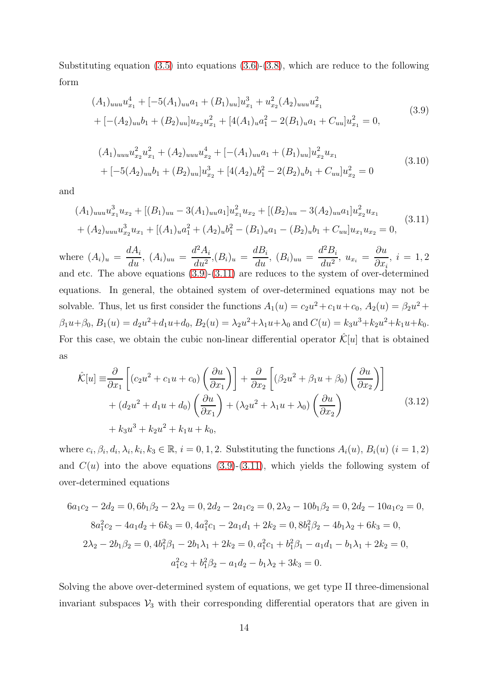Substituting equation  $(3.5)$  into equations  $(3.6)-(3.8)$  $(3.6)-(3.8)$ , which are reduce to the following form

<span id="page-13-2"></span><span id="page-13-0"></span>
$$
(A_1)_{uuu}u_{x_1}^4 + [-5(A_1)_{uu}a_1 + (B_1)_{uu}]u_{x_1}^3 + u_{x_2}^2(A_2)_{uuu}u_{x_1}^2 + (-A_2)_{uu}b_1 + (B_2)_{uu}]u_{x_2}u_{x_1}^2 + [4(A_1)_{u}a_1^2 - 2(B_1)_{u}a_1 + C_{uu}]u_{x_1}^2 = 0,
$$
\n
$$
(3.9)
$$

$$
(A_1)_{uuu}u_{x_2}^2u_{x_1}^2 + (A_2)_{uuu}u_{x_2}^4 + [-(A_1)_{uu}a_1 + (B_1)_{uu}]u_{x_2}^2u_{x_1}
$$
  
+ 
$$
[-5(A_2)_{uu}b_1 + (B_2)_{uu}]u_{x_2}^3 + [4(A_2)_{u}b_1^2 - 2(B_2)_{u}b_1 + C_{uu}]u_{x_2}^2 = 0
$$
\n
$$
(3.10)
$$

and

<span id="page-13-1"></span>
$$
(A_1)_{uuu}u_{x_1}^3u_{x_2} + [(B_1)_{uu} - 3(A_1)_{uu}a_1]u_{x_1}^2u_{x_2} + [(B_2)_{uu} - 3(A_2)_{uu}a_1]u_{x_2}^2u_{x_1}
$$
  
+ 
$$
(A_2)_{uuu}u_{x_2}^3u_{x_1} + [(A_1)_{u}a_1^2 + (A_2)_{u}b_1^2 - (B_1)_{u}a_1 - (B_2)_{u}b_1 + C_{uu}]u_{x_1}u_{x_2} = 0,
$$
(3.11)

where  $(A_i)_u =$  $dA_i$  $\frac{d}{du}$ ,  $(A_i)_{uu} =$  $d^2A_i$  $\frac{d}{du^2}$ ,  $(B_i)_u =$  $dB_i$  $\frac{d^{i}}{du^{i}}$ ,  $(B_{i})_{uu} =$  $d^2B_i$  $\frac{d^2u}{du^2}$ ,  $u_{x_i} =$ ∂u  $\partial x_i$  $, i = 1, 2$ and etc. The above equations [\(3.9\)](#page-13-0)-[\(3.11\)](#page-13-1) are reduces to the system of over-determined equations. In general, the obtained system of over-determined equations may not be solvable. Thus, let us first consider the functions  $A_1(u) = c_2u^2 + c_1u + c_0$ ,  $A_2(u) = \beta_2u^2 + c_1u + c_0$  $\beta_1 u + \beta_0$ ,  $B_1(u) = d_2 u^2 + d_1 u + d_0$ ,  $B_2(u) = \lambda_2 u^2 + \lambda_1 u + \lambda_0$  and  $C(u) = k_3 u^3 + k_2 u^2 + k_1 u + k_0$ . For this case, we obtain the cubic non-linear differential operator  $\mathcal{K}[u]$  that is obtained as

$$
\hat{\mathcal{K}}[u] \equiv \frac{\partial}{\partial x_1} \left[ (c_2 u^2 + c_1 u + c_0) \left( \frac{\partial u}{\partial x_1} \right) \right] + \frac{\partial}{\partial x_2} \left[ (\beta_2 u^2 + \beta_1 u + \beta_0) \left( \frac{\partial u}{\partial x_2} \right) \right] \n+ (d_2 u^2 + d_1 u + d_0) \left( \frac{\partial u}{\partial x_1} \right) + (\lambda_2 u^2 + \lambda_1 u + \lambda_0) \left( \frac{\partial u}{\partial x_2} \right) \n+ k_3 u^3 + k_2 u^2 + k_1 u + k_0,
$$
\n(3.12)

where  $c_i, \beta_i, d_i, \lambda_i, k_i, k_3 \in \mathbb{R}, i = 0, 1, 2$ . Substituting the functions  $A_i(u)$ ,  $B_i(u)$   $(i = 1, 2)$ and  $C(u)$  into the above equations [\(3.9\)](#page-13-0)-[\(3.11\)](#page-13-1), which yields the following system of over-determined equations

$$
6a_1c_2 - 2d_2 = 0, 6b_1\beta_2 - 2\lambda_2 = 0, 2d_2 - 2a_1c_2 = 0, 2\lambda_2 - 10b_1\beta_2 = 0, 2d_2 - 10a_1c_2 = 0,
$$
  
\n
$$
8a_1^2c_2 - 4a_1d_2 + 6k_3 = 0, 4a_1^2c_1 - 2a_1d_1 + 2k_2 = 0, 8b_1^2\beta_2 - 4b_1\lambda_2 + 6k_3 = 0,
$$
  
\n
$$
2\lambda_2 - 2b_1\beta_2 = 0, 4b_1^2\beta_1 - 2b_1\lambda_1 + 2k_2 = 0, a_1^2c_1 + b_1^2\beta_1 - a_1d_1 - b_1\lambda_1 + 2k_2 = 0,
$$
  
\n
$$
a_1^2c_2 + b_1^2\beta_2 - a_1d_2 - b_1\lambda_2 + 3k_3 = 0.
$$

Solving the above over-determined system of equations, we get type II three-dimensional invariant subspaces  $\mathcal{V}_3$  with their corresponding differential operators that are given in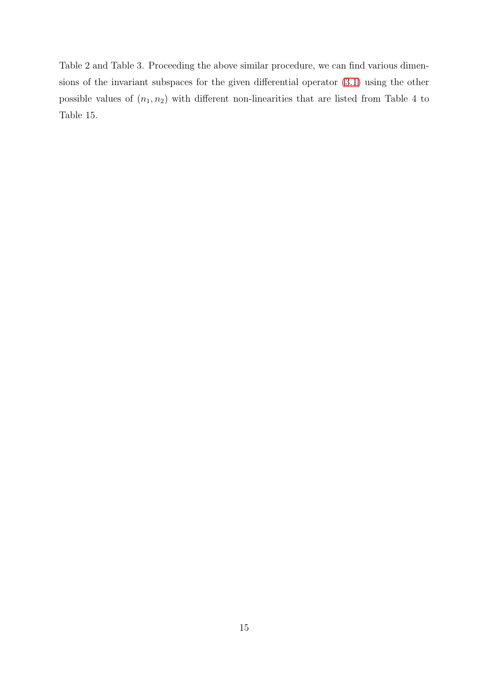Table 2 and Table 3. Proceeding the above similar procedure, we can find various dimensions of the invariant subspaces for the given differential operator [\(3.1\)](#page-10-0) using the other possible values of  $(n_1, n_2)$  with different non-linearities that are listed from Table 4 to Table 15.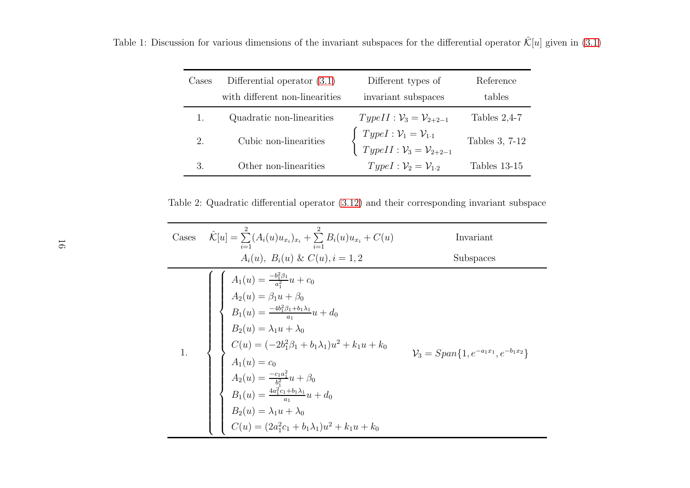| Cases         | Differential operator $(3.1)$<br>with different non-linearities | Different types of<br>invariant subspaces                                                                                    | Reference<br>tables |
|---------------|-----------------------------------------------------------------|------------------------------------------------------------------------------------------------------------------------------|---------------------|
|               |                                                                 |                                                                                                                              |                     |
|               | Quadratic non-linearities                                       | $TypeII: \mathcal{V}_3 = \mathcal{V}_{2+2-1}$                                                                                | Tables $2,4-7$      |
| 2.            | Cubic non-linearities                                           | $\begin{cases}\nType I: \mathcal{V}_1 = \mathcal{V}_{1\cdot 1} \\ Type II: \mathcal{V}_3 = \mathcal{V}_{2+2-1}\n\end{cases}$ | Tables 3, 7-12      |
| $\mathcal{R}$ | Other non-linearities                                           | $TypeI: \mathcal{V}_2 = \mathcal{V}_{1\cdot 2}$                                                                              | Tables 13-15        |

Table 1: Discussion for various dimensions of the invariant subspaces for the differential operator  $\hat{\mathcal{K}}[u]$  given in [\(3.1](#page-10-1))

Table 2: Quadratic differential operator [\(3.12\)](#page-13-2) and their corresponding invariant subspace

| Cases | $\hat{\mathcal{K}}[u] = \sum_{i=1}^{2} (A_i(u)u_{x_i})_{x_i} + \sum_{i=1}^{2} B_i(u)u_{x_i} + C(u)$                                                                                                                                                                                                                                                          | Invariant                                              |
|-------|--------------------------------------------------------------------------------------------------------------------------------------------------------------------------------------------------------------------------------------------------------------------------------------------------------------------------------------------------------------|--------------------------------------------------------|
|       | $A_i(u)$ , $B_i(u)$ & $C(u)$ , $i = 1, 2$                                                                                                                                                                                                                                                                                                                    | Subspaces                                              |
|       | $\label{eq:2.1} \left\{ \begin{array}{l} A_1(u)=\frac{-b_1^2\beta_1}{a_1^2}u+c_0\\ A_2(u)=\beta_1u+\beta_0\\ B_1(u)=\frac{-4b_1^2\beta_1+b_1\lambda_1}{a_1}u+d_0\\ B_2(u)=\lambda_1u+\lambda_0\\ C(u)=(-2b_1^2\beta_1+b_1\lambda_1)u^2+k_1u+k_0\\ A_1(u)=c_0\\ A_2(u)=\frac{-c_1a_1^2}{b_1^2}u+\beta_0\\ B_1(u)=\frac{4a_1^2c_1+b_1\lambda_1}{a_1}u+d_0\\ B$ | $\mathcal{V}_3 = Span\{1, e^{-a_1x_1}, e^{-b_1x_2}\}\$ |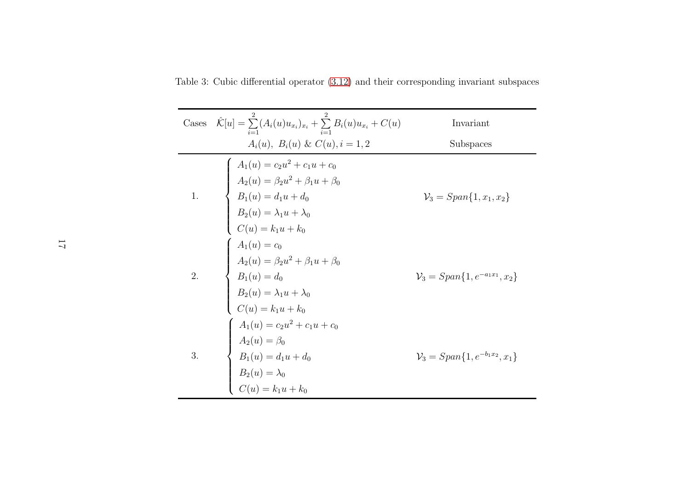Table 3: Cubic differential operator [\(3.12\)](#page-13-2) and their corresponding invariant subspaces

| Cases | $\hat{\mathcal{K}}[u] = \sum_{i=1}^{n} (A_i(u)u_{x_i})_{x_i} + \sum_{i=1}^{n} B_i(u)u_{x_i} + C(u)$                                                                                                 | Invariant                                     |
|-------|-----------------------------------------------------------------------------------------------------------------------------------------------------------------------------------------------------|-----------------------------------------------|
|       | $A_i(u)$ , $B_i(u) \& C(u)$ , $i = 1, 2$                                                                                                                                                            | Subspaces                                     |
|       | $\left\{ \begin{array}{l} A_1(u) = c_2u^2 + c_1u + c_0 \ A_2(u) = \beta_2u^2 + \beta_1u + \beta_0 \ B_1(u) = d_1u + d_0 \ B_2(u) = \lambda_1u + \lambda_0 \ C(u) = k_1u + k_0 \end{array} \right.$  | $\mathcal{V}_3 = Span\{1, x_1, x_2\}$         |
| 2.    | $\left\{ \begin{array}{l} A_1(u) = c_0\\[1mm] A_2(u) = \beta_2 u^2 + \beta_1 u + \beta_0\\[1mm] B_1(u) = d_0\\[1mm] B_2(u) = \lambda_1 u + \lambda_0\\[1mm] C(u) = k_1 u + k_0 \end{array} \right.$ | $\mathcal{V}_3 = Span\{1, e^{-a_1x_1}, x_2\}$ |
| 3.    | $A_1(u) = c_2u^2 + c_1u + c_0$<br>$A_2(u) = \beta_0$<br>$B_1(u) = d_1u + d_0$<br>$B_2(u) = \lambda_0$<br>$C(u) = k_1u + k_0$                                                                        | $\mathcal{V}_3 = Span\{1, e^{-b_1x_2}, x_1\}$ |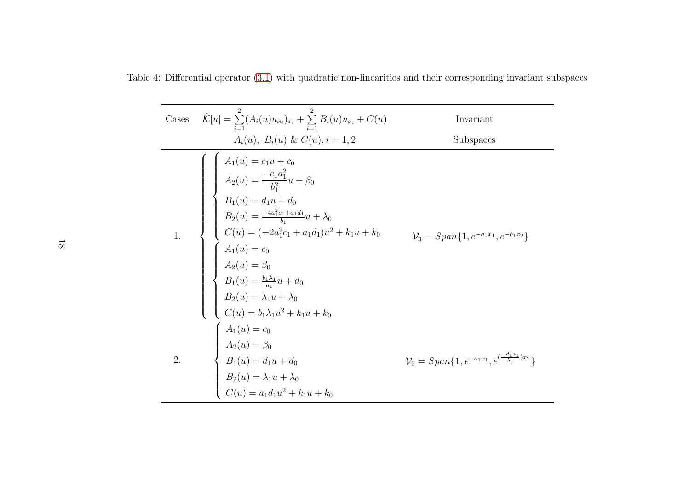Table 4: Differential operator [\(3.1\)](#page-10-1) with quadratic non-linearities and their corresponding invariant subspaces

Case 
$$
\hat{K}[u] = \sum_{i=1}^{2} (A_i(u)u_{x_i})_{x_i} + \sum_{i=1}^{2} B_i(u)u_{x_i} + C(u)
$$
 Invariant  
\n $A_i(u)$ ,  $B_i(u)$  &  $C(u)$ ,  $i = 1, 2$  Subspaces\n
$$
\begin{cases}\nA_1(u) = c_1u + c_0 \\
A_2(u) = \frac{-c_1a_1^2}{b_1^2}u + \beta_0 \\
B_1(u) = d_1u + d_0 \\
B_2(u) = \frac{-4a_1^2c_1 + a_1d_1}{b_1}u + \lambda_0 \\
C(u) = (-2a_1^2c_1 + a_1d_1)u^2 + k_1u + k_0 \\
C_1(u) = c_0\n\end{cases}\n\begin{cases}\nA_1(u) = c_0 \\
A_2(u) = \beta_0 \\
B_1(u) = \frac{b_1\lambda_1}{a_1}u + d_0 \\
B_2(u) = \lambda_1u + \lambda_0 \\
C(u) = b_1\lambda_1u^2 + k_1u + k_0 \\
C(u) = b_1\lambda_1u^2 + k_1u + k_0\n\end{cases}\n\begin{cases}\nA_1(u) = c_0 \\
A_2(u) = \beta_0 \\
B_1(u) = d_1u + d_0 \\
B_2(u) = \lambda_1u + \lambda_0 \\
B_2(u) = \lambda_1u + \lambda_0 \\
B_2(u) = \lambda_1u + \lambda_0 \\
C(u) = a_1d_1u^2 + k_1u + k_0\n\end{cases}\n\begin{cases}\nV_3 = Span{1, e^{-a_1x_1}, e^{(\frac{-d_1a_1}{\lambda_1})x_2}}\n\end{cases}
$$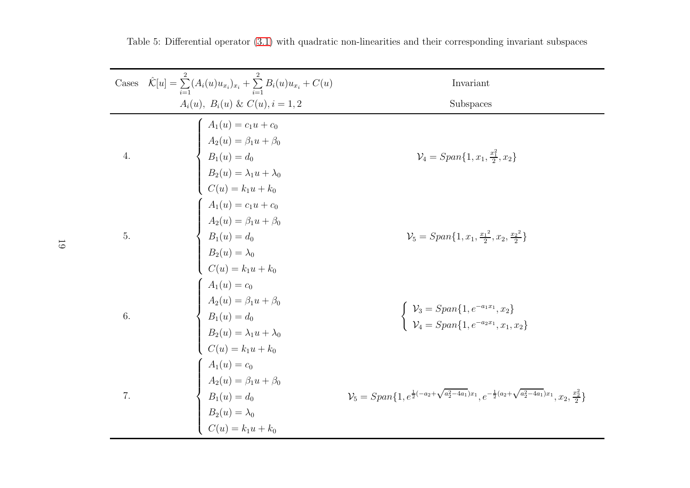| $\operatorname{Cases}$ | $\hat{\mathcal{K}}[u] = \sum_{i=1}^{2} (A_i(u)u_{x_i})_{x_i} + \sum_{i=1}^{2} B_i(u)u_{x_i} + C(u)$                                                                                               | Invariant                                                                                                                                                  |
|------------------------|---------------------------------------------------------------------------------------------------------------------------------------------------------------------------------------------------|------------------------------------------------------------------------------------------------------------------------------------------------------------|
|                        | $A_i(u)$ , $B_i(u)$ & $C(u)$ , $i = 1, 2$                                                                                                                                                         | Subspaces                                                                                                                                                  |
| 4.                     | $\left\{ \begin{array}{l} A_1(u) = c_1 u + c_0 \\[2mm] A_2(u) = \beta_1 u + \beta_0 \\[2mm] B_1(u) = d_0 \\[2mm] B_2(u) = \lambda_1 u + \lambda_0 \\[2mm] C(u) = k_1 u + k_0 \end{array} \right.$ | $\mathcal{V}_4 = Span\{1, x_1, \frac{x_1^2}{2}, x_2\}$                                                                                                     |
| 5.                     | $A_1(u) = c_1u + c_0$<br>$A_2(u) = \beta_1u + \beta_0$<br>$B_1(u) = d_0$<br>$B_2(u) = \lambda_0$<br>$C(u) = k_1u + k_0$                                                                           | $\mathcal{V}_5 = Span\{1, x_1, \frac{x_1^2}{2}, x_2, \frac{x_2^2}{2}\}\$                                                                                   |
| 6.                     | $\left\{ \begin{array}{l} A_1(u) = c_0 \\[0.2cm] A_2(u) = \beta_1 u + \beta_0 \\[0.2cm] B_1(u) = d_0 \\[0.2cm] B_2(u) = \lambda_1 u + \lambda_0 \\[0.2cm] C(u) = k_1 u + k_0 \end{array} \right.$ | $\begin{cases} \mathcal{V}_3 = Span\{1, e^{-a_1x_1}, x_2\} \\ \mathcal{V}_4 = Span\{1, e^{-a_2x_1}, x_1, x_2\} \end{cases}$                                |
| 7.                     | $\left\{ \begin{array}{l} A_1(u) = c_0 \ A_2(u) = \beta_1 u + \beta_0 \ B_1(u) = d_0 \ B_2(u) = \lambda_0 \ C(u) = k_1 u + k_0 \end{array} \right.$                                               | $\mathcal{V}_{5}=Span\{1,e^{\frac{1}{2}(-a_{2}+\sqrt{a_{2}^2-4a_{1}})x_{1}},e^{-\frac{1}{2}(a_{2}+\sqrt{a_{2}^2-4a_{1}})x_{1}},x_{2},\tfrac{x_{2}^2}{2}\}$ |

Table 5: Differential operator [\(3.1\)](#page-10-1) with quadratic non-linearities and their corresponding invariant subspaces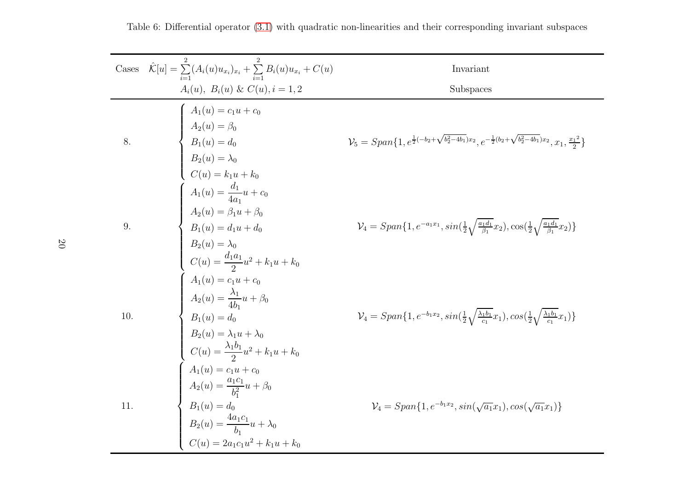|     | Cases $\hat{\mathcal{K}}[u] = \sum_{i=1}^{n} (A_i(u)u_{x_i})_{x_i} + \sum_{i=1}^{n} B_i(u)u_{x_i} + C(u)$                                                                                                                                                                                                                                                                                            | Invariant                                                                                                                                         |
|-----|------------------------------------------------------------------------------------------------------------------------------------------------------------------------------------------------------------------------------------------------------------------------------------------------------------------------------------------------------------------------------------------------------|---------------------------------------------------------------------------------------------------------------------------------------------------|
|     | $A_i(u)$ , $B_i(u) \& C(u)$ , $i = 1, 2$                                                                                                                                                                                                                                                                                                                                                             | Subspaces                                                                                                                                         |
|     |                                                                                                                                                                                                                                                                                                                                                                                                      |                                                                                                                                                   |
| 8.  | $\left\{ \begin{array}{l} A_1(u) = c_1u + c_0 \ A_2(u) = \beta_0 \ B_1(u) = d_0 \ B_2(u) = \lambda_0 \ C(u) = k_1u + k_0 \end{array} \right.$                                                                                                                                                                                                                                                        | $\mathcal V_5=Span\{1,e^{\frac{1}{2}(-b_2+\sqrt{b_2^2-4b_1})x_2},e^{-\frac{1}{2}(b_2+\sqrt{b_2^2-4b_1})x_2},x_1,\tfrac{x_1^2}{2}\}$               |
|     |                                                                                                                                                                                                                                                                                                                                                                                                      |                                                                                                                                                   |
|     |                                                                                                                                                                                                                                                                                                                                                                                                      |                                                                                                                                                   |
|     |                                                                                                                                                                                                                                                                                                                                                                                                      |                                                                                                                                                   |
|     |                                                                                                                                                                                                                                                                                                                                                                                                      |                                                                                                                                                   |
| 9.  |                                                                                                                                                                                                                                                                                                                                                                                                      | $\mathcal{V}_4 = Span\{1, e^{-a_1x_1}, sin(\frac{1}{2}\sqrt{\frac{a_1d_1}{\beta_1}}x_2), cos(\frac{1}{2}\sqrt{\frac{a_1d_1}{\beta_1}}x_2)\}\$     |
|     |                                                                                                                                                                                                                                                                                                                                                                                                      |                                                                                                                                                   |
|     |                                                                                                                                                                                                                                                                                                                                                                                                      |                                                                                                                                                   |
|     |                                                                                                                                                                                                                                                                                                                                                                                                      |                                                                                                                                                   |
| 10. |                                                                                                                                                                                                                                                                                                                                                                                                      | $\mathcal{V}_4 = Span\{1, e^{-b_1x_2}, sin(\frac{1}{2}\sqrt{\frac{\lambda_1b_1}{c_1}}x_1), cos(\frac{1}{2}\sqrt{\frac{\lambda_1b_1}{c_1}}x_1)\}\$ |
|     |                                                                                                                                                                                                                                                                                                                                                                                                      |                                                                                                                                                   |
|     |                                                                                                                                                                                                                                                                                                                                                                                                      |                                                                                                                                                   |
|     | $\left\{ \begin{array}{l} C(u)=k_1u+k_0\\ A_1(u)=\displaystyle\frac{d_1}{4a_1}u+c_0\\ A_2(u)=\beta_1u+\beta_0\\ B_1(u)=d_1u+d_0\\ B_2(u)=\lambda_0\\ C(u)=\displaystyle\frac{d_1a_1}{2}u^2+k_1u+k_0\\ A_1(u)=c_1u+c_0\\ A_2(u)=\displaystyle\frac{\lambda_1}{4b_1}u+\beta_0\\ B_1(u)=d_0\\ B_2(u)=\lambda_1u+\lambda_0\\ C(u)=\displaystyle\frac{\lambda_1b_1}{2}u^2+k_1u+k_0\\ A_1(u)=c_1u+c_0\\ A$ |                                                                                                                                                   |
|     |                                                                                                                                                                                                                                                                                                                                                                                                      |                                                                                                                                                   |
| 11. |                                                                                                                                                                                                                                                                                                                                                                                                      | $\mathcal{V}_4 = Span\{1, e^{-b_1x_2}, sin(\sqrt{a_1}x_1), cos(\sqrt{a_1}x_1)\}\$                                                                 |
|     |                                                                                                                                                                                                                                                                                                                                                                                                      |                                                                                                                                                   |
|     |                                                                                                                                                                                                                                                                                                                                                                                                      |                                                                                                                                                   |

#### Table 6: Differential operator [\(3.1\)](#page-10-1) with quadratic non-linearities and their corresponding invariant subspaces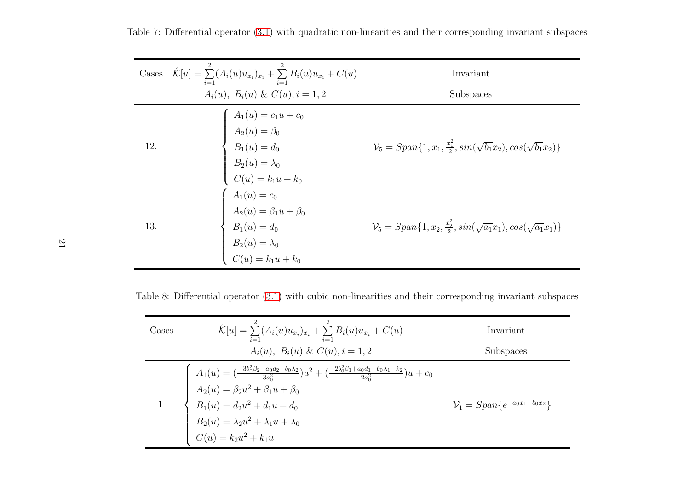|     | Cases $\hat{\mathcal{K}}[u] = \sum_{i=1}^{8} (A_i(u)u_{x_i})_{x_i} + \sum_{i=1}^{8} B_i(u)u_{x_i} + C(u)$                                                             | Invariant                                                                                    |
|-----|-----------------------------------------------------------------------------------------------------------------------------------------------------------------------|----------------------------------------------------------------------------------------------|
|     | $A_i(u)$ , $B_i(u) \& C(u)$ , $i = 1, 2$                                                                                                                              | Subspaces                                                                                    |
| 12. | $\left\{ \begin{array}{l} A_1(u) = c_1u + c_0 \\[1mm] A_2(u) = \beta_0 \\[1mm] B_1(u) = d_0 \\[1mm] B_2(u) = \lambda_0 \\[1mm] C(u) = k_1u + k_0 \end{array} \right.$ | $\mathcal{V}_5 = Span\{1, x_1, \frac{x_1^2}{2}, \sin(\sqrt{b_1}x_2), \cos(\sqrt{b_1}x_2)\}\$ |
| 13. | $\left\{ \begin{array}{l} A_1(u) = c_0\\ A_2(u) = \beta_1 u + \beta_0\\ B_1(u) = d_0\\ B_2(u) = \lambda_0\\ C(u) = k_1 u + k_0 \end{array} \right.$                   | $\mathcal{V}_5 = Span\{1, x_2, \frac{x_2^2}{2}, \sin(\sqrt{a_1}x_1), \cos(\sqrt{a_1}x_1)\}\$ |

Table 8: Differential operator [\(3.1\)](#page-10-1) with cubic non-linearities and their corresponding invariant subspaces

| Cases | $\hat{\mathcal{K}}[u] = \sum_{i=1}^{2} (A_i(u)u_{x_i})_{x_i} + \sum_{i=1}^{2} B_i(u)u_{x_i} + C(u)$                                                                                                                                                                                                                        | Invariant                          |
|-------|----------------------------------------------------------------------------------------------------------------------------------------------------------------------------------------------------------------------------------------------------------------------------------------------------------------------------|------------------------------------|
|       | $A_i(u)$ , $B_i(u) \& C(u)$ , $i = 1, 2$                                                                                                                                                                                                                                                                                   | <b>Subspaces</b>                   |
|       | $\left\{\begin{array}{l} A_1(u)= (\frac{-3b_0^2\beta_2+a_0d_2+b_0\lambda_2}{3a_0^2})u^2 + (\frac{-2b_0^2\beta_1+a_0d_1+b_0\lambda_1-k_2}{2a_0^2})u+c_0\\[5pt] A_2(u)=\beta_2u^2+\beta_1u+\beta_0\\[5pt] B_1(u)=d_2u^2+d_1u+d_0\\[5pt] B_2(u)=\lambda_2u^2+\lambda_1u+\lambda_0\\[5pt] C(u)=k_2u^2+k_1u \end{array}\right.$ | $V_1 = Span\{e^{-a_0x_1-b_0x_2}\}$ |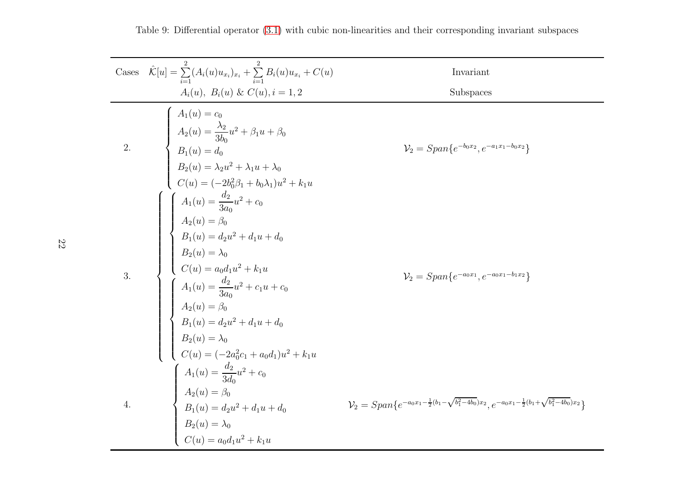| Cases            | $\hat{\mathcal{K}}[u] = \sum_{i=1}^{2} (A_i(u)u_{x_i})_{x_i} + \sum_{i=1}^{2} B_i(u)u_{x_i} + C(u)$                                                                                                                                                                                                                                                                                              | Invariant                                                                                                                     |
|------------------|--------------------------------------------------------------------------------------------------------------------------------------------------------------------------------------------------------------------------------------------------------------------------------------------------------------------------------------------------------------------------------------------------|-------------------------------------------------------------------------------------------------------------------------------|
|                  | $A_i(u)$ , $B_i(u) \& C(u)$ , $i = 1, 2$                                                                                                                                                                                                                                                                                                                                                         | Subspaces                                                                                                                     |
| $\overline{a}$ . |                                                                                                                                                                                                                                                                                                                                                                                                  | $\mathcal{V}_2 = Span\{e^{-b_0x_2}, e^{-a_1x_1-b_0x_2}\}$                                                                     |
|                  | $\label{eq:2.1} \begin{array}{c} \displaystyle \frac{x_{i_1(u)},\;\;D_i(u)\;\alpha\;\cup(u),\,i=1,2}{2\,} \\[10pt] \displaystyle A_1(u)=c_0 \\[10pt] A_2(u)=\frac{\lambda_2}{3b_0}u^2+\beta_1u+\beta_0 \\[10pt] B_1(u)=d_0 \\[10pt] B_2(u)=\lambda_2u^2+\lambda_1u+\lambda_0 \\[10pt] C(u)=(-2b_0^2\beta_1+b_0\lambda_1)u^2+k_1u \\[10pt] \displaystyle A_1(u)=\frac{d_2}{3a_0}u^2+c_0 \\[10pt]$ | $V_2 = Span\{e^{-a_0x_1}, e^{-a_0x_1-b_1x_2}\}$                                                                               |
| 4.               |                                                                                                                                                                                                                                                                                                                                                                                                  | $\mathcal{V}_2 = Span\{e^{-a_0x_1-\frac{1}{2}(b_1-\sqrt{b_1^2-4b_0})x_2},e^{-a_0x_1-\frac{1}{2}(b_1+\sqrt{b_1^2-4b_0})x_2}\}$ |

22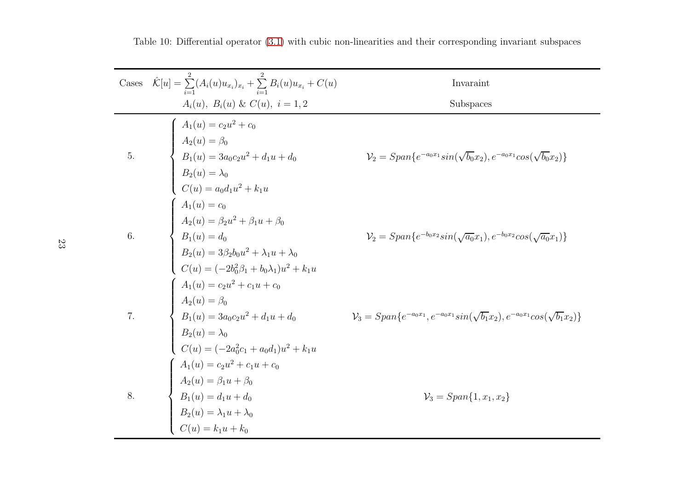| Cases | $\hat{\mathcal{K}}[u] = \sum_{i=1}^{2} (A_i(u)u_{x_i})_{x_i} + \sum_{i=1}^{2} B_i(u)u_{x_i} + C(u)$                                                                                                                                                                                                                                                                                                             | Invaraint                                                                                            |
|-------|-----------------------------------------------------------------------------------------------------------------------------------------------------------------------------------------------------------------------------------------------------------------------------------------------------------------------------------------------------------------------------------------------------------------|------------------------------------------------------------------------------------------------------|
|       | $A_i(u)$ , $B_i(u) \& C(u)$ , $i = 1, 2$                                                                                                                                                                                                                                                                                                                                                                        | Subspaces                                                                                            |
| 5.    | $\label{eq:1.1} \begin{cases} \hfill A_1(u) = c_2 u^2 + c_0 \vspace{1mm} \\ \hfill A_2(u) = \beta_0 \vspace{1mm} \\ \hfill B_1(u) = 3 a_0 c_2 u^2 + d_1 u + d_0 \vspace{1mm} \\ \hfill B_2(u) = \lambda_0 \vspace{1mm} \\ \hfill C(u) = a_0 d_1 u^2 + k_1 u \vspace{1mm} \\ \hfill A_1(u) = c_0 \vspace{1mm} \\ \hfill A_2(u) = \beta_2 u^2 + \beta_1 u + \beta_0 \vspace{1mm} \\ \hfill B_1(u) = d_0 \vspace{$ | $\mathcal{V}_2 = Span\{e^{-a_0x_1}sin(\sqrt{b_0}x_2), e^{-a_0x_1}cos(\sqrt{b_0}x_2)\}\$              |
| 6.    |                                                                                                                                                                                                                                                                                                                                                                                                                 | $V_2 = Span\{e^{-b_0x_2}sin(\sqrt{a_0}x_1), e^{-b_0x_2}cos(\sqrt{a_0}x_1)\}\$                        |
| 7.    | $\left\{\begin{array}{l} A_1(u)=c_2u^2+c_1u+c_0\\[0.2cm] A_2(u)=\beta_0\\[0.2cm] B_1(u)=3a_0c_2u^2+d_1u+d_0\\[0.2cm] B_2(u)=\lambda_0\\[0.2cm] C(u)=(-2a_0^2c_1+a_0d_1)u^2+k_1u\\[0.2cm] \end{array}\right.$                                                                                                                                                                                                    | $\mathcal{V}_3 = Span\{e^{-a_0x_1}, e^{-a_0x_1}sin(\sqrt{b_1}x_2), e^{-a_0x_1}cos(\sqrt{b_1}x_2)\}\$ |
| 8.    | $A_1(u) = c_2 u^2 + c_1 u + c_0$<br>$A_2(u) = \beta_1 u + \beta_0$<br>$B_1(u) = d_1 u + d_0$<br>$B_2(u) = \lambda_1 u + \lambda_0$<br>$C(u) = k_1 u + k_0$                                                                                                                                                                                                                                                      | $\mathcal{V}_3 = Span\{1, x_1, x_2\}$                                                                |

Table 10: Differential operator [\(3.1\)](#page-10-1) with cubic non-linearities and their corresponding invariant subspaces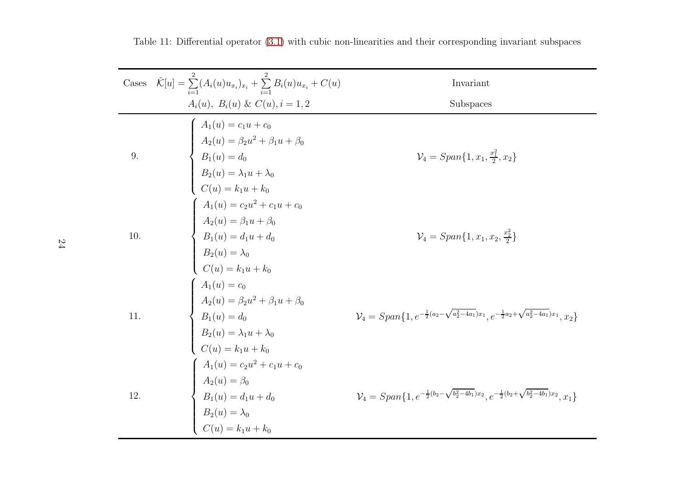| Cases | $\hat{\mathcal{K}}[u] = \sum_{i=1}^{2} (A_i(u)u_{x_i})_{x_i} + \sum_{i=1}^{2} B_i(u)u_{x_i} + C(u)$                                                                                                             | Invariant                                                                                                                                     |
|-------|-----------------------------------------------------------------------------------------------------------------------------------------------------------------------------------------------------------------|-----------------------------------------------------------------------------------------------------------------------------------------------|
|       | $A_i(u)$ , $B_i(u) \& C(u)$ , $i = 1, 2$                                                                                                                                                                        | Subspaces                                                                                                                                     |
| 9.    | $\left\{ \begin{array}{l} A_1(u) = c_1u + c_0 \\[1mm] A_2(u) = \beta_2u^2 + \beta_1u + \beta_0 \\[1mm] B_1(u) = d_0 \\[1mm] B_2(u) = \lambda_1u + \lambda_0 \\[1mm] C(u) = k_1u + k_0 \end{array} \right.$      | $\mathcal{V}_4 = Span\{1, x_1, \frac{x_1^2}{2}, x_2\}$                                                                                        |
| 10.   | $\left\{ \begin{array}{ll} A_1(u)=c_2u^2+c_1u+c_0 \cr A_2(u)=\beta_1u+\beta_0 \cr B_1(u)=d_1u+d_0 \cr B_2(u)=\lambda_0 \cr C(u)=k_1u+k_0 \end{array} \right.$                                                   | $\mathcal{V}_4 = Span\{1, x_1, x_2, \frac{x_2^2}{2}\}\$                                                                                       |
| 11.   | $\left\{ \begin{array}{l} A_1(u) = c_0 \\[0.2cm] A_2(u) = \beta_2 u^2 + \beta_1 u + \beta_0 \\[0.2cm] B_1(u) = d_0 \\[0.2cm] B_2(u) = \lambda_1 u + \lambda_0 \\[0.2cm] C(u) = k_1 u + k_0 \end{array} \right.$ | $\mathcal{V}_4=Span\{1,e^{-\frac{1}{2}(a_2-\sqrt{a_2^2-4a_1})x_1},e^{-\frac{1}{2}a_2+\sqrt{a_2^2-4a_1})x_1},x_2\}$                            |
| 12.   | $A_1(u) = c_2u^2 + c_1u + c_0$<br>$A_2(u) = \beta_0$<br>$B_1(u) = d_1u + d_0$<br>$B_2(u) = \lambda_0$<br>$C(u) = k_1u + k_0$                                                                                    | $\mathcal{V}_{4} = Span\{1,e^{-\frac{1}{2}(b_{2}-\sqrt{b_{2}^{2}-4b_{1}})x_{2}},e^{-\frac{1}{2}(b_{2}+\sqrt{b_{2}^{2}-4b_{1}})x_{2}},x_{1}\}$ |

Table 11: Differential operator [\(3.1\)](#page-10-1) with cubic non-linearities and their corresponding invariant subspaces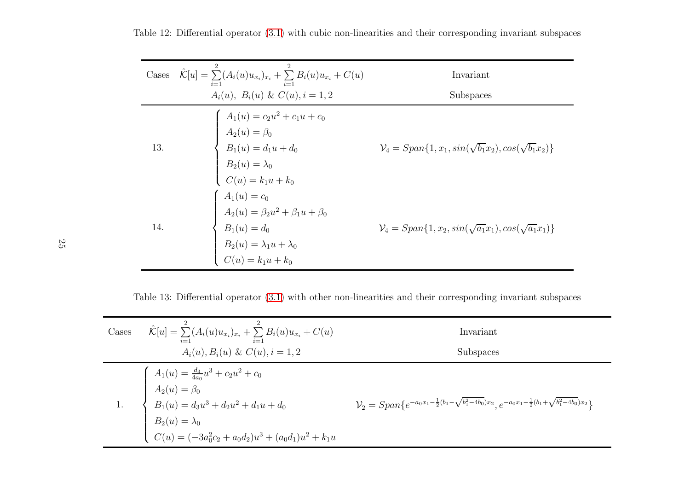|     | Cases $\hat{\mathcal{K}}[u] = \sum_{i=1}^{n} (A_i(u)u_{x_i})_{x_i} + \sum_{i=1}^{n} B_i(u)u_{x_i} + C(u)$                                      | Invariant                                                                 |
|-----|------------------------------------------------------------------------------------------------------------------------------------------------|---------------------------------------------------------------------------|
|     | $A_i(u)$ , $B_i(u)$ & $C(u)$ , $i = 1, 2$                                                                                                      | Subspaces                                                                 |
| 13. | $A_1(u) = c_2u^2 + c_1u + c_0$<br>$A_2(u) = \beta_0$<br>$B_1(u) = d_1u + d_0$<br>$B_2(u) = \lambda_0$<br>$C(u) = k_1u + k_0$                   | $\mathcal{V}_4 = Span\{1, x_1, sin(\sqrt{b_1}x_2), cos(\sqrt{b_1}x_2)\}\$ |
| 14. | $A_1(u) = c_0$<br>$A_2(u) = \beta_2 u^2 + \beta_1 u + \beta_0$<br>$B_1(u) = d_0$<br>$B_2(u) = \lambda_1 u + \lambda_0$<br>$C(u) = k_1 u + k_0$ | $\mathcal{V}_4 = Span{1, x_2, sin(\sqrt{a_1}x_1), cos(\sqrt{a_1}x_1)}$    |

Table 12: Differential operator [\(3.1\)](#page-10-1) with cubic non-linearities and their corresponding invariant subspaces

Table 13: Differential operator [\(3.1\)](#page-10-1) with other non-linearities and their corresponding invariant subspaces

| Cases | $\hat{\mathcal{K}}[u] = \sum_{i=1}^2 (A_i(u)u_{x_i})_{x_i} + \sum_{i=1}^2 B_i(u)u_{x_i} + C(u)$                                                                                                          | Invariant                                                                                                                      |
|-------|----------------------------------------------------------------------------------------------------------------------------------------------------------------------------------------------------------|--------------------------------------------------------------------------------------------------------------------------------|
|       | $A_i(u), B_i(u) \& C(u), i = 1, 2$                                                                                                                                                                       | Subspaces                                                                                                                      |
|       | 1.<br>$A_1(u) = \frac{d_3}{4a_0}u^3 + c_2u^2 + c_0$<br>$A_2(u) = \beta_0$<br>$B_1(u) = d_3u^3 + d_2u^2 + d_1u + d_0$<br>$B_2(u) = \lambda_0$<br>( $C(u) = (-3a_0^2c_2 + a_0d_2)u^3 + (a_0d_1)u^2 + k_1u$ | $\mathcal{V}_2 = Span\{e^{-a_0x_1-\frac{1}{2}(b_1-\sqrt{b_1^2-4b_0})x_2}, e^{-a_0x_1-\frac{1}{2}(b_1+\sqrt{b_1^2-4b_0})x_2}\}$ |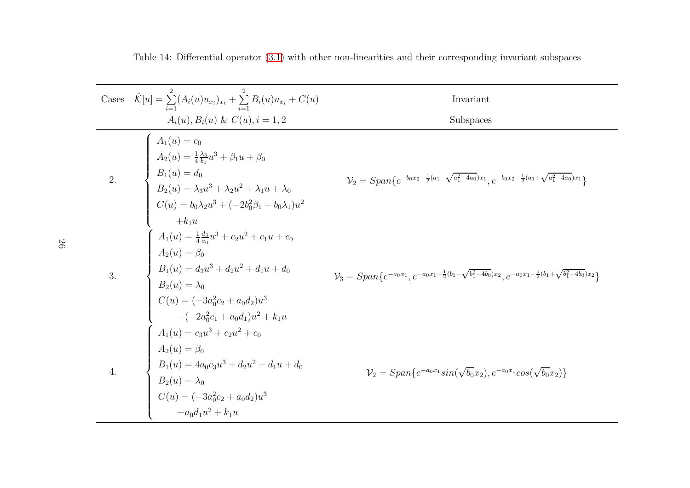|                  | Cases $\hat{\mathcal{K}}[u] = \sum_{i=1}^{n} (A_i(u)u_{x_i})_{x_i} + \sum_{i=1}^{n} B_i(u)u_{x_i} + C(u)$                                                                                                                                                         | Invariant                                                                                                                                   |
|------------------|-------------------------------------------------------------------------------------------------------------------------------------------------------------------------------------------------------------------------------------------------------------------|---------------------------------------------------------------------------------------------------------------------------------------------|
|                  | $A_i(u), B_i(u) \& C(u), i = 1, 2$                                                                                                                                                                                                                                | Subspaces                                                                                                                                   |
| $\overline{2}$ . | $A_1(u) = c_0$<br>$A_2(u) = \frac{1}{4} \frac{\lambda_3}{b_0} u^3 + \beta_1 u + \beta_0$<br>$B_1(u) = d_0$<br>$B_2(u) = \lambda_3 u^3 + \lambda_2 u^2 + \lambda_1 u + \lambda_0$<br>$C(u) = b_0 \lambda_2 u^3 + (-2b_0^2 \beta_1 + b_0 \lambda_1) u^2$<br>$+k_1u$ | $\mathcal{V}_2 = Span\{e^{-b_0x_2 - \frac{1}{2}(a_1 - \sqrt{a_1^2 - 4a_0})x_1}, e^{-b_0x_2 - \frac{1}{2}(a_1 + \sqrt{a_1^2 - 4a_0})x_1}\}$  |
| 3.               | $A_1(u) = \frac{1}{4} \frac{d_3}{a_0} u^3 + c_2 u^2 + c_1 u + c_0$<br>$A_2(u) = \beta_0$<br>$B_1(u) = d_3 u^3 + d_2 u^2 + d_1 u + d_0$<br>$B_2(u) = \lambda_0$<br>$C(u) = (-3a_0^2c_2 + a_0d_2)u^3$<br>$+(-2a_0^2c_1+a_0d_1)u^2+k_1u$                             | $\mathcal{V}_3 = Span\{e^{-a_0x_1}, e^{-a_0x_1-\frac{1}{2}(b_1-\sqrt{b_1^2-4b_0})x_2}, e^{-a_0x_1-\frac{1}{2}(b_1+\sqrt{b_1^2-4b_0})x_2}\}$ |
| 4.               | $A_1(u) = c_3u^3 + c_2u^2 + c_0$<br>$A_2(u) = \beta_0$<br>$B_1(u) = 4a_0c_3u^3 + d_2u^2 + d_1u + d_0$<br>$B_2(u) = \lambda_0$<br>$C(u) = (-3a_0^2c_2 + a_0d_2)u^3$<br>$+a_0d_1u^2 + k_1u$                                                                         | $\mathcal{V}_2 = Span\{e^{-a_0x_1}sin(\sqrt{b_0}x_2), e^{-a_0x_1}cos(\sqrt{b_0}x_2)\}\$                                                     |

Table 14: Differential operator [\(3.1\)](#page-10-1) with other non-linearities and their corresponding invariant subspaces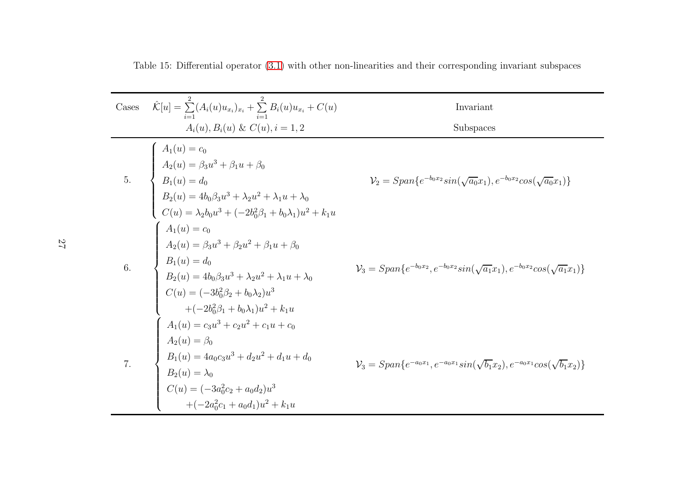Table 15: Differential operator [\(3.1\)](#page-10-1) with other non-linearities and their corresponding invariant subspaces

Cases 
$$
\hat{K}[u] = \sum_{i=1}^{2} (A_i(u)u_{x_i})_{x_i} + \sum_{i=1}^{2} B_i(u)u_{x_i} + C(u)
$$
  
\nInvariant  
\n $A_i(u), B_i(u) \& C(u), i = 1, 2$   
\nSubspaces  
\n
$$
\begin{cases}\nA_1(u) = c_0 \\
A_2(u) = \beta_3 u^3 + \beta_1 u + \beta_0 \\
B_1(u) = d_0\n\end{cases}
$$
\n
$$
V_2 = Span\{e^{-b_0 x_2} sin(\sqrt{a_0}x_1), e^{-b_0 x_2} cos(\sqrt{a_0}x_1)\}
$$
\n
$$
B_2(u) = 4b_0\beta_3 u^3 + \lambda_2 u^2 + \lambda_1 u + \lambda_0
$$
\n
$$
C(u) = \lambda_2 b_0 u^3 + (-2b_0^2\beta_1 + b_0\lambda_1)u^2 + k_1 u
$$
\n
$$
\begin{cases}\nA_1(u) = c_0 \\
A_2(u) = \beta_3 u^3 + \beta_2 u^2 + \beta_1 u + \beta_0 \\
B_1(u) = d_0\n\end{cases}
$$
\n
$$
V_3 = Span\{e^{-b_0 x_2}, e^{-b_0 x_2} sin(\sqrt{a_1}x_1), e^{-b_0 x_2} cos(\sqrt{a_1}x_1)\}
$$
\n
$$
C(u) = (-3b_0^2\beta_2 + b_0\lambda_2)u^3 + (-2b_0^2\beta_1 + b_0\lambda_1)u^2 + k_1 u
$$
\n
$$
A_1(u) = c_3 u^3 + c_2 u^2 + c_1 u + c_0
$$
\n
$$
A_2(u) = \beta_0
$$
\n
$$
B_1(u) = 4a_0c_3u^3 + d_2u^2 + d_1u + d_0
$$
\n
$$
V_3 = Span\{e^{-a_0 x_1}, e^{-a_0 x_1} sin(\sqrt{b_1}x_2), e^{-a_0 x_1} cos(\sqrt{b_1}x_2)\}
$$
\n
$$
B_2(u) = \lambda_0
$$
\n
$$
C(u) = (-3a_0^2c_2 + a_0d_2)u^3 + (-2a_0^2c_1 + a
$$

27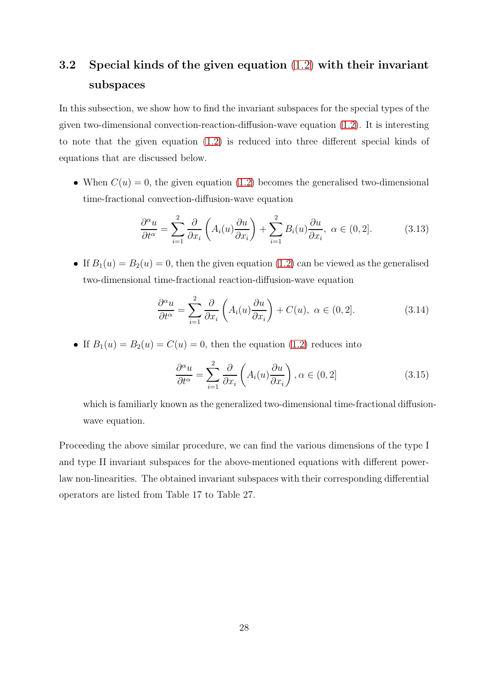### 3.2 Special kinds of the given equation [\(1.2\)](#page-2-0) with their invariant subspaces

In this subsection, we show how to find the invariant subspaces for the special types of the given two-dimensional convection-reaction-diffusion-wave equation  $(1.2)$ . It is interesting to note that the given equation [\(1.2\)](#page-2-0) is reduced into three different special kinds of equations that are discussed below.

• When  $C(u) = 0$ , the given equation [\(1.2\)](#page-2-0) becomes the generalised two-dimensional time-fractional convection-diffusion-wave equation

<span id="page-27-3"></span><span id="page-27-0"></span>
$$
\frac{\partial^{\alpha} u}{\partial t^{\alpha}} = \sum_{i=1}^{2} \frac{\partial}{\partial x_i} \left( A_i(u) \frac{\partial u}{\partial x_i} \right) + \sum_{i=1}^{2} B_i(u) \frac{\partial u}{\partial x_i}, \ \alpha \in (0, 2]. \tag{3.13}
$$

• If  $B_1(u) = B_2(u) = 0$ , then the given equation [\(1.2\)](#page-2-0) can be viewed as the generalised two-dimensional time-fractional reaction-diffusion-wave equation

<span id="page-27-2"></span>
$$
\frac{\partial^{\alpha} u}{\partial t^{\alpha}} = \sum_{i=1}^{2} \frac{\partial}{\partial x_i} \left( A_i(u) \frac{\partial u}{\partial x_i} \right) + C(u), \ \alpha \in (0, 2]. \tag{3.14}
$$

• If  $B_1(u) = B_2(u) = C(u) = 0$ , then the equation [\(1.2\)](#page-2-0) reduces into

<span id="page-27-1"></span>
$$
\frac{\partial^{\alpha} u}{\partial t^{\alpha}} = \sum_{i=1}^{2} \frac{\partial}{\partial x_i} \left( A_i(u) \frac{\partial u}{\partial x_i} \right), \alpha \in (0, 2] \tag{3.15}
$$

which is familiarly known as the generalized two-dimensional time-fractional diffusionwave equation.

Proceeding the above similar procedure, we can find the various dimensions of the type I and type II invariant subspaces for the above-mentioned equations with different powerlaw non-linearities. The obtained invariant subspaces with their corresponding differential operators are listed from Table 17 to Table 27.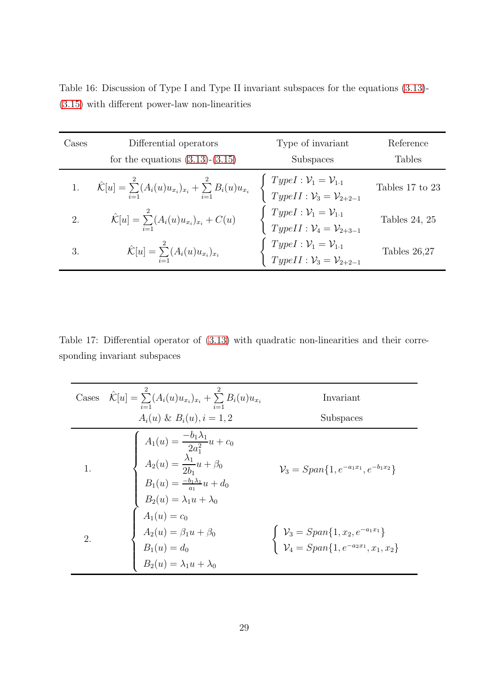| Cases | Differential operators<br>for the equations $(3.13)-(3.15)$                                  | Type of invariant<br>Subspaces                                                                   | Reference<br><b>Tables</b> |
|-------|----------------------------------------------------------------------------------------------|--------------------------------------------------------------------------------------------------|----------------------------|
|       | $\hat{\mathcal{K}}[u] = \sum_{i=1}^{2} (A_i(u)u_{x_i})_{x_i} + \sum_{i=1}^{2} B_i(u)u_{x_i}$ | $TypeI: \mathcal{V}_1 = \mathcal{V}_{1\cdot 1}$<br>$TypeII: \mathcal{V}_3 = \mathcal{V}_{2+2-1}$ | Tables 17 to 23            |
| 2.    | $\hat{\mathcal{K}}[u] = \sum_{i=1}^{2} (A_i(u)u_{x_i})_{x_i} + C(u)$                         | $TypeI: \mathcal{V}_1 = \mathcal{V}_{1\cdot 1}$<br>$TypeII: \mathcal{V}_4 = \mathcal{V}_{2+3-1}$ | Tables $24, 25$            |
| 3.    | $\hat{\mathcal{K}}[u] = \sum_{i=1}^{2} (A_i(u)u_{x_i})_{x_i}$                                | TypeI: $\mathcal{V}_1 = \mathcal{V}_{1\cdot 1}$<br>TypeII: $\mathcal{V}_3 = \mathcal{V}_{2+2-1}$ | Tables $26,27$             |

Table 16: Discussion of Type I and Type II invariant subspaces for the equations [\(3.13\)](#page-27-0)- [\(3.15\)](#page-27-1) with different power-law non-linearities

Table 17: Differential operator of [\(3.13\)](#page-27-0) with quadratic non-linearities and their corresponding invariant subspaces

| Cases | $\hat{\mathcal{K}}[u] = \sum_{i=1} (A_i(u)u_{x_i})_{x_i} + \sum_{i=1} B_i(u)u_{x_i}$                                                                                                                                                                                                         | Invariant                                                                                                                                           |
|-------|----------------------------------------------------------------------------------------------------------------------------------------------------------------------------------------------------------------------------------------------------------------------------------------------|-----------------------------------------------------------------------------------------------------------------------------------------------------|
|       | $A_i(u) \& B_i(u), i = 1, 2$                                                                                                                                                                                                                                                                 | Subspaces                                                                                                                                           |
|       | $A_1(u) = \frac{-b_1\lambda_1}{2a_1^2}u + c_0$<br>$A_2(u) = \frac{\lambda_1}{2b_1}u + \beta_0$<br>$B_1(u) = \frac{-b_1\lambda_1}{a_1}u + d_0$<br>$B_2(u) = \lambda_1u + \lambda_0$<br>$A_1(u) = c_0$<br>$A_2(u) = \beta_1u + \beta_0$<br>$B_1(u) = d_0$<br>$B_2(u) = \lambda_1u + \lambda_0$ | $\mathcal{V}_3 = Span\{1, e^{-a_1x_1}, e^{-b_1x_2}\}\$                                                                                              |
| 2.    |                                                                                                                                                                                                                                                                                              | $\left\{\n\begin{array}{l}\n\mathcal{V}_3 = Span\{1, x_2, e^{-a_1x_1}\} \\ \mathcal{V}_4 = Span\{1, e^{-a_2x_1}, x_1, x_2\}\n\end{array}\n\right\}$ |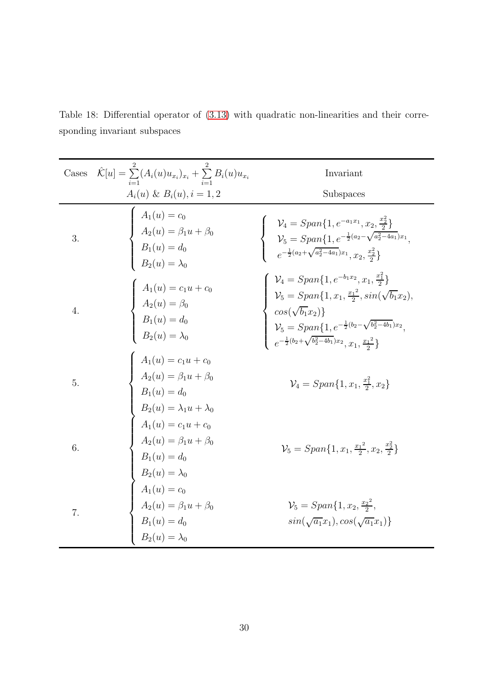| Cases | $\hat{\mathcal{K}}[u] = \sum_{i=1}^{k} (A_i(u)u_{x_i})_{x_i} + \sum_{i=1}^{k} B_i(u)u_{x_i}$                                                                                                                                                                                                                                              | Invariant                                                                                                                                                                                                                                                                                                                                                       |
|-------|-------------------------------------------------------------------------------------------------------------------------------------------------------------------------------------------------------------------------------------------------------------------------------------------------------------------------------------------|-----------------------------------------------------------------------------------------------------------------------------------------------------------------------------------------------------------------------------------------------------------------------------------------------------------------------------------------------------------------|
|       | $A_i(u) \& B_i(u), i = 1, 2$                                                                                                                                                                                                                                                                                                              | Subspaces                                                                                                                                                                                                                                                                                                                                                       |
| 3.    | $\left\{ \begin{array}{l} A_1(u) = c_0 \[2mm] A_2(u) = \beta_1 u + \beta_0 \[2mm] B_1(u) = d_0 \[2mm] B_2(u) = \lambda_0 \end{array} \right.$                                                                                                                                                                                             | $\label{eq:V4} \begin{cases} &\mathcal{V}_4=Span\{1,e^{-a_1x_1},x_2,\frac{x_2^2}{2}\}\\ &\mathcal{V}_5=Span\{1,e^{-\frac{1}{2}(a_2-\sqrt{a_2^2-4a_1})x_1},\\ &e^{-\frac{1}{2}(a_2+\sqrt{a_2^2-4a_1})x_1},x_2,\frac{x_2^2}{2}\} \end{cases}$                                                                                                                     |
| 4.    | $A_1(u) = c_1u + c_0$<br>$A_2(u) = \beta_0$<br>$B_1(u) = d_0$<br>$B_2(u) = \lambda_0$                                                                                                                                                                                                                                                     | $\left\{ \begin{array}{l} \mathcal{V}_4 = Span\{1, e^{-b_1x_2}, x_1, \frac{x_1^2}{2}\} \\ \mathcal{V}_5 = Span\{1, x_1, \frac{x_1^2}{2}, sin(\sqrt{b_1}x_2), \\ cos(\sqrt{b_1}x_2)\} \\ \mathcal{V}_5 = Span\{1, e^{-\frac{1}{2}(b_2 - \sqrt{b_2^2 - 4b_1})x_2}, \\ e^{-\frac{1}{2}(b_2 + \sqrt{b_2^2 - 4b_1})x_2}, x_1, \frac{x_1^2}{2}\} \end{array} \right.$ |
| 5.    |                                                                                                                                                                                                                                                                                                                                           | $\mathcal{V}_4 = Span{1, x_1, \frac{x_1^2}{2}, x_2\}$                                                                                                                                                                                                                                                                                                           |
| 6.    | $\left\{ \begin{array}{l} A_1(u)=c_1u+c_0\\ A_2(u)=\beta_1u+\beta_0\\ B_1(u)=d_0\\ B_2(u)=\lambda_1u+\lambda_0\\ A_1(u)=c_1u+c_0\\ A_2(u)=\beta_1u+\beta_0\\ B_1(u)=d_0\\ B_2(u)=\lambda_0\\ A_1(u)=c_0\\ A_2(u)=\beta_1u+\beta_0\\ B_1(u)=d_0\\ B_1(u)=d_0\\ B_1(u)=d_0\\ B_1(u)=d_0\\ B_1(u)=d_0\\ B_2(u)=\lambda_1\end{array} \right.$ | $\mathcal{V}_5 = Span\{1, x_1, \frac{x_1^2}{2}, x_2, \frac{x_2^2}{2}\}\$                                                                                                                                                                                                                                                                                        |
| 7.    |                                                                                                                                                                                                                                                                                                                                           | $\mathcal{V}_5 = Span\{1, x_2, \frac{x_2^2}{2}, \}$<br>$sin(\sqrt{a_1}x_1), cos(\sqrt{a_1}x_1)$                                                                                                                                                                                                                                                                 |

Table 18: Differential operator of [\(3.13\)](#page-27-0) with quadratic non-linearities and their corresponding invariant subspaces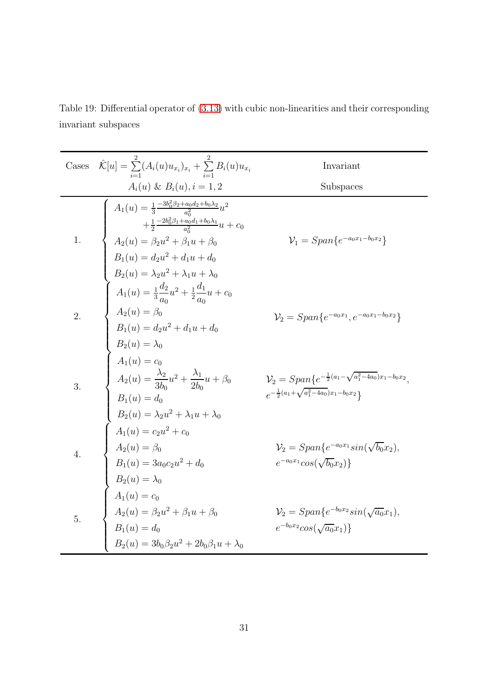Table 19: Differential operator of [\(3.13\)](#page-27-0) with cubic non-linearities and their corresponding invariant subspaces

Cases 
$$
\hat{K}[u] = \sum_{i=1}^{2} (A_i(u)u_{x_i})_{x_i} + \sum_{i=1}^{2} B_i(u)u_{x_i}
$$
 Invariant  
\n $A_i(u)$  &  $B_i(u), i = 1, 2$  Subspaces  
\n
$$
A_1(u) = \frac{1}{3} \frac{-3b_0^2 \beta_2 + a_0 \alpha_2 + b_0 \lambda_2}{a_0^2} u^2 + \frac{1}{2} \frac{-2b_0^2 \beta_1 + a_0 \alpha_2 + b_0 \lambda_1}{a_0^2} u + c_0
$$
\n1.  $\begin{cases} A_2(u) = \beta_2 u^2 + \beta_1 u + \beta_0 \\ A_2(u) = \beta_2 u^2 + \beta_1 u + d_0 \\ B_2(u) = \lambda_2 u^2 + \lambda_1 u + \lambda_0 \end{cases}$   
\n2.  $\begin{cases} A_1(u) = \frac{1}{3} \frac{d_2}{a_0} u^2 + \frac{1}{2} \frac{d_1}{a_0} u + c_0 \\ A_1(u) = \frac{1}{3} \frac{d_2}{a_0} u^2 + \frac{1}{2} \frac{d_1}{a_0} u + c_0 \\ B_2(u) = \lambda_0 \end{cases}$   
\n3.  $\begin{cases} A_2(u) = \beta_0 \\ A_2(u) = \alpha_0 \\ B_2(u) = \lambda_0 \end{cases}$   
\n $A_2(u) = \frac{\lambda_2}{3b_0} u^2 + \frac{\lambda_1}{2b_0} u + \beta_0 \end{cases}$   
\n $\begin{cases} \n\lambda_1(u) = c_0 \\ A_2(u) = \frac{\lambda_2}{3b_0} u^2 + \frac{\lambda_1}{2b_0} u + \beta_0 \\ B_2(u) = \lambda_2 u^2 + \lambda_1 u + \lambda_0 \end{cases}$   
\n4.  $\begin{cases} \nA_1(u) = c_0 \\ A_2(u) = \beta_0 \\ B_2(u) = \lambda_2 u^2 + c_0 \end{cases}$   
\n $\begin{cases} \n\lambda_1(u) = c_2 u^2 + c_0 \\ A_2(u) = \beta_0 \\ B_2(u) = \lambda_0 \end{cases}$   
\n $\begin{cases} \n\lambda_2(u) = \beta_0 \\$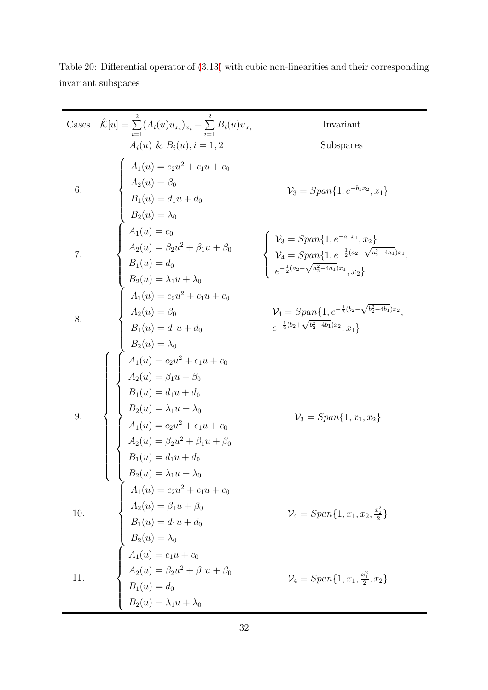| Cases | $\hat{\mathcal{K}}[u] = \sum_{i=1}^{n} (A_i(u)u_{x_i})_{x_i} + \sum_{i=1}^{n} B_i(u)u_{x_i}$                                                                                                                                                                                                                                                                                 | Invariant                                                                                                                                                                                                                     |
|-------|------------------------------------------------------------------------------------------------------------------------------------------------------------------------------------------------------------------------------------------------------------------------------------------------------------------------------------------------------------------------------|-------------------------------------------------------------------------------------------------------------------------------------------------------------------------------------------------------------------------------|
|       | $A_i(u) \& B_i(u), i = 1, 2$                                                                                                                                                                                                                                                                                                                                                 | Subspaces                                                                                                                                                                                                                     |
| 6.    |                                                                                                                                                                                                                                                                                                                                                                              | $\mathcal{V}_3 = Span\{1, e^{-b_1x_2}, x_1\}$                                                                                                                                                                                 |
| 7.    |                                                                                                                                                                                                                                                                                                                                                                              | $\left\{\begin{array}{l} \mathcal{V}_3 = Span\{1, e^{-a_1x_1}, x_2\} \\ \mathcal{V}_4 = Span\{1, e^{-\frac{1}{2}(a_2 - \sqrt{a_2^2 - 4a_1})x_1}, \\ e^{-\frac{1}{2}(a_2 + \sqrt{a_2^2 - 4a_1})x_1}, x_2\} \end{array}\right.$ |
| 8.    |                                                                                                                                                                                                                                                                                                                                                                              | $\mathcal{V}_4 = Span\{1, e^{-\frac{1}{2}(b_2 - \sqrt{b_2^2 - 4b_1})x_2},$<br>$e^{-\frac{1}{2}(b_2 + \sqrt{b_2^2 - 4b_1})x_2}, x_1\}$                                                                                         |
|       | $\label{eq:2.1} \begin{array}{c} A_i(u)\ \&\ B_i(u), i=1,2\\ \hline \\ A_1(u)=c_2u^2+c_1u+c_0\\ A_2(u)=\beta_0\\ B_1(u)=d_1u+d_0\\ B_2(u)=\lambda_0\\ A_1(u)=c_0\\ A_2(u)=\beta_2u^2+\beta_1u+\beta_0\\ B_1(u)=d_0\\ B_2(u)=\lambda_1u+\lambda_0\\ A_1(u)=c_2u^2+c_1u+c_0\\ A_2(u)=\beta_0\\ B_1(u)=d_1u+d_0\\ B_2(u)=\lambda_0\\ \left\{ \begin{array}{l} A_1(u)=c_2u^2+c_$ | $\mathcal{V}_3 = Span\{1, x_1, x_2\}$                                                                                                                                                                                         |
| 10.   |                                                                                                                                                                                                                                                                                                                                                                              | $\mathcal{V}_4 = Span\{1, x_1, x_2, \frac{x_2^2}{2}\}\$                                                                                                                                                                       |
| 11.   | $B_1(u) = a_1u + a_0$<br>$B_2(u) = \lambda_1u + \lambda_0$<br>$A_1(u) = c_2u^2 + c_1u + c_0$<br>$A_2(u) = \beta_1u + \beta_0$<br>$B_1(u) = d_1u + d_0$<br>$B_2(u) = \lambda_0$<br>$A_1(u) = c_1u + c_0$<br>$A_2(u) = \beta_2u^2 + \beta_1u + \beta_0$<br>$B_1(u) = d_0$<br>$B_2(u) = \lambda_1u + \lambda_0$                                                                 | $\mathcal{V}_4 = Span\{1, x_1, \frac{x_1^2}{2}, x_2\}$                                                                                                                                                                        |

Table 20: Differential operator of [\(3.13\)](#page-27-0) with cubic non-linearities and their corresponding invariant subspaces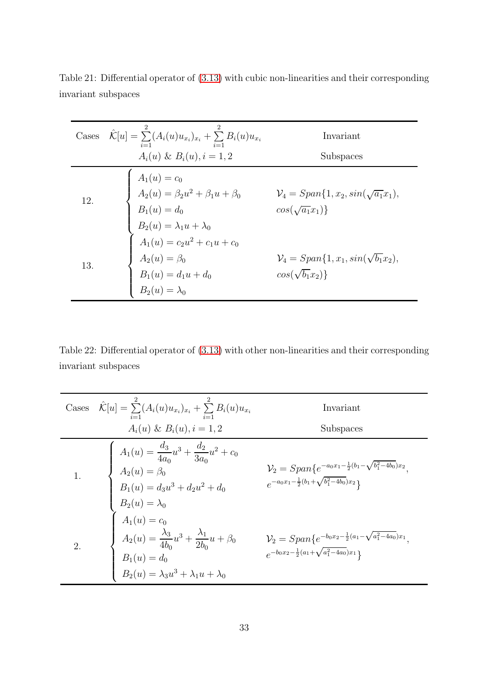|     | Cases $\hat{\mathcal{K}}[u] = \sum_i (A_i(u)u_{x_i})_{x_i} + \sum_{i=1} B_i(u)u_{x_i}$                                                                                                                                                                                     | Invariant                                                                      |
|-----|----------------------------------------------------------------------------------------------------------------------------------------------------------------------------------------------------------------------------------------------------------------------------|--------------------------------------------------------------------------------|
|     | $A_i(u) \& B_i(u), i = 1, 2$                                                                                                                                                                                                                                               | Subspaces                                                                      |
| 12. |                                                                                                                                                                                                                                                                            | $\mathcal{V}_4 = Span\{1, x_2, \sin(\sqrt{a_1}x_1),\}$<br>$cos(\sqrt{a_1}x_1)$ |
| 13. | $\label{eq:1.1} \left\{ \begin{array}{l} A_1(u)=c_0\\[2mm] A_2(u)=\beta_2u^2+\beta_1u+\beta_0\\[2mm] B_1(u)=d_0\\[2mm] B_2(u)=\lambda_1u+\lambda_0\\[2mm] A_1(u)=c_2u^2+c_1u+c_0\\[2mm] A_2(u)=\beta_0\\[2mm] B_1(u)=d_1u+d_0\\[2mm] B_2(u)=\lambda_0 \end{array} \right.$ | $\mathcal{V}_4 = Span\{1, x_1, \sin(\sqrt{b_1x_2}),\}$<br>$cos(\sqrt{b_1x_2})$ |

Table 21: Differential operator of [\(3.13\)](#page-27-0) with cubic non-linearities and their corresponding invariant subspaces

Table 22: Differential operator of [\(3.13\)](#page-27-0) with other non-linearities and their corresponding invariant subspaces

Case 
$$
\hat{K}[u] = \sum_{i=1}^{2} (A_i(u)u_{x_i})_{x_i} + \sum_{i=1}^{2} B_i(u)u_{x_i}
$$
 Invariant  
\n $A_i(u) \& B_i(u), i = 1, 2$  Subspaces  
\n $A_1(u) = \frac{d_3}{4a_0}u^3 + \frac{d_2}{3a_0}u^2 + c_0$   
\n1.  $\begin{cases}\nA_1(u) = \frac{d_3}{4a_0}u^3 + \frac{d_2}{3a_0}u^2 + c_0 \\
A_2(u) = \beta_0 & \mathcal{V}_2 = Span\{e^{-a_0x_1 - \frac{1}{2}(b_1 - \sqrt{b_1^2 - 4b_0})x_2}, \\
B_1(u) = d_3u^3 + d_2u^2 + d_0 & e^{-a_0x_1 - \frac{1}{2}(b_1 + \sqrt{b_1^2 - 4b_0})x_2}\} \\
B_2(u) = \lambda_0 & e^{-a_0x_1 - \frac{1}{2}(b_1 + \sqrt{b_1^2 - 4b_0})x_2} \\
A_2(u) = \frac{\lambda_3}{4b_0}u^3 + \frac{\lambda_1}{2b_0}u + \beta_0 & \mathcal{V}_2 = Span\{e^{-b_0x_2 - \frac{1}{2}(a_1 - \sqrt{a_1^2 - 4a_0})x_1}, \\
B_1(u) = d_0 & e^{-b_0x_2 - \frac{1}{2}(a_1 + \sqrt{a_1^2 - 4a_0})x_1}\} \\
B_2(u) = \lambda_3 u^3 + \lambda_1 u + \lambda_0\n\end{cases}$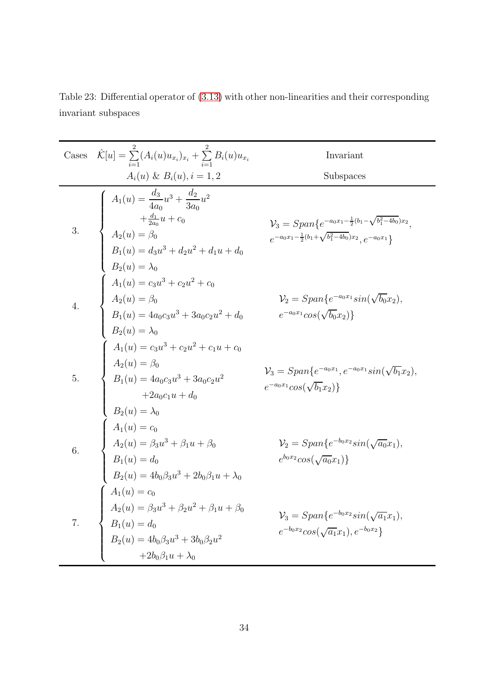Table 23: Differential operator of [\(3.13\)](#page-27-0) with other non-linearities and their corresponding invariant subspaces

Cases

\n
$$
\hat{K}[u] = \sum_{i=1}^{2} (A_i(u)u_{x_i})_{x_i} + \sum_{i=1}^{2} B_i(u)u_{x_i}
$$
\nInvariant

\n
$$
A_i(u) \& B_i(u), i = 1, 2
$$
\nSubspaces

\n
$$
A_1(u) = \frac{d_3}{4a_0}u^3 + \frac{d_2}{3a_0}u^2 + \frac{d_2}{2a_0}u + c_0
$$
\n
$$
V_3 = Span\{e^{-a_0x_1 - \frac{1}{2}(b_1 - \sqrt{b_1^2 - 4b_0})x_2}, e^{-a_0x_1}\}
$$
\n3.

\n
$$
A_2(u) = \beta_0
$$
\n
$$
B_1(u) = d_3u^3 + d_2u^2 + d_1u + d_0
$$
\n
$$
B_2(u) = \lambda_0
$$
\n
$$
A_1(u) = c_3u^3 + c_2u^2 + c_0
$$
\n
$$
A_2(u) = \beta_0
$$
\n
$$
A_1(u) = c_3u^3 + c_2u^2 + c_0
$$
\n
$$
V_2 = Span\{e^{-a_0x_1}sin(\sqrt{b_0}x_2), E_1(u) = 4a_0c_3u^3 + 3a_0c_2u^2 + d_0
$$
\n
$$
v^2 = Span\{e^{-a_0x_1}cos(\sqrt{b_0}x_2)\}
$$
\n
$$
B_2(u) = \lambda_0
$$
\n
$$
A_1(u) = c_3u^3 + c_2u^2 + c_1u + c_0
$$
\n
$$
A_2(u) = \beta_0
$$
\n
$$
B_1(u) = 4a_0c_3u^3 + 3a_0c_2u^2
$$
\n
$$
v^3 = Span\{e^{-a_0x_1}, e^{-a_0x_1}sin(\sqrt{b_1}x_2), e^{-a_0x_1}sin(\sqrt{b_1}x_2), e^{-a_0x_1}sin(\sqrt{b_1}x_2), e^{-a_0x_1}sin(\sqrt{b_1}x_2), e^{-a_0x_1}sin(\sqrt{b_1}x_2
$$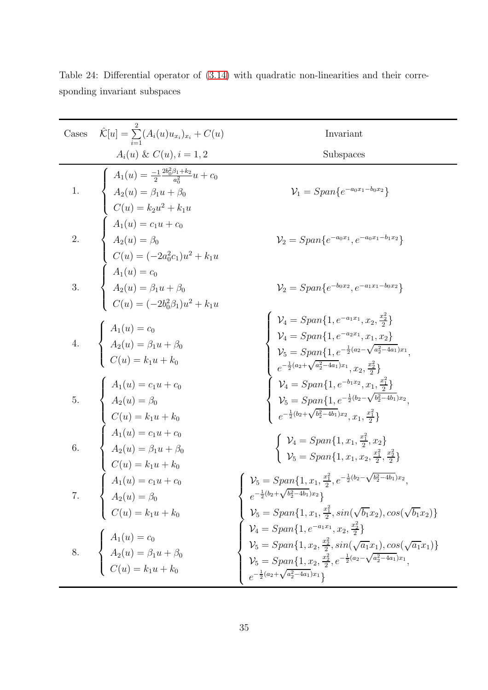| Cases            | $\hat{\mathcal{K}}[u] = \sum_{i=1} (A_i(u) u_{x_i})_{x_i} + C(u)$                                                                                                                                                                                                                                                                  | Invariant                                                                                                                                                                                                                                                                                                                                                                    |
|------------------|------------------------------------------------------------------------------------------------------------------------------------------------------------------------------------------------------------------------------------------------------------------------------------------------------------------------------------|------------------------------------------------------------------------------------------------------------------------------------------------------------------------------------------------------------------------------------------------------------------------------------------------------------------------------------------------------------------------------|
|                  | $A_i(u) \& C(u), i = 1, 2$                                                                                                                                                                                                                                                                                                         | Subspaces                                                                                                                                                                                                                                                                                                                                                                    |
| $\overline{1}$ . | $\left\{ \begin{array}{l} A_1(u)=\frac{-1}{2}\frac{2b_0^2\beta_1+k_2}{a_0^2}u+c_0\\[1.5ex] A_2(u)=\beta_1u+\beta_0\\[1.5ex] C(u)=k_2u^2+k_1u\\[1.5ex] A_1(u)=c_1u+c_0\\[1.5ex] A_2(u)=\beta_0\\[1.5ex] C(u)=(-2a_0^2c_1)u^2+k_1u\\[1.5ex] A_1(u)=c_0\\[1.5ex] A_2(u)=\beta_1u+\beta_0\\[1.5ex] C(u)=(-2b_0^2\beta_1)u^2+k_1u \end$ | $V_1 = Span\{e^{-a_0x_1-b_0x_2}\}\$                                                                                                                                                                                                                                                                                                                                          |
| $\overline{a}$   |                                                                                                                                                                                                                                                                                                                                    | $\mathcal{V}_2 = Span\{e^{-a_0x_1}, e^{-a_0x_1-b_1x_2}\}$                                                                                                                                                                                                                                                                                                                    |
|                  |                                                                                                                                                                                                                                                                                                                                    | $\mathcal{V}_2 = Span\{e^{-b_0x_2}, e^{-a_1x_1-b_0x_2}\}$                                                                                                                                                                                                                                                                                                                    |
|                  | 4. $\begin{cases}\nA_1(u) = c_0 \\ A_2(u) = \beta_1 u + \beta_0 \\ C(u) = k_1 u + k_0\n\end{cases}$                                                                                                                                                                                                                                | $\left\{ \begin{array}{l} \mathcal{V}_4=Span\{1,e^{-a_1x_1},x_2,\frac{x_2^2}{2}\}\\ \mathcal{V}_4=Span\{1,e^{-a_2x_1},x_1,x_2\}\\ \mathcal{V}_5=Span\{1,e^{-\frac{1}{2}(a_2-\sqrt{a_2^2-4a_1})x_1},\\ e^{-\frac{1}{2}(a_2+\sqrt{a_2^2-4a_1})x_1},x_2,\frac{x_2^2}{2}\}\\ \mathcal{V}_4=Span\{1,e^{-b_1x_2},x_1,\frac{x_1^2}{2}\}\\ \mathcal{V}_5=Span\{1,e^{-\frac{1}{2}(b_$ |
|                  | 5.<br>$A_1(u) = c_1u + c_0$<br>$A_2(u) = \beta_0$<br>$C(u) = k_1u + k_0$<br>6.<br>$A_1(u) = c_1u + c_0$<br>$A_2(u) = \beta_1u + \beta_0$<br>$C(u) = k_1u + k_0$<br>$A_1(u) = c_1u + c_0$<br>$A_2(u) = \beta_0$                                                                                                                     |                                                                                                                                                                                                                                                                                                                                                                              |
|                  |                                                                                                                                                                                                                                                                                                                                    | $\begin{cases} \mathcal{V}_4 = Span\{1, x_1, \frac{x_1}{2}, x_2\} \\ \mathcal{V}_5 = Span\{1, x_1, x_2, \frac{x_1^2}{2}, \frac{x_2^2}{2}\} \end{cases}$                                                                                                                                                                                                                      |
|                  | 7. $A_2(u) = \beta_0$<br>$C(u) = k_1 u + k_0$                                                                                                                                                                                                                                                                                      | $\left\{\ \mathcal{V}_5=Span\{1,x_1,\tfrac{x_1^2}{2},e^{-\frac{1}{2}(b_2-\sqrt{b_2^2-4b_1})x_2}\right.$<br>$e^{-\frac{1}{2}(b_2+\sqrt{b_2^2-4b_1})x_2}$<br>$\mathcal{V}_5 = Span\{1, x_1, \frac{x_1^2}{2}, sin(\sqrt{b_1}x_2), cos(\sqrt{b_1}x_2)\}\$                                                                                                                        |
|                  | 8. $A_1(u) = c_0$<br>$A_2(u) = \beta_1 u + \beta_0$<br>$C(u) = k_1 u + k_0$                                                                                                                                                                                                                                                        | $\begin{cases} \mathcal{V}_4 = Span\{1, e^{-a_1x_1}, x_2, \frac{x_2^2}{2}\} \ \mathcal{V}_5 = Span\{1, x_2, \frac{x_2^2}{2}, sin(\sqrt{a_1}x_1), cos(\sqrt{a_1}x_1)\} \ \mathcal{V}_5 = Span\{1, x_2, \frac{x_2^2}{2}, e^{-\frac{1}{2}(a_2 - \sqrt{a_2^2 - 4a_1})x_1}, e^{-\frac{1}{2}(a_2 + \sqrt{a_2^2 - 4a_1})x_1}\} \end{cases}$                                         |

Table 24: Differential operator of [\(3.14\)](#page-27-2) with quadratic non-linearities and their corresponding invariant subspaces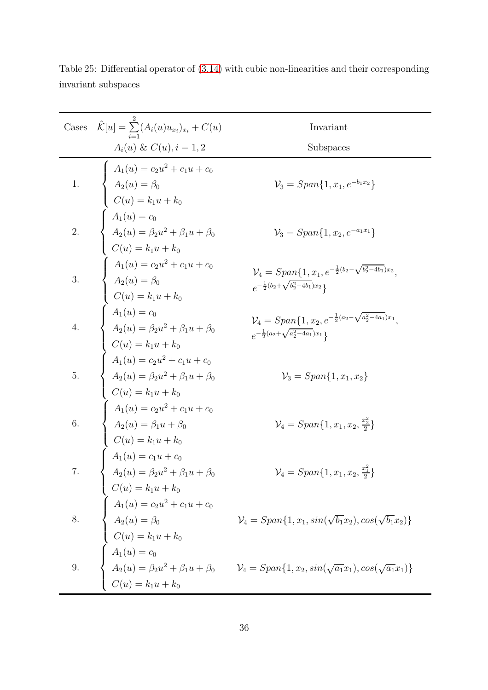| Cases            | $\hat{\mathcal{K}}[u] = \sum_{i=1} (A_i(u)u_{x_i})_{x_i} + C(u)$                                                                                                                                                                                                                                                                                                                         | Invariant                                                                                                                                                                                                                                                                                                                                                  |
|------------------|------------------------------------------------------------------------------------------------------------------------------------------------------------------------------------------------------------------------------------------------------------------------------------------------------------------------------------------------------------------------------------------|------------------------------------------------------------------------------------------------------------------------------------------------------------------------------------------------------------------------------------------------------------------------------------------------------------------------------------------------------------|
|                  | $A_i(u) \& C(u), i = 1, 2$                                                                                                                                                                                                                                                                                                                                                               | Subspaces                                                                                                                                                                                                                                                                                                                                                  |
| $\frac{1}{2}$    | $A_1(u) = c_2u^2 + c_1u + c_0$<br>$A_2(u) = \beta_0$<br>$C(u) = k_1u + k_0$                                                                                                                                                                                                                                                                                                              | $\mathcal{V}_3 = Span\{1, x_1, e^{-b_1x_2}\}\$                                                                                                                                                                                                                                                                                                             |
| $\overline{2}$ . |                                                                                                                                                                                                                                                                                                                                                                                          | $\mathcal{V}_3 = Span\{1, x_2, e^{-a_1x_1}\}\$                                                                                                                                                                                                                                                                                                             |
| 3.               | $\left\{ \begin{array}{l} C(u)=k_{1}u+k_{0} \\ A_{1}(u)=c_{0} \\ A_{2}(u)=\beta_{2}u^{2}+\beta_{1}u+\beta_{0} \\ C(u)=k_{1}u+k_{0} \\ A_{2}(u)=\beta_{0} \\ C(u)=k_{1}u+k_{0} \\ A_{2}(u)=\beta_{0} \\ C(u)=k_{1}u+k_{0} \\ A_{1}(u)=c_{0} \\ A_{2}(u)=\beta_{2}u^{2}+\beta_{1}u+\beta_{0} \\ C(u)=k_{1}u+k_{0} \\ A_{1}(u)=c_{2}u^{2}+c_{1}u+c_{0} \\ A_{2}(u)=\beta_{2}u^{2}+\beta_{1$ | $\mathcal{V}_4 = Span\{1, x_1, e^{-\frac{1}{2}(b_2 - \sqrt{b_2^2 - 4b_1})x_2}, e^{-\frac{1}{2}(b_2 + \sqrt{b_2^2 - 4b_1})x_2}\}$                                                                                                                                                                                                                           |
| $\overline{4}$ . |                                                                                                                                                                                                                                                                                                                                                                                          | $\mathcal{V}_4 = Span\{1, x_2, e^{-\frac{1}{2}(a_2 - \sqrt{a_2^2 - 4a_1})x_1}, e^{-\frac{1}{2}(a_2 + \sqrt{a_2^2 - 4a_1})x_1}\}$                                                                                                                                                                                                                           |
| $\overline{5}$ . |                                                                                                                                                                                                                                                                                                                                                                                          | $\mathcal{V}_3 = Span\{1, x_1, x_2\}$                                                                                                                                                                                                                                                                                                                      |
| 6.               |                                                                                                                                                                                                                                                                                                                                                                                          | $\mathcal{V}_4 = Span\{1, x_1, x_2, \frac{x_2^2}{2}\}\$                                                                                                                                                                                                                                                                                                    |
| $\overline{7}$ . |                                                                                                                                                                                                                                                                                                                                                                                          | $\mathcal{V}_4 = Span\{1, x_1, x_2, \frac{x_1^2}{2}\}\$                                                                                                                                                                                                                                                                                                    |
|                  |                                                                                                                                                                                                                                                                                                                                                                                          |                                                                                                                                                                                                                                                                                                                                                            |
|                  |                                                                                                                                                                                                                                                                                                                                                                                          | 3.<br>$C(u) = k_1 u + k_0$<br>8.<br>$A_1(u) = c_2 u^2 + c_1 u + c_0$<br>$C(u) = k_1 u + k_0$<br>$C(u) = k_1 u + k_0$<br>9.<br>$A_2(u) = \beta_0$<br>$V_4 = Span{1, x_1, sin(\sqrt{b_1}x_2), cos(\sqrt{b_1}x_2)}$<br>$C(u) = k_1 u + k_0$<br>9.<br>$A_2(u) = \beta_2 u^2 + \beta_1 u + \beta_0$<br>$V_4 = Span{1, x_2, sin(\sqrt{a_1}x_1), cos(\sqrt{a_1}x$ |

Table 25: Differential operator of [\(3.14\)](#page-27-2) with cubic non-linearities and their corresponding invariant subspaces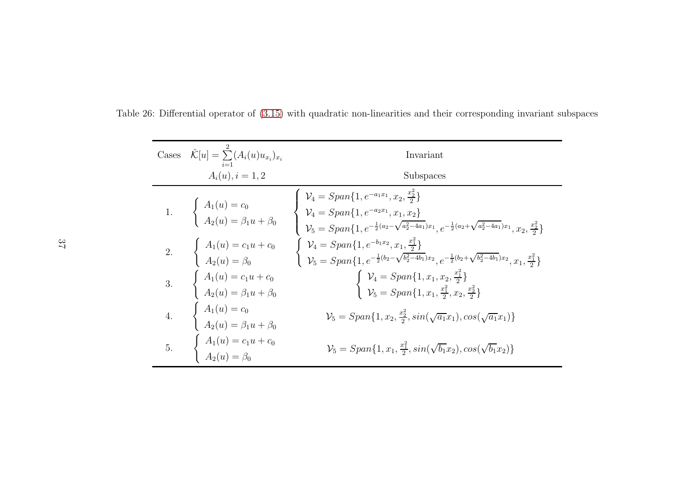| Cases $\hat{\mathcal{K}}[u] = \sum_{i=1}^{2} (A_i(u)u_{x_i})_{x_i}$                 | Invariant                                                                                                                                                                                                                                                                                                                                                                 |
|-------------------------------------------------------------------------------------|---------------------------------------------------------------------------------------------------------------------------------------------------------------------------------------------------------------------------------------------------------------------------------------------------------------------------------------------------------------------------|
| $A_i(u), i = 1, 2$                                                                  | Subspaces                                                                                                                                                                                                                                                                                                                                                                 |
|                                                                                     | 1. $\begin{cases} A_1(u) = c_0 \\ A_2(u) = \beta_1 u + \beta_0 \end{cases} \begin{cases} \mathcal{V}_4 = Span\{1, e^{-a_1x_1}, x_2, \frac{x_2^2}{2}\} \\ \mathcal{V}_4 = Span\{1, e^{-a_2x_1}, x_1, x_2\} \\ \mathcal{V}_5 = Span\{1, e^{-\frac{1}{2}(a_2 - \sqrt{a_2^2 - 4a_1})x_1}, e^{-\frac{1}{2}(a_2 + \sqrt{a_2^2 - 4a_1})x_1}, x_2, \frac{x_2^2}{2}\} \end{cases}$ |
|                                                                                     | 2. $\begin{cases} A_1(u) = c_1u + c_0 \\ A_2(u) = \beta_0 \end{cases}$ $\begin{cases} \mathcal{V}_4 = Span\{1, e^{-b_1x_2}, x_1, \frac{x_1^2}{2}\} \\ \mathcal{V}_5 = Span\{1, e^{-\frac{1}{2}(b_2 - \sqrt{b_2^2 - 4b_1})x_2}, e^{-\frac{1}{2}(b_2 + \sqrt{b_2^2 - 4b_1})x_2}, x_1, \frac{x_1^2}{2}\} \end{cases}$                                                        |
| 3. $\begin{cases} A_1(u) = c_1 u + c_0 \\ A_2(u) = \beta_1 u + \beta_0 \end{cases}$ | $\begin{cases} \mathcal{V}_4 = Span\{1, x_1, x_2, \frac{x_1^2}{2}\} \\ \mathcal{V}_5 = Span\{1, x_1, \frac{x_1^2}{2}, x_2, \frac{x_2^2}{2}\} \end{cases}$                                                                                                                                                                                                                 |
| 4. $\begin{cases} A_1(u) = c_0 \\ A_2(u) = \beta_1 u + \beta_0 \end{cases}$         | $\mathcal{V}_5 = Span\{1, x_2, \frac{x_2^2}{2}, \sin(\sqrt{a_1}x_1), \cos(\sqrt{a_1}x_1)\}\$                                                                                                                                                                                                                                                                              |
| 5. $\begin{cases} A_1(u) = c_1 u + c_0 \\ A_2(u) = \beta_0 \end{cases}$             | $\mathcal{V}_5 = Span\{1, x_1, \frac{x_1^2}{2}, \sin(\sqrt{b_1}x_2), \cos(\sqrt{b_1}x_2)\}\$                                                                                                                                                                                                                                                                              |

Table 26: Differential operator of [\(3.15\)](#page-27-3) with quadratic non-linearities and their corresponding invariant subspaces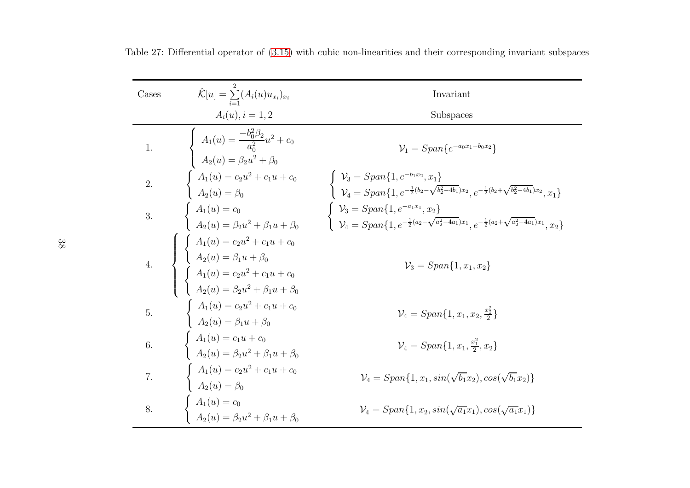| Cases            | $\hat{\mathcal{K}}[u] = \sum_{i=1}^{\infty} (A_i(u) u_{x_i})_{x_i}$                                                                                                                                            | Invariant                                                                                                                                                                                                 |
|------------------|----------------------------------------------------------------------------------------------------------------------------------------------------------------------------------------------------------------|-----------------------------------------------------------------------------------------------------------------------------------------------------------------------------------------------------------|
|                  | $A_i(u), i = 1, 2$                                                                                                                                                                                             | Subspaces                                                                                                                                                                                                 |
| $\overline{1}$ . | $A_1(u) = \frac{-b_0^2 \beta_2}{a_0^2} u^2 + c_0$<br>$A_2(u) = \beta_2 u^2 + \beta_0$<br>$\begin{cases} A_1(u) = c_2 u^2 + c_1 u + c_0 \\ A_2(u) = \beta_0 \end{cases}$                                        | $V_1 = Span\{e^{-a_0x_1-b_0x_2}\}\$                                                                                                                                                                       |
| $\overline{2}$ . |                                                                                                                                                                                                                | $\begin{cases} \mathcal{V}_3 = Span\{1, e^{-b_1x_2}, x_1\} \\ \mathcal{V}_4 = Span\{1, e^{-\frac{1}{2}(b_2 - \sqrt{b_2^2 - 4b_1})x_2}, e^{-\frac{1}{2}(b_2 + \sqrt{b_2^2 - 4b_1})x_2}, x_1\} \end{cases}$ |
| 3.               | $\begin{cases}\nA_1(u) = c_0 \\ A_2(u) = \beta_2 u^2 + \beta_1 u + \beta_0\n\end{cases}$                                                                                                                       | $\begin{cases} \mathcal{V}_3 = Span\{1, e^{-a_1x_1}, x_2\} \\ \mathcal{V}_4 = Span\{1, e^{-\frac{1}{2}(a_2-\sqrt{a_2^2-4a_1})x_1}, e^{-\frac{1}{2}(a_2+\sqrt{a_2^2-4a_1})x_1}, x_2\} \end{cases}$         |
|                  | 4.<br>$\left\{\begin{array}{l} \left\{\begin{array}{l} A_1(u)=c_2u^2+c_1u+c_0\\[0.2cm] A_2(u)=\beta_1u+\beta_0\\[0.2cm] A_1(u)=c_2u^2+c_1u+c_0\\[0.2cm] A_2(u)=\beta_2u^2+\beta_1u+\beta_0 \end{array}\right.$ | $\mathcal{V}_3 = Span\{1, x_1, x_2\}$                                                                                                                                                                     |
| 5.               | $\begin{cases}\nA_1(u) = c_2 u^2 + c_1 u + c_0 \\ A_2(u) = \beta_1 u + \beta_0\n\end{cases}$                                                                                                                   | $\mathcal{V}_4 = Span{1, x_1, x_2, \frac{x_2^2}{2}}$                                                                                                                                                      |
| 6.               | $\left\{ \begin{array}{l} A_1(u) = c_1 u + c_0 \\[1mm] A_2(u) = \beta_2 u^2 + \beta_1 u + \beta_0 \end{array} \right.$                                                                                         | $\mathcal{V}_4 = \text{Span}\{1, x_1, \frac{x_1^2}{2}, x_2\}$                                                                                                                                             |
| $\overline{7}$ . | $\begin{cases}\nA_1(u) = c_2 u^2 + c_1 u + c_0 \\ A_2(u) = \beta_0\n\end{cases}$                                                                                                                               | $\mathcal{V}_4 = Span\{1, x_1, sin(\sqrt{b_1}x_2), cos(\sqrt{b_1}x_2)\}\$                                                                                                                                 |
| 8.               | $A_1(u) = c_0$<br>$A_2(u) = \beta_2 u^2 + \beta_1 u + \beta_0$                                                                                                                                                 | $\mathcal{V}_4 = Span{1, x_2, sin(\sqrt{a_1}x_1), cos(\sqrt{a_1}x_1)}$                                                                                                                                    |

Table 27: Differential operator of [\(3.15\)](#page-27-3) with cubic non-linearities and their corresponding invariant subspaces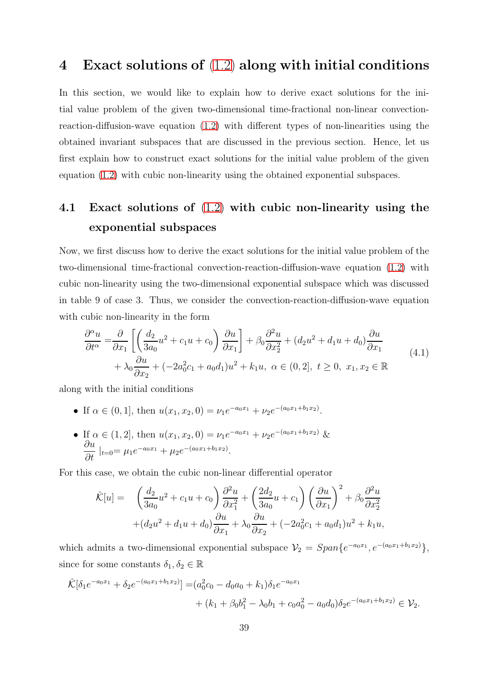#### 4 Exact solutions of [\(1.2\)](#page-2-0) along with initial conditions

In this section, we would like to explain how to derive exact solutions for the initial value problem of the given two-dimensional time-fractional non-linear convectionreaction-diffusion-wave equation [\(1.2\)](#page-2-0) with different types of non-linearities using the obtained invariant subspaces that are discussed in the previous section. Hence, let us first explain how to construct exact solutions for the initial value problem of the given equation [\(1.2\)](#page-2-0) with cubic non-linearity using the obtained exponential subspaces.

#### 4.1 Exact solutions of [\(1.2\)](#page-2-0) with cubic non-linearity using the exponential subspaces

Now, we first discuss how to derive the exact solutions for the initial value problem of the two-dimensional time-fractional convection-reaction-diffusion-wave equation [\(1.2\)](#page-2-0) with cubic non-linearity using the two-dimensional exponential subspace which was discussed in table 9 of case 3. Thus, we consider the convection-reaction-diffusion-wave equation with cubic non-linearity in the form

<span id="page-38-0"></span>
$$
\frac{\partial^{\alpha} u}{\partial t^{\alpha}} = \frac{\partial}{\partial x_1} \left[ \left( \frac{d_2}{3a_0} u^2 + c_1 u + c_0 \right) \frac{\partial u}{\partial x_1} \right] + \beta_0 \frac{\partial^2 u}{\partial x_2^2} + (d_2 u^2 + d_1 u + d_0) \frac{\partial u}{\partial x_1} + \lambda_0 \frac{\partial u}{\partial x_2} + (-2a_0^2 c_1 + a_0 d_1) u^2 + k_1 u, \ \alpha \in (0, 2], \ t \ge 0, \ x_1, x_2 \in \mathbb{R} \tag{4.1}
$$

along with the initial conditions

- If  $\alpha \in (0, 1]$ , then  $u(x_1, x_2, 0) = \nu_1 e^{-a_0 x_1} + \nu_2 e^{-(a_0 x_1 + b_1 x_2)}$ .
- If  $\alpha \in (1, 2]$ , then  $u(x_1, x_2, 0) = \nu_1 e^{-a_0 x_1} + \nu_2 e^{-(a_0 x_1 + b_1 x_2)}$  & ∂u  $\frac{\partial u}{\partial t}\Big|_{t=0} = \mu_1 e^{-a_0 x_1} + \mu_2 e^{-(a_0 x_1 + b_1 x_2)}.$

For this case, we obtain the cubic non-linear differential operator

$$
\hat{\mathcal{K}}[u] = \left(\frac{d_2}{3a_0}u^2 + c_1u + c_0\right)\frac{\partial^2 u}{\partial x_1^2} + \left(\frac{2d_2}{3a_0}u + c_1\right)\left(\frac{\partial u}{\partial x_1}\right)^2 + \beta_0\frac{\partial^2 u}{\partial x_2^2} \n+ (d_2u^2 + d_1u + d_0)\frac{\partial u}{\partial x_1} + \lambda_0\frac{\partial u}{\partial x_2} + (-2a_0^2c_1 + a_0d_1)u^2 + k_1u,
$$

which admits a two-dimensional exponential subspace  $V_2 = Span\{e^{-a_0x_1}, e^{-(a_0x_1+b_1x_2)}\}$ , since for some constants  $\delta_1, \delta_2 \in \mathbb{R}$ 

$$
\hat{\mathcal{K}}[\delta_1 e^{-a_0 x_1} + \delta_2 e^{-(a_0 x_1 + b_1 x_2)}] = (a_0^2 c_0 - d_0 a_0 + k_1) \delta_1 e^{-a_0 x_1} \n+ (k_1 + \beta_0 b_1^2 - \lambda_0 b_1 + c_0 a_0^2 - a_0 d_0) \delta_2 e^{-(a_0 x_1 + b_1 x_2)} \in \mathcal{V}_2.
$$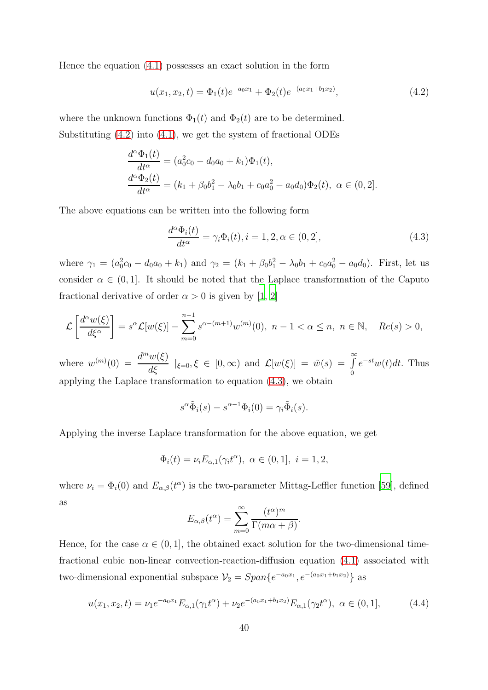Hence the equation [\(4.1\)](#page-38-0) possesses an exact solution in the form

<span id="page-39-0"></span>
$$
u(x_1, x_2, t) = \Phi_1(t)e^{-a_0x_1} + \Phi_2(t)e^{-(a_0x_1 + b_1x_2)},
$$
\n(4.2)

where the unknown functions  $\Phi_1(t)$  and  $\Phi_2(t)$  are to be determined. Substituting [\(4.2\)](#page-39-0) into [\(4.1\)](#page-38-0), we get the system of fractional ODEs

$$
\frac{d^{\alpha}\Phi_1(t)}{dt^{\alpha}} = (a_0^2c_0 - d_0a_0 + k_1)\Phi_1(t),
$$
  
\n
$$
\frac{d^{\alpha}\Phi_2(t)}{dt^{\alpha}} = (k_1 + \beta_0b_1^2 - \lambda_0b_1 + c_0a_0^2 - a_0d_0)\Phi_2(t), \ \alpha \in (0, 2].
$$

The above equations can be written into the following form

<span id="page-39-1"></span>
$$
\frac{d^{\alpha}\Phi_i(t)}{dt^{\alpha}} = \gamma_i \Phi_i(t), i = 1, 2, \alpha \in (0, 2],
$$
\n(4.3)

where  $\gamma_1 = (a_0^2 c_0 - d_0 a_0 + k_1)$  and  $\gamma_2 = (k_1 + \beta_0 b_1^2 - \lambda_0 b_1 + c_0 a_0^2 - a_0 d_0)$ . First, let us consider  $\alpha \in (0,1]$ . It should be noted that the Laplace transformation of the Caputo fractional derivative of order  $\alpha > 0$  is given by [\[1,](#page-55-0) [2\]](#page-55-1)

$$
\mathcal{L}\left[\frac{d^{\alpha}w(\xi)}{d\xi^{\alpha}}\right] = s^{\alpha}\mathcal{L}[w(\xi)] - \sum_{m=0}^{n-1} s^{\alpha-(m+1)}w^{(m)}(0), \ n-1 < \alpha \le n, \ n \in \mathbb{N}, \ Re(s) > 0,
$$

where  $w^{(m)}(0) = \frac{d^m w(\xi)}{d\xi} \mid_{\xi=0}$ ,  $\xi \in [0, \infty)$  and  $\mathcal{L}[w(\xi)] = \tilde{w}(s) = \int_{0}^{\infty}$  $e^{-st}w(t)dt$ . Thus applying the Laplace transformation to equation [\(4.3\)](#page-39-1), we obtain

$$
s^{\alpha} \tilde{\Phi}_i(s) - s^{\alpha - 1} \Phi_i(0) = \gamma_i \tilde{\Phi}_i(s).
$$

Applying the inverse Laplace transformation for the above equation, we get

$$
\Phi_i(t) = \nu_i E_{\alpha,1}(\gamma_i t^{\alpha}), \ \alpha \in (0,1], \ i = 1,2,
$$

where  $\nu_i = \Phi_i(0)$  and  $E_{\alpha,\beta}(t^{\alpha})$  is the two-parameter Mittag-Leffler function [\[59](#page-61-2)], defined as

$$
E_{\alpha,\beta}(t^{\alpha}) = \sum_{m=0}^{\infty} \frac{(t^{\alpha})^m}{\Gamma(m\alpha + \beta)}.
$$

Hence, for the case  $\alpha \in (0, 1]$ , the obtained exact solution for the two-dimensional timefractional cubic non-linear convection-reaction-diffusion equation [\(4.1\)](#page-38-0) associated with two-dimensional exponential subspace  $V_2 = Span\{e^{-a_0x_1}, e^{-(a_0x_1+b_1x_2)}\}$  as

<span id="page-39-2"></span>
$$
u(x_1, x_2, t) = \nu_1 e^{-a_0 x_1} E_{\alpha, 1}(\gamma_1 t^{\alpha}) + \nu_2 e^{-(a_0 x_1 + b_1 x_2)} E_{\alpha, 1}(\gamma_2 t^{\alpha}), \ \alpha \in (0, 1], \tag{4.4}
$$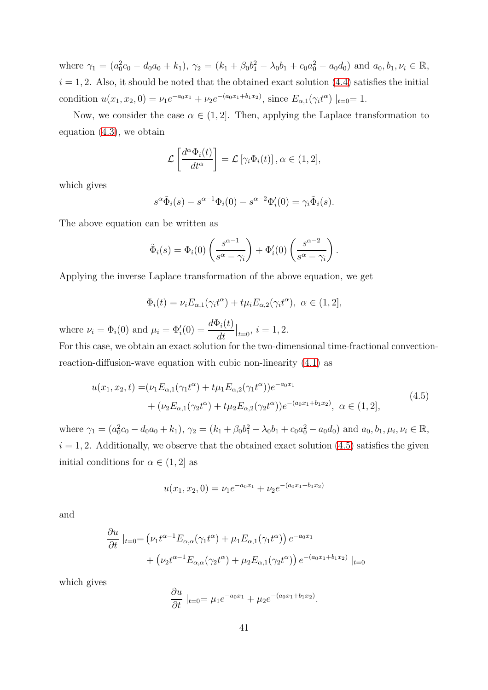where  $\gamma_1 = (a_0^2 c_0 - d_0 a_0 + k_1), \gamma_2 = (k_1 + \beta_0 b_1^2 - \lambda_0 b_1 + c_0 a_0^2 - a_0 d_0)$  and  $a_0, b_1, \nu_i \in \mathbb{R}$ ,  $i = 1, 2$ . Also, it should be noted that the obtained exact solution  $(4.4)$  satisfies the initial condition  $u(x_1, x_2, 0) = \nu_1 e^{-a_0 x_1} + \nu_2 e^{-(a_0 x_1 + b_1 x_2)}$ , since  $E_{\alpha,1}(\gamma_i t^{\alpha})|_{t=0} = 1$ .

Now, we consider the case  $\alpha \in (1, 2]$ . Then, applying the Laplace transformation to equation [\(4.3\)](#page-39-1), we obtain

$$
\mathcal{L}\left[\frac{d^{\alpha}\Phi_i(t)}{dt^{\alpha}}\right] = \mathcal{L}\left[\gamma_i\Phi_i(t)\right], \alpha \in (1, 2],
$$

which gives

$$
s^{\alpha} \tilde{\Phi}_i(s) - s^{\alpha - 1} \Phi_i(0) - s^{\alpha - 2} \Phi'_i(0) = \gamma_i \tilde{\Phi}_i(s).
$$

The above equation can be written as

$$
\tilde{\Phi}_i(s) = \Phi_i(0) \left( \frac{s^{\alpha - 1}}{s^{\alpha} - \gamma_i} \right) + \Phi'_i(0) \left( \frac{s^{\alpha - 2}}{s^{\alpha} - \gamma_i} \right).
$$

Applying the inverse Laplace transformation of the above equation, we get

$$
\Phi_i(t) = \nu_i E_{\alpha,1}(\gamma_i t^{\alpha}) + t \mu_i E_{\alpha,2}(\gamma_i t^{\alpha}), \ \alpha \in (1,2],
$$

where  $\nu_i = \Phi_i(0)$  and  $\mu_i = \Phi'_i(0) = \frac{d\Phi_i(t)}{dt}$ dt  $\big|_{t=0}, i = 1, 2.$ 

For this case, we obtain an exact solution for the two-dimensional time-fractional convectionreaction-diffusion-wave equation with cubic non-linearity [\(4.1\)](#page-38-0) as

<span id="page-40-0"></span>
$$
u(x_1, x_2, t) = (\nu_1 E_{\alpha,1}(\gamma_1 t^{\alpha}) + t\mu_1 E_{\alpha,2}(\gamma_1 t^{\alpha}))e^{-a_0 x_1} + (\nu_2 E_{\alpha,1}(\gamma_2 t^{\alpha}) + t\mu_2 E_{\alpha,2}(\gamma_2 t^{\alpha}))e^{-(a_0 x_1 + b_1 x_2)}, \ \alpha \in (1, 2],
$$
\n(4.5)

where  $\gamma_1 = (a_0^2 c_0 - d_0 a_0 + k_1), \gamma_2 = (k_1 + \beta_0 b_1^2 - \lambda_0 b_1 + c_0 a_0^2 - a_0 d_0)$  and  $a_0, b_1, \mu_i, \nu_i \in \mathbb{R}$ ,  $i = 1, 2$ . Additionally, we observe that the obtained exact solution [\(4.5\)](#page-40-0) satisfies the given initial conditions for  $\alpha \in (1, 2]$  as

$$
u(x_1, x_2, 0) = \nu_1 e^{-a_0 x_1} + \nu_2 e^{-(a_0 x_1 + b_1 x_2)}
$$

and

$$
\frac{\partial u}{\partial t} \mid_{t=0} = \left(\nu_1 t^{\alpha-1} E_{\alpha,\alpha}(\gamma_1 t^{\alpha}) + \mu_1 E_{\alpha,1}(\gamma_1 t^{\alpha})\right) e^{-a_0 x_1} \n+ \left(\nu_2 t^{\alpha-1} E_{\alpha,\alpha}(\gamma_2 t^{\alpha}) + \mu_2 E_{\alpha,1}(\gamma_2 t^{\alpha})\right) e^{-(a_0 x_1 + b_1 x_2)} \mid_{t=0}
$$

which gives

$$
\frac{\partial u}{\partial t}\Big|_{t=0} = \mu_1 e^{-a_0 x_1} + \mu_2 e^{-(a_0 x_1 + b_1 x_2)}.
$$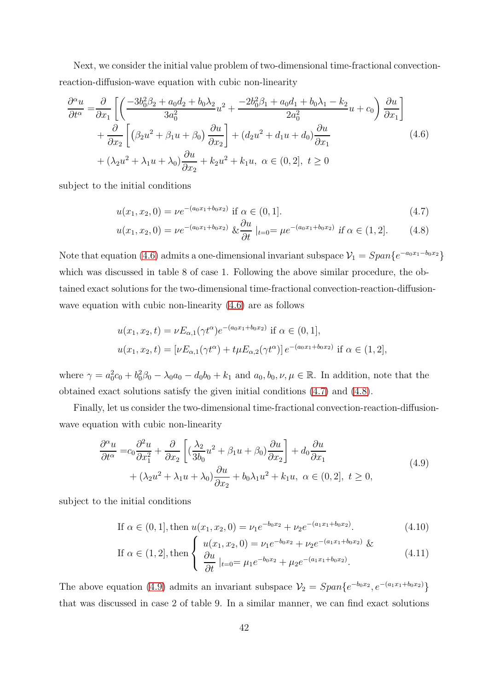Next, we consider the initial value problem of two-dimensional time-fractional convectionreaction-diffusion-wave equation with cubic non-linearity

<span id="page-41-0"></span>
$$
\frac{\partial^{\alpha} u}{\partial t^{\alpha}} = \frac{\partial}{\partial x_1} \left[ \left( \frac{-3b_0^2 \beta_2 + a_0 d_2 + b_0 \lambda_2}{3a_0^2} u^2 + \frac{-2b_0^2 \beta_1 + a_0 d_1 + b_0 \lambda_1 - k_2}{2a_0^2} u + c_0 \right) \frac{\partial u}{\partial x_1} \right] \n+ \frac{\partial}{\partial x_2} \left[ \left( \beta_2 u^2 + \beta_1 u + \beta_0 \right) \frac{\partial u}{\partial x_2} \right] + \left( d_2 u^2 + d_1 u + d_0 \right) \frac{\partial u}{\partial x_1} \n+ (\lambda_2 u^2 + \lambda_1 u + \lambda_0) \frac{\partial u}{\partial x_2} + k_2 u^2 + k_1 u, \ \alpha \in (0, 2], \ t \ge 0
$$
\n(4.6)

subject to the initial conditions

<span id="page-41-1"></span>
$$
u(x_1, x_2, 0) = \nu e^{-(a_0 x_1 + b_0 x_2)} \text{ if } \alpha \in (0, 1].
$$
 (4.7)

$$
u(x_1, x_2, 0) = \nu e^{-(a_0 x_1 + b_0 x_2)} \& \frac{\partial u}{\partial t} \mid_{t=0} = \mu e^{-(a_0 x_1 + b_0 x_2)} \text{ if } \alpha \in (1, 2]. \tag{4.8}
$$

Note that equation [\(4.6\)](#page-41-0) admits a one-dimensional invariant subspace  $\mathcal{V}_1 = Span\{e^{-a_0 x_1 - b_0 x_2}\}$ which was discussed in table 8 of case 1. Following the above similar procedure, the obtained exact solutions for the two-dimensional time-fractional convection-reaction-diffusionwave equation with cubic non-linearity [\(4.6\)](#page-41-0) are as follows

$$
u(x_1, x_2, t) = \nu E_{\alpha,1}(\gamma t^{\alpha})e^{-(a_0x_1 + b_0x_2)} \text{ if } \alpha \in (0, 1],
$$
  

$$
u(x_1, x_2, t) = [\nu E_{\alpha,1}(\gamma t^{\alpha}) + t\mu E_{\alpha,2}(\gamma t^{\alpha})]e^{-(a_0x_1 + b_0x_2)} \text{ if } \alpha \in (1, 2],
$$

where  $\gamma = a_0^2 c_0 + b_0^2 \beta_0 - \lambda_0 a_0 - d_0 b_0 + k_1$  and  $a_0, b_0, \nu, \mu \in \mathbb{R}$ . In addition, note that the obtained exact solutions satisfy the given initial conditions [\(4.7\)](#page-41-1) and [\(4.8\)](#page-41-1).

Finally, let us consider the two-dimensional time-fractional convection-reaction-diffusionwave equation with cubic non-linearity

<span id="page-41-2"></span>
$$
\frac{\partial^{\alpha} u}{\partial t^{\alpha}} = c_0 \frac{\partial^2 u}{\partial x_1^2} + \frac{\partial}{\partial x_2} \left[ \left( \frac{\lambda_2}{3b_0} u^2 + \beta_1 u + \beta_0 \right) \frac{\partial u}{\partial x_2} \right] + d_0 \frac{\partial u}{\partial x_1} + (\lambda_2 u^2 + \lambda_1 u + \lambda_0) \frac{\partial u}{\partial x_2} + b_0 \lambda_1 u^2 + k_1 u, \ \alpha \in (0, 2], \ t \ge 0,
$$
\n(4.9)

subject to the initial conditions

<span id="page-41-3"></span>If 
$$
\alpha \in (0, 1]
$$
, then  $u(x_1, x_2, 0) = \nu_1 e^{-b_0 x_2} + \nu_2 e^{-(a_1 x_1 + b_0 x_2)}$ . (4.10)

If 
$$
\alpha \in (1, 2]
$$
, then 
$$
\begin{cases} u(x_1, x_2, 0) = \nu_1 e^{-b_0 x_2} + \nu_2 e^{-(a_1 x_1 + b_0 x_2)} & \text{if } \\ \frac{\partial u}{\partial t} |_{t=0} = \mu_1 e^{-b_0 x_2} + \mu_2 e^{-(a_1 x_1 + b_0 x_2)}. \end{cases}
$$
(4.11)

The above equation [\(4.9\)](#page-41-2) admits an invariant subspace  $\mathcal{V}_2 = Span\{e^{-b_0 x_2}, e^{-(a_1 x_1 + b_0 x_2)}\}$ that was discussed in case 2 of table 9. In a similar manner, we can find exact solutions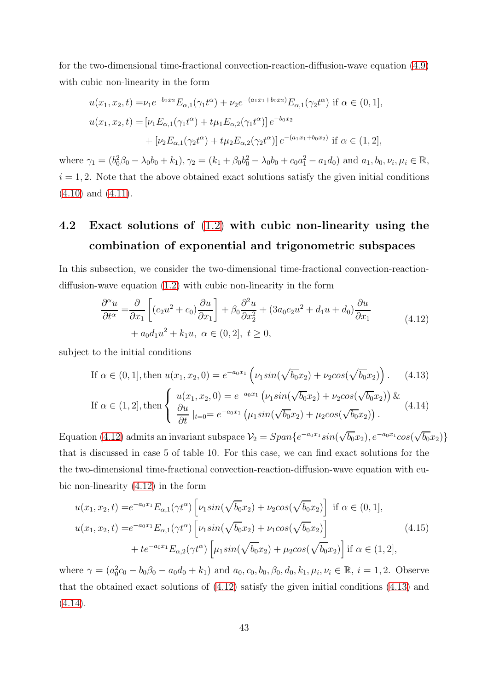for the two-dimensional time-fractional convection-reaction-diffusion-wave equation  $(4.9)$ with cubic non-linearity in the form

$$
u(x_1, x_2, t) = \nu_1 e^{-b_0 x_2} E_{\alpha, 1}(\gamma_1 t^{\alpha}) + \nu_2 e^{-(a_1 x_1 + b_0 x_2)} E_{\alpha, 1}(\gamma_2 t^{\alpha}) \text{ if } \alpha \in (0, 1],
$$
  

$$
u(x_1, x_2, t) = [\nu_1 E_{\alpha, 1}(\gamma_1 t^{\alpha}) + t \mu_1 E_{\alpha, 2}(\gamma_1 t^{\alpha})] e^{-b_0 x_2}
$$

$$
+ [\nu_2 E_{\alpha, 1}(\gamma_2 t^{\alpha}) + t \mu_2 E_{\alpha, 2}(\gamma_2 t^{\alpha})] e^{-(a_1 x_1 + b_0 x_2)} \text{ if } \alpha \in (1, 2],
$$

where  $\gamma_1 = (b_0^2 \beta_0 - \lambda_0 b_0 + k_1), \gamma_2 = (k_1 + \beta_0 b_0^2 - \lambda_0 b_0 + c_0 a_1^2 - a_1 d_0)$  and  $a_1, b_0, \nu_i, \mu_i \in \mathbb{R}$ ,  $i = 1, 2$ . Note that the above obtained exact solutions satisfy the given initial conditions  $(4.10)$  and  $(4.11)$ .

### 4.2 Exact solutions of [\(1.2\)](#page-2-0) with cubic non-linearity using the combination of exponential and trigonometric subspaces

In this subsection, we consider the two-dimensional time-fractional convection-reactiondiffusion-wave equation [\(1.2\)](#page-2-0) with cubic non-linearity in the form

<span id="page-42-0"></span>
$$
\frac{\partial^{\alpha} u}{\partial t^{\alpha}} = \frac{\partial}{\partial x_1} \left[ (c_2 u^2 + c_0) \frac{\partial u}{\partial x_1} \right] + \beta_0 \frac{\partial^2 u}{\partial x_2^2} + (3a_0 c_2 u^2 + d_1 u + d_0) \frac{\partial u}{\partial x_1}
$$
\n
$$
+ a_0 d_1 u^2 + k_1 u, \ \alpha \in (0, 2], \ t \ge 0,
$$
\n(4.12)

subject to the initial conditions

<span id="page-42-1"></span>If 
$$
\alpha \in (0, 1]
$$
, then  $u(x_1, x_2, 0) = e^{-a_0 x_1} \left( \nu_1 \sin(\sqrt{b_0} x_2) + \nu_2 \cos(\sqrt{b_0} x_2) \right)$ . (4.13)

If 
$$
\alpha \in (1, 2]
$$
, then 
$$
\begin{cases} u(x_1, x_2, 0) = e^{-a_0 x_1} \left( \nu_1 \sin(\sqrt{b_0} x_2) + \nu_2 \cos(\sqrt{b_0} x_2) \right) & (4.14) \\ \frac{\partial u}{\partial t} |_{t=0} = e^{-a_0 x_1} \left( \mu_1 \sin(\sqrt{b_0} x_2) + \mu_2 \cos(\sqrt{b_0} x_2) \right). \end{cases}
$$

Equation [\(4.12\)](#page-42-0) admits an invariant subspace  $\mathcal{V}_2 = Span\{e^{-a_0x_1}sin(\sqrt{b_0}x_2), e^{-a_0x_1}cos(\sqrt{b_0}x_2)\}\$ that is discussed in case 5 of table 10. For this case, we can find exact solutions for the the two-dimensional time-fractional convection-reaction-diffusion-wave equation with cubic non-linearity [\(4.12\)](#page-42-0) in the form

$$
u(x_1, x_2, t) = e^{-a_0x_1} E_{\alpha,1}(\gamma t^{\alpha}) \left[ \nu_1 \sin(\sqrt{b_0} x_2) + \nu_2 \cos(\sqrt{b_0} x_2) \right] \text{ if } \alpha \in (0, 1],
$$
  

$$
u(x_1, x_2, t) = e^{-a_0x_1} E_{\alpha,1}(\gamma t^{\alpha}) \left[ \nu_1 \sin(\sqrt{b_0} x_2) + \nu_1 \cos(\sqrt{b_0} x_2) \right]
$$

$$
+ te^{-a_0x_1} E_{\alpha,2}(\gamma t^{\alpha}) \left[ \mu_1 \sin(\sqrt{b_0} x_2) + \mu_2 \cos(\sqrt{b_0} x_2) \right] \text{ if } \alpha \in (1, 2],
$$
  
(4.15)

where  $\gamma = (a_0^2 c_0 - b_0 \beta_0 - a_0 d_0 + k_1)$  and  $a_0, c_0, b_0, \beta_0, d_0, k_1, \mu_i, \nu_i \in \mathbb{R}, i = 1, 2$ . Observe that the obtained exact solutions of [\(4.12\)](#page-42-0) satisfy the given initial conditions [\(4.13\)](#page-42-1) and  $(4.14).$  $(4.14).$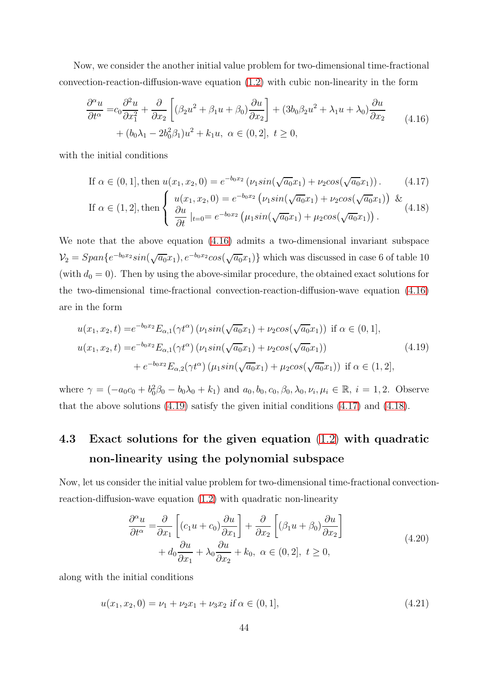Now, we consider the another initial value problem for two-dimensional time-fractional convection-reaction-diffusion-wave equation [\(1.2\)](#page-2-0) with cubic non-linearity in the form

<span id="page-43-0"></span>
$$
\frac{\partial^{\alpha} u}{\partial t^{\alpha}} = c_0 \frac{\partial^2 u}{\partial x_1^2} + \frac{\partial}{\partial x_2} \left[ (\beta_2 u^2 + \beta_1 u + \beta_0) \frac{\partial u}{\partial x_2} \right] + (3b_0 \beta_2 u^2 + \lambda_1 u + \lambda_0) \frac{\partial u}{\partial x_2} + (b_0 \lambda_1 - 2b_0^2 \beta_1) u^2 + k_1 u, \ \alpha \in (0, 2], \ t \ge 0,
$$
\n(4.16)

with the initial conditions

<span id="page-43-2"></span>If 
$$
\alpha \in (0, 1]
$$
, then  $u(x_1, x_2, 0) = e^{-b_0 x_2} (\nu_1 \sin(\sqrt{a_0} x_1) + \nu_2 \cos(\sqrt{a_0} x_1))$ . (4.17)

If 
$$
\alpha \in (1, 2]
$$
, then 
$$
\begin{cases} u(x_1, x_2, 0) = e^{-b_0 x_2} \left( \nu_1 \sin(\sqrt{a_0} x_1) + \nu_2 \cos(\sqrt{a_0} x_1) \right) & \text{if } \\ \frac{\partial u}{\partial t} \mid_{t=0} = e^{-b_0 x_2} \left( \mu_1 \sin(\sqrt{a_0} x_1) + \mu_2 \cos(\sqrt{a_0} x_1) \right). \end{cases}
$$
(4.18)

We note that the above equation [\(4.16\)](#page-43-0) admits a two-dimensional invariant subspace  $V_2 = Span\{e^{-b_0x_2}sin(\sqrt{a_0}x_1), e^{-b_0x_2}cos(\sqrt{a_0}x_1)\}\$  which was discussed in case 6 of table 10 (with  $d_0 = 0$ ). Then by using the above-similar procedure, the obtained exact solutions for the two-dimensional time-fractional convection-reaction-diffusion-wave equation  $(4.16)$ are in the form

<span id="page-43-1"></span>
$$
u(x_1, x_2, t) = e^{-b_0 x_2} E_{\alpha,1}(\gamma t^{\alpha}) \left( \nu_1 \sin(\sqrt{a_0} x_1) + \nu_2 \cos(\sqrt{a_0} x_1) \right) \text{ if } \alpha \in (0, 1],
$$
  

$$
u(x_1, x_2, t) = e^{-b_0 x_2} E_{\alpha,1}(\gamma t^{\alpha}) \left( \nu_1 \sin(\sqrt{a_0} x_1) + \nu_2 \cos(\sqrt{a_0} x_1) \right)
$$

$$
+ e^{-b_0 x_2} E_{\alpha,2}(\gamma t^{\alpha}) \left( \mu_1 \sin(\sqrt{a_0} x_1) + \mu_2 \cos(\sqrt{a_0} x_1) \right) \text{ if } \alpha \in (1, 2],
$$
  
(4.19)

where  $\gamma = (-a_0c_0 + b_0^2\beta_0 - b_0\lambda_0 + k_1)$  and  $a_0, b_0, c_0, \beta_0, \lambda_0, \nu_i, \mu_i \in \mathbb{R}, i = 1, 2$ . Observe that the above solutions [\(4.19\)](#page-43-1) satisfy the given initial conditions [\(4.17\)](#page-43-2) and [\(4.18\)](#page-43-2).

### 4.3 Exact solutions for the given equation [\(1.2\)](#page-2-0) with quadratic non-linearity using the polynomial subspace

Now, let us consider the initial value problem for two-dimensional time-fractional convectionreaction-diffusion-wave equation [\(1.2\)](#page-2-0) with quadratic non-linearity

<span id="page-43-3"></span>
$$
\frac{\partial^{\alpha} u}{\partial t^{\alpha}} = \frac{\partial}{\partial x_1} \left[ (c_1 u + c_0) \frac{\partial u}{\partial x_1} \right] + \frac{\partial}{\partial x_2} \left[ (\beta_1 u + \beta_0) \frac{\partial u}{\partial x_2} \right] \n+ d_0 \frac{\partial u}{\partial x_1} + \lambda_0 \frac{\partial u}{\partial x_2} + k_0, \ \alpha \in (0, 2], \ t \ge 0,
$$
\n(4.20)

along with the initial conditions

<span id="page-43-4"></span>
$$
u(x_1, x_2, 0) = \nu_1 + \nu_2 x_1 + \nu_3 x_2 \text{ if } \alpha \in (0, 1], \tag{4.21}
$$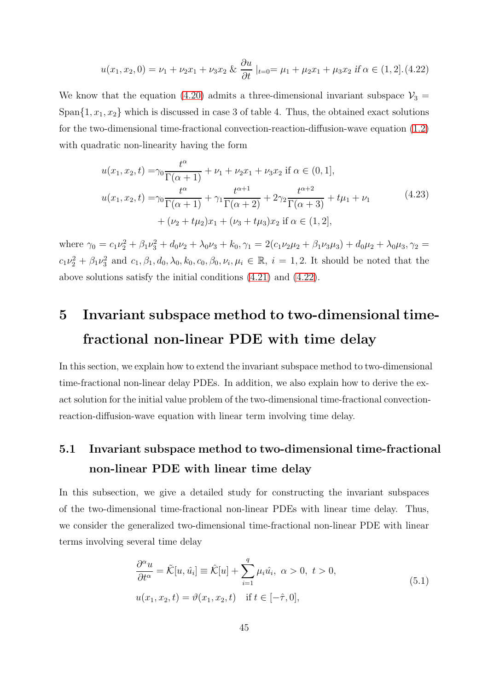$$
u(x_1, x_2, 0) = \nu_1 + \nu_2 x_1 + \nu_3 x_2 \& \frac{\partial u}{\partial t} \mid_{t=0} = \mu_1 + \mu_2 x_1 + \mu_3 x_2 \text{ if } \alpha \in (1, 2] \tag{4.22}
$$

We know that the equation [\(4.20\)](#page-43-3) admits a three-dimensional invariant subspace  $\mathcal{V}_3$  = Span $\{1, x_1, x_2\}$  which is discussed in case 3 of table 4. Thus, the obtained exact solutions for the two-dimensional time-fractional convection-reaction-diffusion-wave equation  $(1.2)$ with quadratic non-linearity having the form

$$
u(x_1, x_2, t) = \gamma_0 \frac{t^{\alpha}}{\Gamma(\alpha + 1)} + \nu_1 + \nu_2 x_1 + \nu_3 x_2 \text{ if } \alpha \in (0, 1],
$$
  

$$
u(x_1, x_2, t) = \gamma_0 \frac{t^{\alpha}}{\Gamma(\alpha + 1)} + \gamma_1 \frac{t^{\alpha + 1}}{\Gamma(\alpha + 2)} + 2\gamma_2 \frac{t^{\alpha + 2}}{\Gamma(\alpha + 3)} + t\mu_1 + \nu_1
$$
  

$$
+ (\nu_2 + t\mu_2)x_1 + (\nu_3 + t\mu_3)x_2 \text{ if } \alpha \in (1, 2],
$$
 (4.23)

where  $\gamma_0 = c_1 \nu_2^2 + \beta_1 \nu_3^2 + d_0 \nu_2 + \lambda_0 \nu_3 + k_0$ ,  $\gamma_1 = 2(c_1 \nu_2 \mu_2 + \beta_1 \nu_3 \mu_3) + d_0 \mu_2 + \lambda_0 \mu_3$ ,  $\gamma_2 =$  $c_1\nu_2^2 + \beta_1\nu_3^2$  and  $c_1, \beta_1, d_0, \lambda_0, k_0, c_0, \beta_0, \nu_i, \mu_i \in \mathbb{R}, i = 1, 2$ . It should be noted that the above solutions satisfy the initial conditions [\(4.21\)](#page-43-4) and [\(4.22\)](#page-43-4).

# 5 Invariant subspace method to two-dimensional timefractional non-linear PDE with time delay

In this section, we explain how to extend the invariant subspace method to two-dimensional time-fractional non-linear delay PDEs. In addition, we also explain how to derive the exact solution for the initial value problem of the two-dimensional time-fractional convectionreaction-diffusion-wave equation with linear term involving time delay.

### 5.1 Invariant subspace method to two-dimensional time-fractional non-linear PDE with linear time delay

In this subsection, we give a detailed study for constructing the invariant subspaces of the two-dimensional time-fractional non-linear PDEs with linear time delay. Thus, we consider the generalized two-dimensional time-fractional non-linear PDE with linear terms involving several time delay

<span id="page-44-0"></span>
$$
\frac{\partial^{\alpha} u}{\partial t^{\alpha}} = \tilde{\mathcal{K}}[u, \hat{u}_i] \equiv \hat{\mathcal{K}}[u] + \sum_{i=1}^{q} \mu_i \hat{u}_i, \ \alpha > 0, \ t > 0,
$$
  

$$
u(x_1, x_2, t) = \vartheta(x_1, x_2, t) \quad \text{if } t \in [-\hat{\tau}, 0],
$$
  
(5.1)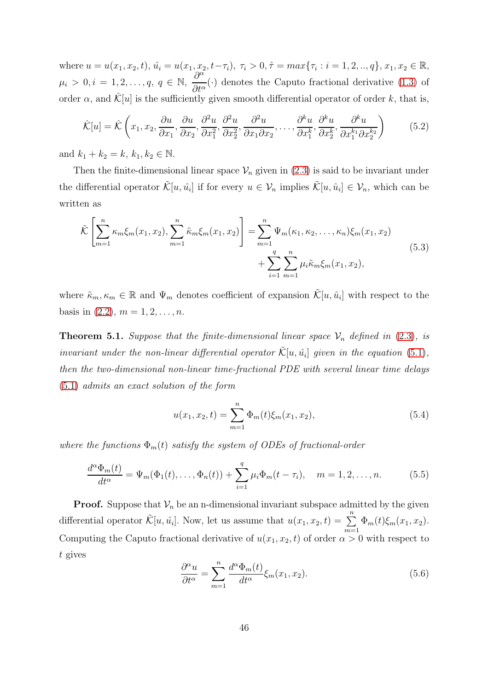where  $u = u(x_1, x_2, t), \, \hat{u}_i = u(x_1, x_2, t - \tau_i), \, \tau_i > 0, \hat{\tau} = max\{\tau_i : i = 1, 2, ..., q\}, \, x_1, x_2 \in \mathbb{R},$  $\mu_i > 0, i = 1, 2, \ldots, q, q \in \mathbb{N},$  $\partial^{\alpha}$  $\frac{\partial}{\partial t^{\alpha}}(\cdot)$  denotes the Caputo fractional derivative [\(1.3\)](#page-3-0) of order  $\alpha$ , and  $\mathcal{K}[u]$  is the sufficiently given smooth differential operator of order k, that is,

$$
\hat{\mathcal{K}}[u] = \hat{\mathcal{K}}\left(x_1, x_2, \frac{\partial u}{\partial x_1}, \frac{\partial u}{\partial x_2}, \frac{\partial^2 u}{\partial x_1^2}, \frac{\partial^2 u}{\partial x_2^2}, \frac{\partial^2 u}{\partial x_1 \partial x_2}, \dots, \frac{\partial^k u}{\partial x_1^k}, \frac{\partial^k u}{\partial x_2^k}, \frac{\partial^k u}{\partial x_1^{k_1} \partial x_2^{k_2}}\right) \tag{5.2}
$$

and  $k_1 + k_2 = k, k_1, k_2 \in \mathbb{N}$ .

Then the finite-dimensional linear space  $\mathcal{V}_n$  given in [\(2.3\)](#page-5-0) is said to be invariant under the differential operator  $\tilde{\mathcal{K}}[u, \hat{u}_i]$  if for every  $u \in \mathcal{V}_n$  implies  $\tilde{\mathcal{K}}[u, \hat{u}_i] \in \mathcal{V}_n$ , which can be written as

$$
\tilde{\mathcal{K}}\left[\sum_{m=1}^{n}\kappa_{m}\xi_{m}(x_{1},x_{2}),\sum_{m=1}^{n}\tilde{\kappa}_{m}\xi_{m}(x_{1},x_{2})\right]=\sum_{m=1}^{n}\Psi_{m}(\kappa_{1},\kappa_{2},\ldots,\kappa_{n})\xi_{m}(x_{1},x_{2})+\sum_{i=1}^{q}\sum_{m=1}^{n}\mu_{i}\tilde{\kappa}_{m}\xi_{m}(x_{1},x_{2}),
$$
\n(5.3)

where  $\tilde{\kappa}_m, \kappa_m \in \mathbb{R}$  and  $\Psi_m$  denotes coefficient of expansion  $\tilde{\mathcal{K}}[u, \hat{u}_i]$  with respect to the basis in  $(2.2), m = 1, 2, ..., n$ .

**Theorem 5.1.** Suppose that the finite-dimensional linear space  $V_n$  defined in [\(2.3\)](#page-5-0), is invariant under the non-linear differential operator  $\tilde{\mathcal{K}}[u, \hat{u}_i]$  given in the equation [\(5.1\)](#page-44-0), then the two-dimensional non-linear time-fractional PDE with several linear time delays [\(5.1\)](#page-44-0) admits an exact solution of the form

$$
u(x_1, x_2, t) = \sum_{m=1}^{n} \Phi_m(t) \xi_m(x_1, x_2), \qquad (5.4)
$$

where the functions  $\Phi_m(t)$  satisfy the system of ODEs of fractional-order

<span id="page-45-1"></span>
$$
\frac{d^{\alpha}\Phi_m(t)}{dt^{\alpha}} = \Psi_m(\Phi_1(t), \dots, \Phi_n(t)) + \sum_{i=1}^q \mu_i \Phi_m(t - \tau_i), \quad m = 1, 2, \dots, n. \tag{5.5}
$$

**Proof.** Suppose that  $V_n$  be an n-dimensional invariant subspace admitted by the given differential operator  $\tilde{\mathcal{K}}[u, \hat{u}_i]$ . Now, let us assume that  $u(x_1, x_2, t) = \sum_{i=1}^{n}$  $m=1$  $\Phi_m(t)\xi_m(x_1,x_2).$ Computing the Caputo fractional derivative of  $u(x_1, x_2, t)$  of order  $\alpha > 0$  with respect to t gives

<span id="page-45-0"></span>
$$
\frac{\partial^{\alpha} u}{\partial t^{\alpha}} = \sum_{m=1}^{n} \frac{d^{\alpha} \Phi_m(t)}{dt^{\alpha}} \xi_m(x_1, x_2).
$$
 (5.6)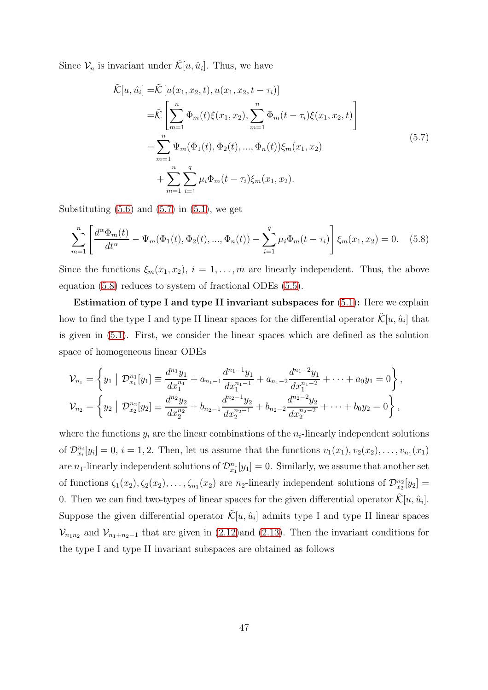Since  $\mathcal{V}_n$  is invariant under  $\tilde{\mathcal{K}}[u, \hat{u}_i]$ . Thus, we have

<span id="page-46-0"></span>
$$
\tilde{\mathcal{K}}[u, \hat{u}_i] = \tilde{\mathcal{K}}[u(x_1, x_2, t), u(x_1, x_2, t - \tau_i)]
$$
\n
$$
= \tilde{\mathcal{K}}\left[\sum_{m=1}^n \Phi_m(t)\xi(x_1, x_2), \sum_{m=1}^n \Phi_m(t - \tau_i)\xi(x_1, x_2, t)\right]
$$
\n
$$
= \sum_{m=1}^n \Psi_m(\Phi_1(t), \Phi_2(t), ..., \Phi_n(t))\xi_m(x_1, x_2)
$$
\n
$$
+ \sum_{m=1}^n \sum_{i=1}^q \mu_i \Phi_m(t - \tau_i)\xi_m(x_1, x_2).
$$
\n(5.7)

Substituting  $(5.6)$  and  $(5.7)$  in  $(5.1)$ , we get

<span id="page-46-1"></span>
$$
\sum_{m=1}^{n} \left[ \frac{d^{\alpha} \Phi_m(t)}{dt^{\alpha}} - \Psi_m(\Phi_1(t), \Phi_2(t), ..., \Phi_n(t)) - \sum_{i=1}^{q} \mu_i \Phi_m(t - \tau_i) \right] \xi_m(x_1, x_2) = 0. \quad (5.8)
$$

Since the functions  $\xi_m(x_1, x_2), i = 1, \ldots, m$  are linearly independent. Thus, the above equation [\(5.8\)](#page-46-1) reduces to system of fractional ODEs [\(5.5\)](#page-45-1).

Estimation of type I and type II invariant subspaces for [\(5.1\)](#page-44-0): Here we explain how to find the type I and type II linear spaces for the differential operator  $\tilde{\mathcal{K}}[u, \hat{u}_i]$  that is given in [\(5.1\)](#page-44-0). First, we consider the linear spaces which are defined as the solution space of homogeneous linear ODEs

$$
\mathcal{V}_{n_1} = \left\{ y_1 \mid \mathcal{D}_{x_1}^{n_1}[y_1] \equiv \frac{d^{n_1}y_1}{dx_1^{n_1}} + a_{n_1-1} \frac{d^{n_1-1}y_1}{dx_1^{n_1-1}} + a_{n_1-2} \frac{d^{n_1-2}y_1}{dx_1^{n_1-2}} + \cdots + a_0 y_1 = 0 \right\},
$$
  

$$
\mathcal{V}_{n_2} = \left\{ y_2 \mid \mathcal{D}_{x_2}^{n_2}[y_2] \equiv \frac{d^{n_2}y_2}{dx_2^{n_2}} + b_{n_2-1} \frac{d^{n_2-1}y_2}{dx_2^{n_2-1}} + b_{n_2-2} \frac{d^{n_2-2}y_2}{dx_2^{n_2-2}} + \cdots + b_0 y_2 = 0 \right\},
$$

where the functions  $y_i$  are the linear combinations of the  $n_i$ -linearly independent solutions of  $\mathcal{D}_{x_i}^{n_i}[y_i] = 0, i = 1, 2$ . Then, let us assume that the functions  $v_1(x_1), v_2(x_2), \ldots, v_{n_1}(x_1)$ are  $n_1$ -linearly independent solutions of  $\mathcal{D}_{x_1}^{n_1}[y_1] = 0$ . Similarly, we assume that another set of functions  $\zeta_1(x_2), \zeta_2(x_2), \ldots, \zeta_{n_1}(x_2)$  are  $n_2$ -linearly independent solutions of  $\mathcal{D}_{x_2}^{n_2}[y_2] =$ 0. Then we can find two-types of linear spaces for the given differential operator  $\tilde{\mathcal{K}}[u, \hat{u}_i]$ . Suppose the given differential operator  $\tilde{\mathcal{K}}[u, \hat{u}_i]$  admits type I and type II linear spaces  $\mathcal{V}_{n_1n_2}$  and  $\mathcal{V}_{n_1+n_2-1}$  that are given in [\(2.12\)](#page-6-2)and [\(2.13\)](#page-8-0). Then the invariant conditions for the type I and type II invariant subspaces are obtained as follows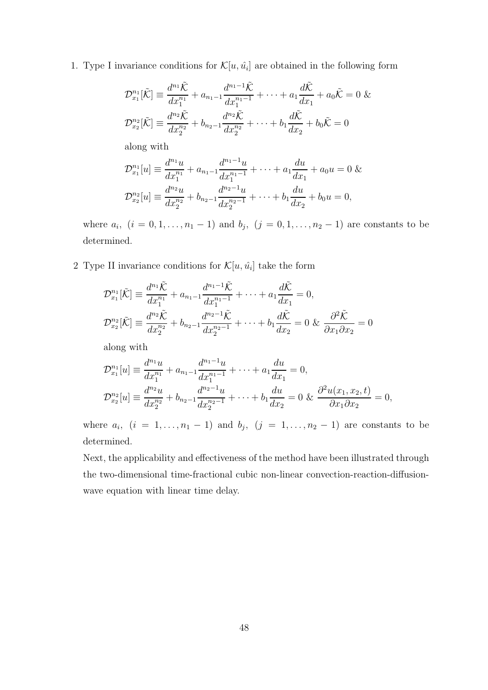1. Type I invariance conditions for  $\mathcal{K}[u, \hat{u}_i]$  are obtained in the following form

$$
\mathcal{D}_{x_1}^{n_1}[\tilde{\mathcal{K}}] \equiv \frac{d^{n_1}\tilde{\mathcal{K}}}{dx_1^{n_1}} + a_{n_1-1}\frac{d^{n_1-1}\tilde{\mathcal{K}}}{dx_1^{n_1-1}} + \dots + a_1\frac{d\tilde{\mathcal{K}}}{dx_1} + a_0\tilde{\mathcal{K}} = 0 \&
$$
  

$$
\mathcal{D}_{x_2}^{n_2}[\tilde{\mathcal{K}}] \equiv \frac{d^{n_2}\tilde{\mathcal{K}}}{dx_2^{n_2}} + b_{n_2-1}\frac{d^{n_2}\tilde{\mathcal{K}}}{dx_2^{n_2}} + \dots + b_1\frac{d\tilde{\mathcal{K}}}{dx_2} + b_0\tilde{\mathcal{K}} = 0
$$

along with

$$
\mathcal{D}_{x_1}^{n_1}[u] \equiv \frac{d^{n_1}u}{dx_1^{n_1}} + a_{n_1-1}\frac{d^{n_1-1}u}{dx_1^{n_1-1}} + \dots + a_1\frac{du}{dx_1} + a_0u = 0 \&
$$
  

$$
\mathcal{D}_{x_2}^{n_2}[u] \equiv \frac{d^{n_2}u}{dx_2^{n_2}} + b_{n_2-1}\frac{d^{n_2-1}u}{dx_2^{n_2-1}} + \dots + b_1\frac{du}{dx_2} + b_0u = 0,
$$

where  $a_i$ ,  $(i = 0, 1, ..., n_1 - 1)$  and  $b_j$ ,  $(j = 0, 1, ..., n_2 - 1)$  are constants to be determined.

2 Type II invariance conditions for  $\mathcal{K}[u, \hat{u}_i]$  take the form

$$
\mathcal{D}_{x_1}^{n_1}[\tilde{\mathcal{K}}] \equiv \frac{d^{n_1}\tilde{\mathcal{K}}}{dx_1^{n_1}} + a_{n_1-1}\frac{d^{n_1-1}\tilde{\mathcal{K}}}{dx_1^{n_1-1}} + \dots + a_1\frac{d\tilde{\mathcal{K}}}{dx_1} = 0,
$$
  

$$
\mathcal{D}_{x_2}^{n_2}[\tilde{\mathcal{K}}] \equiv \frac{d^{n_2}\tilde{\mathcal{K}}}{dx_2^{n_2}} + b_{n_2-1}\frac{d^{n_2-1}\tilde{\mathcal{K}}}{dx_2^{n_2-1}} + \dots + b_1\frac{d\tilde{\mathcal{K}}}{dx_2} = 0 \& \frac{\partial^2 \tilde{\mathcal{K}}}{\partial x_1 \partial x_2} = 0
$$

along with

$$
\mathcal{D}_{x_1}^{n_1}[u] \equiv \frac{d^{n_1}u}{dx_1^{n_1}} + a_{n_1-1}\frac{d^{n_1-1}u}{dx_1^{n_1-1}} + \dots + a_1\frac{du}{dx_1} = 0,
$$
  

$$
\mathcal{D}_{x_2}^{n_2}[u] \equiv \frac{d^{n_2}u}{dx_2^{n_2}} + b_{n_2-1}\frac{d^{n_2-1}u}{dx_2^{n_2-1}} + \dots + b_1\frac{du}{dx_2} = 0 \& \frac{\partial^2 u(x_1, x_2, t)}{\partial x_1 \partial x_2} = 0,
$$

where  $a_i$ ,  $(i = 1, \ldots, n_1 - 1)$  and  $b_j$ ,  $(j = 1, \ldots, n_2 - 1)$  are constants to be determined.

Next, the applicability and effectiveness of the method have been illustrated through the two-dimensional time-fractional cubic non-linear convection-reaction-diffusionwave equation with linear time delay.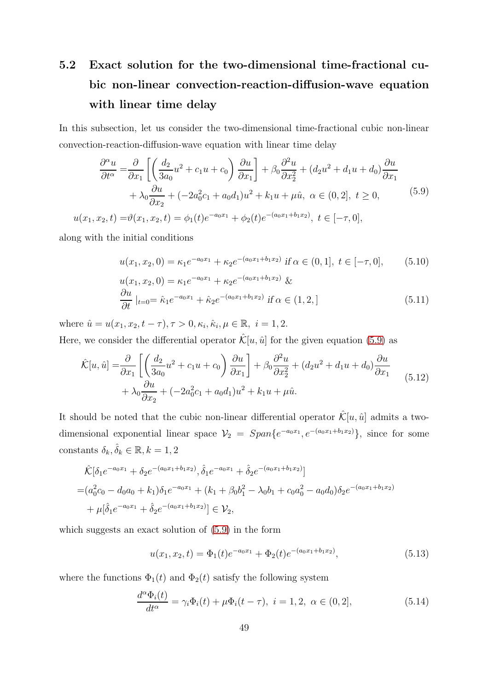# 5.2 Exact solution for the two-dimensional time-fractional cubic non-linear convection-reaction-diffusion-wave equation with linear time delay

In this subsection, let us consider the two-dimensional time-fractional cubic non-linear convection-reaction-diffusion-wave equation with linear time delay

<span id="page-48-0"></span>
$$
\frac{\partial^{\alpha} u}{\partial t^{\alpha}} = \frac{\partial}{\partial x_{1}} \left[ \left( \frac{d_{2}}{3a_{0}} u^{2} + c_{1} u + c_{0} \right) \frac{\partial u}{\partial x_{1}} \right] + \beta_{0} \frac{\partial^{2} u}{\partial x_{2}^{2}} + (d_{2} u^{2} + d_{1} u + d_{0}) \frac{\partial u}{\partial x_{1}} \n+ \lambda_{0} \frac{\partial u}{\partial x_{2}} + (-2a_{0}^{2} c_{1} + a_{0} d_{1}) u^{2} + k_{1} u + \mu \hat{u}, \ \alpha \in (0, 2], \ t \ge 0, \nu(x_{1}, x_{2}, t) = \vartheta(x_{1}, x_{2}, t) = \phi_{1}(t) e^{-a_{0} x_{1}} + \phi_{2}(t) e^{-(a_{0} x_{1} + b_{1} x_{2})}, \ t \in [-\tau, 0],
$$
\n(5.9)

along with the initial conditions

<span id="page-48-2"></span>
$$
u(x_1, x_2, 0) = \kappa_1 e^{-a_0 x_1} + \kappa_2 e^{-(a_0 x_1 + b_1 x_2)} \text{ if } \alpha \in (0, 1], \ t \in [-\tau, 0], \qquad (5.10)
$$

$$
u(x_1, x_2, 0) = \kappa_1 e^{-a_0 x_1} + \kappa_2 e^{-(a_0 x_1 + b_1 x_2)} \&
$$
  
\n
$$
\frac{\partial u}{\partial t} \mid_{t=0} = \hat{\kappa}_1 e^{-a_0 x_1} + \hat{\kappa}_2 e^{-(a_0 x_1 + b_1 x_2)} \text{ if } \alpha \in (1, 2,]
$$
\n(5.11)

where  $\hat{u} = u(x_1, x_2, t - \tau), \tau > 0, \kappa_i, \hat{\kappa}_i, \mu \in \mathbb{R}, i = 1, 2.$ 

Here, we consider the differential operator  $\hat{\mathcal{K}}[u, \hat{u}]$  for the given equation [\(5.9\)](#page-48-0) as

$$
\hat{\mathcal{K}}[u,\hat{u}] = \frac{\partial}{\partial x_1} \left[ \left( \frac{d_2}{3a_0} u^2 + c_1 u + c_0 \right) \frac{\partial u}{\partial x_1} \right] + \beta_0 \frac{\partial^2 u}{\partial x_2^2} + (d_2 u^2 + d_1 u + d_0) \frac{\partial u}{\partial x_1} + \lambda_0 \frac{\partial u}{\partial x_2} + (-2a_0^2 c_1 + a_0 d_1) u^2 + k_1 u + \mu \hat{u}.
$$
\n(5.12)

It should be noted that the cubic non-linear differential operator  $\hat{\mathcal{K}}[u, \hat{u}]$  admits a twodimensional exponential linear space  $V_2 = Span\{e^{-a_0x_1}, e^{-(a_0x_1+b_1x_2)}\}$ , since for some constants  $\delta_k, \hat{\delta}_k \in \mathbb{R}, k = 1, 2$ 

$$
\hat{\mathcal{K}}[\delta_1 e^{-a_0 x_1} + \delta_2 e^{-(a_0 x_1 + b_1 x_2)}, \hat{\delta}_1 e^{-a_0 x_1} + \hat{\delta}_2 e^{-(a_0 x_1 + b_1 x_2)}]
$$
\n
$$
= (a_0^2 c_0 - d_0 a_0 + k_1) \delta_1 e^{-a_0 x_1} + (k_1 + \beta_0 b_1^2 - \lambda_0 b_1 + c_0 a_0^2 - a_0 d_0) \delta_2 e^{-(a_0 x_1 + b_1 x_2)}
$$
\n
$$
+ \mu[\hat{\delta}_1 e^{-a_0 x_1} + \hat{\delta}_2 e^{-(a_0 x_1 + b_1 x_2)}] \in \mathcal{V}_2,
$$

which suggests an exact solution of [\(5.9\)](#page-48-0) in the form

$$
u(x_1, x_2, t) = \Phi_1(t)e^{-a_0x_1} + \Phi_2(t)e^{-(a_0x_1 + b_1x_2)},
$$
\n(5.13)

where the functions  $\Phi_1(t)$  and  $\Phi_2(t)$  satisfy the following system

<span id="page-48-1"></span>
$$
\frac{d^{\alpha}\Phi_i(t)}{dt^{\alpha}} = \gamma_i \Phi_i(t) + \mu \Phi_i(t - \tau), \ i = 1, 2, \ \alpha \in (0, 2], \tag{5.14}
$$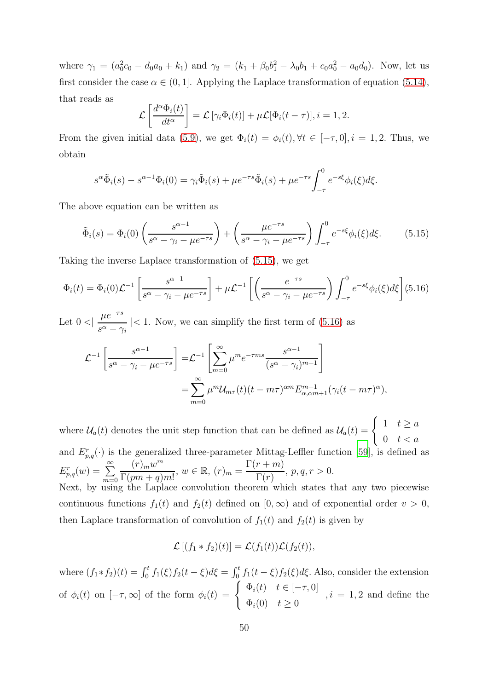where  $\gamma_1 = (a_0^2 c_0 - d_0 a_0 + k_1)$  and  $\gamma_2 = (k_1 + \beta_0 b_1^2 - \lambda_0 b_1 + c_0 a_0^2 - a_0 d_0)$ . Now, let us first consider the case  $\alpha \in (0, 1]$ . Applying the Laplace transformation of equation [\(5.14\)](#page-48-1), that reads as

$$
\mathcal{L}\left[\frac{d^{\alpha}\Phi_i(t)}{dt^{\alpha}}\right] = \mathcal{L}\left[\gamma_i\Phi_i(t)\right] + \mu\mathcal{L}[\Phi_i(t-\tau)], i = 1, 2.
$$

From the given initial data [\(5.9\)](#page-48-0), we get  $\Phi_i(t) = \phi_i(t), \forall t \in [-\tau, 0], i = 1, 2$ . Thus, we obtain

$$
s^{\alpha}\tilde{\Phi}_i(s) - s^{\alpha-1}\Phi_i(0) = \gamma_i\tilde{\Phi}_i(s) + \mu e^{-\tau s}\tilde{\Phi}_i(s) + \mu e^{-\tau s} \int_{-\tau}^0 e^{-s\xi} \phi_i(\xi) d\xi.
$$

The above equation can be written as

<span id="page-49-0"></span>
$$
\tilde{\Phi}_i(s) = \Phi_i(0) \left( \frac{s^{\alpha - 1}}{s^{\alpha} - \gamma_i - \mu e^{-\tau s}} \right) + \left( \frac{\mu e^{-\tau s}}{s^{\alpha} - \gamma_i - \mu e^{-\tau s}} \right) \int_{-\tau}^0 e^{-s\xi} \phi_i(\xi) d\xi.
$$
 (5.15)

Taking the inverse Laplace transformation of [\(5.15\)](#page-49-0), we get

<span id="page-49-1"></span>
$$
\Phi_i(t) = \Phi_i(0)\mathcal{L}^{-1} \left[ \frac{s^{\alpha - 1}}{s^{\alpha} - \gamma_i - \mu e^{-\tau s}} \right] + \mu \mathcal{L}^{-1} \left[ \left( \frac{e^{-\tau s}}{s^{\alpha} - \gamma_i - \mu e^{-\tau s}} \right) \int_{-\tau}^0 e^{-s\xi} \phi_i(\xi) d\xi \right] (5.16)
$$

Let  $0 <$  $\mu e^{-\tau s}$  $\frac{\mu}{s^{\alpha} - \gamma_i}$  |< 1. Now, we can simplify the first term of [\(5.16\)](#page-49-1) as

$$
\mathcal{L}^{-1}\left[\frac{s^{\alpha-1}}{s^{\alpha}-\gamma_i-\mu e^{-\tau s}}\right] = \mathcal{L}^{-1}\left[\sum_{m=0}^{\infty} \mu^m e^{-\tau ms} \frac{s^{\alpha-1}}{(s^{\alpha}-\gamma_i)^{m+1}}\right]
$$
  
= 
$$
\sum_{m=0}^{\infty} \mu^m \mathcal{U}_{m\tau}(t) (t-m\tau)^{\alpha m} E_{\alpha,\alpha m+1}^{m+1}(\gamma_i (t-m\tau)^{\alpha}),
$$

where  $\mathcal{U}_a(t)$  denotes the unit step function that can be defined as  $\mathcal{U}_a(t) = \begin{cases} 1 & t \geq a \\ 0 & t \leq a \end{cases}$  $0 \quad t < a$ and  $E_{p,q}^r(\cdot)$  is the generalized three-parameter Mittag-Leffler function [\[59\]](#page-61-2), is defined as  $E_{p,q}^r(w) = \sum_{m=0}^{\infty}$  $(r)_{m}w^{m}$  $\frac{\Gamma(m\omega)}{\Gamma(pm+q)m!}$ ,  $w \in \mathbb{R}$ ,  $(r)_m =$  $\Gamma(r+m)$  $\Gamma(r)$  $, p, q, r > 0.$ 

Next, by using the Laplace convolution theorem which states that any two piecewise continuous functions  $f_1(t)$  and  $f_2(t)$  defined on  $[0, \infty)$  and of exponential order  $v > 0$ , then Laplace transformation of convolution of  $f_1(t)$  and  $f_2(t)$  is given by

$$
\mathcal{L}[(f_1 * f_2)(t)] = \mathcal{L}(f_1(t))\mathcal{L}(f_2(t)),
$$

where  $(f_1 * f_2)(t) = \int_0^t f_1(\xi) f_2(t - \xi) d\xi = \int_0^t f_1(t - \xi) f_2(\xi) d\xi$ . Also, consider the extension of  $\phi_i(t)$  on  $[-\tau, \infty]$  of the form  $\phi_i(t) = \begin{cases} \Phi_i(t) & t \in [-\tau, 0] \\ \Phi_i(0) & t > 0 \end{cases}$  $\Phi_i(0) \quad t \geq 0$  $, i = 1, 2$  and define the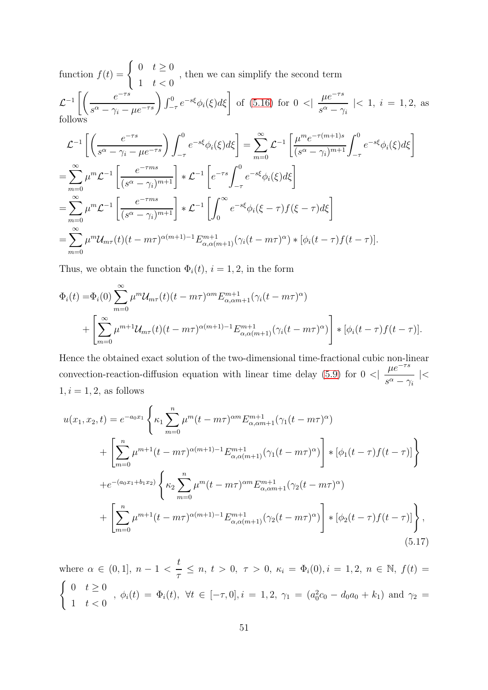function  $f(t) = \begin{cases} 0 & t \geq 0 \end{cases}$ 1  $t < 0$ , then we can simplify the second term  $\mathcal{L}^{-1}\left[\left(\frac{e^{-\tau s}}{s^{\alpha}-\gamma_{\cdot}}\right)\right]$  $\frac{e^{-\tau s}}{s^{\alpha} - \gamma_i - \mu e^{-\tau s}} \left( \int_{-\tau}^{0} e^{-s\xi} \phi_i(\xi) d\xi \right)$  of [\(5.16\)](#page-49-1) for  $0 <$  $\mu e^{-\tau s}$  $\frac{\mu}{s^{\alpha} - \gamma_i}$  |< 1, *i* = 1, 2, as follows

$$
\mathcal{L}^{-1}\left[\left(\frac{e^{-\tau s}}{s^{\alpha}-\gamma_{i}-\mu e^{-\tau s}}\right)\int_{-\tau}^{0}e^{-s\xi}\phi_{i}(\xi)d\xi\right]=\sum_{m=0}^{\infty}\mathcal{L}^{-1}\left[\frac{\mu^{m}e^{-\tau(m+1)s}}{(s^{\alpha}-\gamma_{i})^{m+1}}\int_{-\tau}^{0}e^{-s\xi}\phi_{i}(\xi)d\xi\right]
$$
  
=
$$
\sum_{m=0}^{\infty}\mu^{m}\mathcal{L}^{-1}\left[\frac{e^{-\tau ms}}{(s^{\alpha}-\gamma_{i})^{m+1}}\right] * \mathcal{L}^{-1}\left[e^{-\tau s}\int_{-\tau}^{0}e^{-s\xi}\phi_{i}(\xi)d\xi\right]
$$
  
=
$$
\sum_{m=0}^{\infty}\mu^{m}\mathcal{L}^{-1}\left[\frac{e^{-\tau ms}}{(s^{\alpha}-\gamma_{i})^{m+1}}\right] * \mathcal{L}^{-1}\left[\int_{0}^{\infty}e^{-s\xi}\phi_{i}(\xi-\tau)f(\xi-\tau)d\xi\right]
$$
  
=
$$
\sum_{m=0}^{\infty}\mu^{m}\mathcal{U}_{m\tau}(t)(t-m\tau)^{\alpha(m+1)-1}E_{\alpha,\alpha(m+1)}^{m+1}(\gamma_{i}(t-m\tau)^{\alpha}) * [\phi_{i}(t-\tau)f(t-\tau)].
$$

Thus, we obtain the function  $\Phi_i(t)$ ,  $i = 1, 2$ , in the form

$$
\Phi_i(t) = \Phi_i(0) \sum_{m=0}^{\infty} \mu^m \mathcal{U}_{m\tau}(t) (t - m\tau)^{\alpha m} E_{\alpha, \alpha m+1}^{m+1} (\gamma_i (t - m\tau)^{\alpha})
$$
  
+ 
$$
\left[ \sum_{m=0}^{\infty} \mu^{m+1} \mathcal{U}_{m\tau}(t) (t - m\tau)^{\alpha(m+1)-1} E_{\alpha, \alpha(m+1)}^{m+1} (\gamma_i (t - m\tau)^{\alpha}) \right] * [\phi_i (t - \tau) f(t - \tau)].
$$

Hence the obtained exact solution of the two-dimensional time-fractional cubic non-linear convection-reaction-diffusion equation with linear time delay  $(5.9)$  for  $0 <$  $\mu e^{-\tau s}$  $\frac{\mu c}{s^{\alpha}-\gamma_i}$  |<  $1, i = 1, 2$ , as follows

<span id="page-50-0"></span>
$$
u(x_1, x_2, t) = e^{-a_0 x_1} \left\{ \kappa_1 \sum_{m=0}^n \mu^m (t - m\tau)^{\alpha m} E_{\alpha, \alpha m+1}^{m+1} (\gamma_1 (t - m\tau)^{\alpha}) \right.+ \left[ \sum_{m=0}^n \mu^{m+1} (t - m\tau)^{\alpha(m+1)-1} E_{\alpha, \alpha(m+1)}^{m+1} (\gamma_1 (t - m\tau)^{\alpha}) \right] * [\phi_1 (t - \tau) f(t - \tau)] \right\}+ e^{-(a_0 x_1 + b_1 x_2)} \left\{ \kappa_2 \sum_{m=0}^n \mu^m (t - m\tau)^{\alpha m} E_{\alpha, \alpha m+1}^{m+1} (\gamma_2 (t - m\tau)^{\alpha}) \right.+ \left[ \sum_{m=0}^n \mu^{m+1} (t - m\tau)^{\alpha(m+1)-1} E_{\alpha, \alpha(m+1)}^{m+1} (\gamma_2 (t - m\tau)^{\alpha}) \right] * [\phi_2 (t - \tau) f(t - \tau)] \right\},
$$
(5.17)

where  $\alpha \in (0,1], n-1$ t  $\frac{\sigma}{\tau} \leq n, t > 0, \tau > 0, \kappa_i = \Phi_i(0), i = 1, 2, n \in \mathbb{N}, f(t) =$  $\int 0 \quad t \geq 0$  $\frac{1}{1}$   $t < 0$ ,  $\phi_i(t) = \Phi_i(t)$ ,  $\forall t \in [-\tau, 0], i = 1, 2, \gamma_1 = (a_0^2 c_0 - d_0 a_0 + k_1)$  and  $\gamma_2 = 1$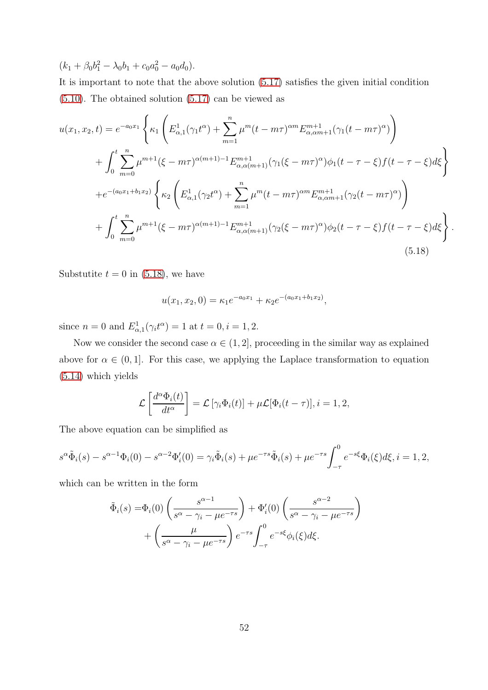$(k_1 + \beta_0 b_1^2 - \lambda_0 b_1 + c_0 a_0^2 - a_0 d_0).$ 

It is important to note that the above solution [\(5.17\)](#page-50-0) satisfies the given initial condition [\(5.10\)](#page-48-2). The obtained solution [\(5.17\)](#page-50-0) can be viewed as

<span id="page-51-0"></span>
$$
u(x_1, x_2, t) = e^{-a_0x_1} \left\{ \kappa_1 \left( E_{\alpha,1}^1(\gamma_1 t^{\alpha}) + \sum_{m=1}^n \mu^m (t - m\tau)^{\alpha m} E_{\alpha,\alpha m+1}^{m+1}(\gamma_1 (t - m\tau)^{\alpha}) \right) \right\}
$$
  
+ 
$$
\int_0^t \sum_{m=0}^n \mu^{m+1} (\xi - m\tau)^{\alpha(m+1)-1} E_{\alpha,\alpha(m+1)}^{m+1}(\gamma_1 (\xi - m\tau)^{\alpha}) \phi_1 (t - \tau - \xi) f(t - \tau - \xi) d\xi \right\}
$$
  
+ 
$$
e^{-(a_0x_1 + b_1x_2)} \left\{ \kappa_2 \left( E_{\alpha,1}^1(\gamma_2 t^{\alpha}) + \sum_{m=1}^n \mu^m (t - m\tau)^{\alpha m} E_{\alpha,\alpha m+1}^{m+1}(\gamma_2 (t - m\tau)^{\alpha}) \right) \right\}
$$
  
+ 
$$
\int_0^t \sum_{m=0}^n \mu^{m+1} (\xi - m\tau)^{\alpha(m+1)-1} E_{\alpha,\alpha(m+1)}^{m+1}(\gamma_2 (\xi - m\tau)^{\alpha}) \phi_2 (t - \tau - \xi) f(t - \tau - \xi) d\xi \right\}
$$
(5.18)

.

Substutite  $t = 0$  in [\(5.18\)](#page-51-0), we have

$$
u(x_1, x_2, 0) = \kappa_1 e^{-a_0 x_1} + \kappa_2 e^{-(a_0 x_1 + b_1 x_2)},
$$

since  $n = 0$  and  $E_{\alpha,1}^1(\gamma_i t^{\alpha}) = 1$  at  $t = 0, i = 1, 2$ .

Now we consider the second case  $\alpha \in (1, 2]$ , proceeding in the similar way as explained above for  $\alpha \in (0,1]$ . For this case, we applying the Laplace transformation to equation [\(5.14\)](#page-48-1) which yields

$$
\mathcal{L}\left[\frac{d^{\alpha}\Phi_i(t)}{dt^{\alpha}}\right] = \mathcal{L}\left[\gamma_i\Phi_i(t)\right] + \mu\mathcal{L}[\Phi_i(t-\tau)], i = 1, 2,
$$

The above equation can be simplified as

$$
s^{\alpha}\tilde{\Phi}_i(s) - s^{\alpha-1}\Phi_i(0) - s^{\alpha-2}\Phi'_i(0) = \gamma_i \tilde{\Phi}_i(s) + \mu e^{-\tau s} \tilde{\Phi}_i(s) + \mu e^{-\tau s} \int_{-\tau}^0 e^{-s\xi} \Phi_i(\xi) d\xi, i = 1, 2,
$$

which can be written in the form

$$
\tilde{\Phi}_i(s) = \Phi_i(0) \left( \frac{s^{\alpha - 1}}{s^{\alpha} - \gamma_i - \mu e^{-\tau s}} \right) + \Phi'_i(0) \left( \frac{s^{\alpha - 2}}{s^{\alpha} - \gamma_i - \mu e^{-\tau s}} \right) + \left( \frac{\mu}{s^{\alpha} - \gamma_i - \mu e^{-\tau s}} \right) e^{-\tau s} \int_{-\tau}^0 e^{-s\xi} \phi_i(\xi) d\xi.
$$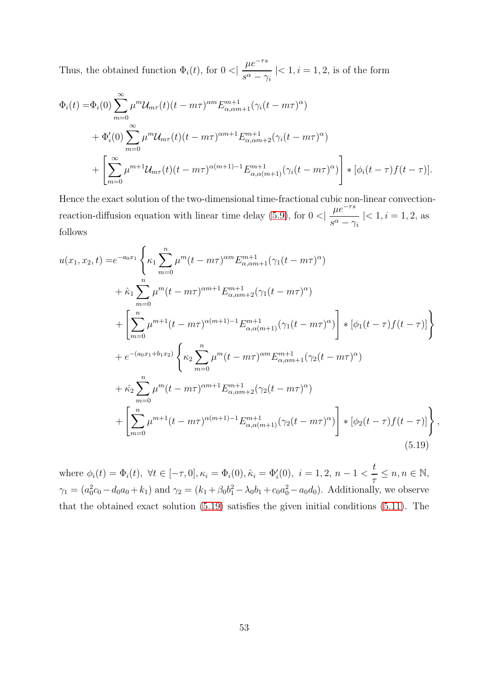Thus, the obtained function  $\Phi_i(t)$ , for  $0 <$  $\mu e^{-\tau s}$  $\frac{\mu}{s^{\alpha}-\gamma_i}$  |< 1, *i* = 1, 2, is of the form

$$
\Phi_i(t) = \Phi_i(0) \sum_{m=0}^{\infty} \mu^m \mathcal{U}_{m\tau}(t) (t - m\tau)^{\alpha m} E_{\alpha, \alpha m+1}^{m+1} (\gamma_i (t - m\tau)^{\alpha}) \n+ \Phi'_i(0) \sum_{m=0}^{\infty} \mu^m \mathcal{U}_{m\tau}(t) (t - m\tau)^{\alpha m+1} E_{\alpha, \alpha m+2}^{m+1} (\gamma_i (t - m\tau)^{\alpha}) \n+ \left[ \sum_{m=0}^{\infty} \mu^{m+1} \mathcal{U}_{m\tau}(t) (t - m\tau)^{\alpha(m+1)-1} E_{\alpha, \alpha(m+1)}^{m+1} (\gamma_i (t - m\tau)^{\alpha}) \right] * [\phi_i (t - \tau) f (t - \tau)].
$$

Hence the exact solution of the two-dimensional time-fractional cubic non-linear convectionreaction-diffusion equation with linear time delay  $(5.9)$ , for  $0 <$  $\mu e^{-\tau s}$  $\frac{\mu}{s^{\alpha}-\gamma_i}$  |< 1, i = 1, 2, as follows

<span id="page-52-0"></span>
$$
u(x_1, x_2, t) = e^{-a_0x_1} \left\{ \kappa_1 \sum_{m=0}^n \mu^m (t - m\tau)^{\alpha m} E_{\alpha, \alpha m+1}^{m+1} (\gamma_1 (t - m\tau)^{\alpha}) \right.+ \hat{\kappa}_1 \sum_{m=0}^n \mu^m (t - m\tau)^{\alpha m+1} E_{\alpha, \alpha m+2}^{m+1} (\gamma_1 (t - m\tau)^{\alpha}) + \left[ \sum_{m=0}^n \mu^{m+1} (t - m\tau)^{\alpha(m+1)-1} E_{\alpha, \alpha(m+1)}^{m+1} (\gamma_1 (t - m\tau)^{\alpha}) \right] * [\phi_1 (t - \tau) f(t - \tau)] + e^{-(a_0x_1 + b_1x_2)} \left\{ \kappa_2 \sum_{m=0}^n \mu^m (t - m\tau)^{\alpha m} E_{\alpha, \alpha m+1}^{m+1} (\gamma_2 (t - m\tau)^{\alpha}) \right.+ \hat{\kappa}_2 \sum_{m=0}^n \mu^m (t - m\tau)^{\alpha m+1} E_{\alpha, \alpha m+2}^{m+1} (\gamma_2 (t - m\tau)^{\alpha}) + \left[ \sum_{m=0}^n \mu^{m+1} (t - m\tau)^{\alpha(m+1)-1} E_{\alpha, \alpha(m+1)}^{m+1} (\gamma_2 (t - m\tau)^{\alpha}) \right] * [\phi_2 (t - \tau) f(t - \tau)] \right\},
$$
\n(5.19)

where  $\phi_i(t) = \Phi_i(t)$ ,  $\forall t \in [-\tau, 0], \kappa_i = \Phi_i(0), \hat{\kappa}_i = \Phi'_i(0), i = 1, 2, n - 1$ t  $\frac{1}{\tau} \leq n, n \in \mathbb{N},$  $\gamma_1 = (a_0^2 c_0 - d_0 a_0 + k_1)$  and  $\gamma_2 = (k_1 + \beta_0 b_1^2 - \lambda_0 b_1 + c_0 a_0^2 - a_0 d_0)$ . Additionally, we observe that the obtained exact solution [\(5.19\)](#page-52-0) satisfies the given initial conditions [\(5.11\)](#page-48-2). The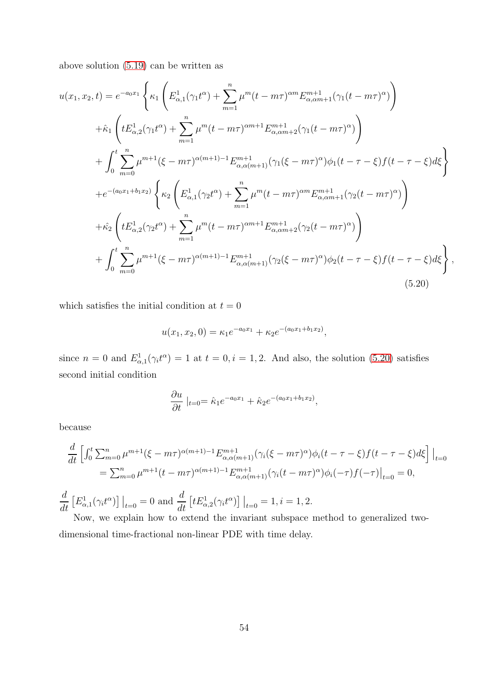above solution [\(5.19\)](#page-52-0) can be written as

<span id="page-53-0"></span>
$$
u(x_1, x_2, t) = e^{-a_0x_1} \left\{ \kappa_1 \left( E_{\alpha,1}^1(\gamma_1 t^{\alpha}) + \sum_{m=1}^n \mu^m (t - m\tau)^{\alpha m} E_{\alpha,\alpha m+1}^{m+1}(\gamma_1 (t - m\tau)^{\alpha}) \right) \right\}
$$
  
+  $\hat{\kappa}_1 \left( t E_{\alpha,2}^1(\gamma_1 t^{\alpha}) + \sum_{m=1}^n \mu^m (t - m\tau)^{\alpha m+1} E_{\alpha,\alpha m+2}^{m+1}(\gamma_1 (t - m\tau)^{\alpha}) \right)$   
+  $\int_0^t \sum_{m=0}^n \mu^{m+1} (\xi - m\tau)^{\alpha(m+1)-1} E_{\alpha,\alpha(m+1)}^{m+1}(\gamma_1 (\xi - m\tau)^{\alpha}) \phi_1 (t - \tau - \xi) f(t - \tau - \xi) d\xi$   
+  $e^{-(a_0x_1 + b_1x_2)} \left\{ \kappa_2 \left( E_{\alpha,1}^1(\gamma_2 t^{\alpha}) + \sum_{m=1}^n \mu^m (t - m\tau)^{\alpha m} E_{\alpha,\alpha m+1}^{m+1}(\gamma_2 (t - m\tau)^{\alpha}) \right) \right\}$   
+  $\hat{\kappa}_2 \left( t E_{\alpha,2}^1(\gamma_2 t^{\alpha}) + \sum_{m=1}^n \mu^m (t - m\tau)^{\alpha m+1} E_{\alpha,\alpha m+2}^{m+1}(\gamma_2 (t - m\tau)^{\alpha}) \right)$   
+  $\int_0^t \sum_{m=0}^n \mu^{m+1} (\xi - m\tau)^{\alpha(m+1)-1} E_{\alpha,\alpha(m+1)}^{m+1}(\gamma_2 (\xi - m\tau)^{\alpha}) \phi_2 (t - \tau - \xi) f(t - \tau - \xi) d\xi \right\},$   
(5.20)

which satisfies the initial condition at  $t = 0$ 

$$
u(x_1, x_2, 0) = \kappa_1 e^{-a_0 x_1} + \kappa_2 e^{-(a_0 x_1 + b_1 x_2)},
$$

since  $n = 0$  and  $E_{\alpha,1}^1(\gamma_i t^{\alpha}) = 1$  at  $t = 0, i = 1, 2$ . And also, the solution [\(5.20\)](#page-53-0) satisfies second initial condition

$$
\frac{\partial u}{\partial t}\mid_{t=0} = \hat{\kappa}_1 e^{-a_0 x_1} + \hat{\kappa}_2 e^{-(a_0 x_1 + b_1 x_2)},
$$

because

$$
\frac{d}{dt} \left[ \int_0^t \sum_{m=0}^n \mu^{m+1} (\xi - m\tau)^{\alpha(m+1)-1} E_{\alpha,\alpha(m+1)}^{m+1} (\gamma_i (\xi - m\tau)^{\alpha}) \phi_i (t - \tau - \xi) f(t - \tau - \xi) d\xi \right] \Big|_{t=0}
$$
\n
$$
= \sum_{m=0}^n \mu^{m+1} (t - m\tau)^{\alpha(m+1)-1} E_{\alpha,\alpha(m+1)}^{m+1} (\gamma_i (t - m\tau)^{\alpha}) \phi_i (-\tau) f(-\tau) \Big|_{t=0} = 0,
$$
\n
$$
\frac{d}{dt} \left[ E_{\alpha,1}^1 (\gamma_i t^{\alpha}) \right] \Big|_{t=0} = 0 \text{ and } \frac{d}{dt} \left[ t E_{\alpha,2}^1 (\gamma_i t^{\alpha}) \right] \Big|_{t=0} = 1, i = 1, 2.
$$

Now, we explain how to extend the invariant subspace method to generalized twodimensional time-fractional non-linear PDE with time delay.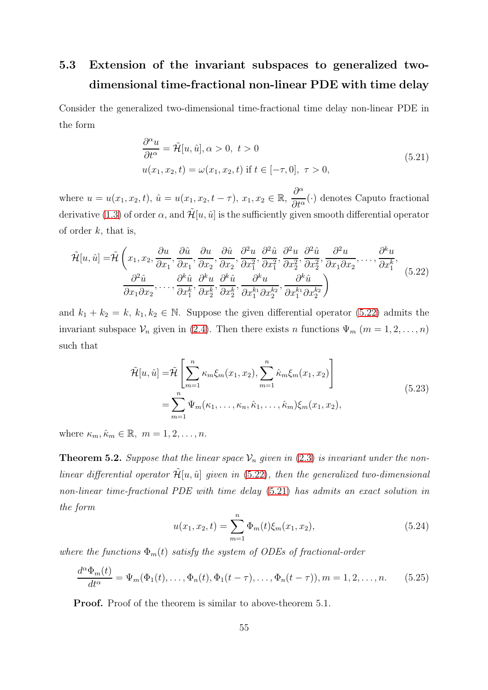## 5.3 Extension of the invariant subspaces to generalized twodimensional time-fractional non-linear PDE with time delay

Consider the generalized two-dimensional time-fractional time delay non-linear PDE in the form

<span id="page-54-1"></span>
$$
\frac{\partial^{\alpha} u}{\partial t^{\alpha}} = \tilde{\mathcal{H}}[u, \hat{u}], \alpha > 0, t > 0
$$
  

$$
u(x_1, x_2, t) = \omega(x_1, x_2, t) \text{ if } t \in [-\tau, 0], \tau > 0,
$$
\n(5.21)

where  $u = u(x_1, x_2, t)$ ,  $\hat{u} = u(x_1, x_2, t - \tau)$ ,  $x_1, x_2 \in \mathbb{R}$ ,  $\partial^{\alpha}$  $\frac{\partial}{\partial t^{\alpha}}(\cdot)$  denotes Caputo fractional derivative [\(1.3\)](#page-3-0) of order  $\alpha$ , and  $\mathcal{H}[u, \hat{u}]$  is the sufficiently given smooth differential operator of order  $k$ , that is,

<span id="page-54-0"></span>
$$
\tilde{\mathcal{H}}[u,\hat{u}] = \tilde{\mathcal{H}}\left(x_1, x_2, \frac{\partial u}{\partial x_1}, \frac{\partial \hat{u}}{\partial x_1}, \frac{\partial u}{\partial x_2}, \frac{\partial \hat{u}}{\partial x_2}, \frac{\partial^2 u}{\partial x_1^2}, \frac{\partial^2 \hat{u}}{\partial x_2^2}, \frac{\partial^2 u}{\partial x_2^2}, \frac{\partial^2 \hat{u}}{\partial x_2^2}, \frac{\partial^2 u}{\partial x_1 \partial x_2}, \dots, \frac{\partial^k u}{\partial x_1^k}, \frac{\partial^k \hat{u}}{\partial x_1 \partial x_2}, \dots, \frac{\partial^k \hat{u}}{\partial x_1 \partial x_2}, \frac{\partial^k \hat{u}}{\partial x_1 \partial x_2}, \frac{\partial^k u}{\partial x_1^k}, \frac{\partial^k u}{\partial x_2^k}, \frac{\partial^k u}{\partial x_2^k}, \frac{\partial^k u}{\partial x_1^k \partial x_2^k}, \frac{\partial^k u}{\partial x_1^k \partial x_2^k}\right)
$$
\n(5.22)

and  $k_1 + k_2 = k$ ,  $k_1, k_2 \in \mathbb{N}$ . Suppose the given differential operator [\(5.22\)](#page-54-0) admits the invariant subspace  $\mathcal{V}_n$  given in [\(2.4\)](#page-5-4). Then there exists n functions  $\Psi_m$  ( $m = 1, 2, ..., n$ ) such that

$$
\tilde{\mathcal{H}}[u, \hat{u}] = \tilde{\mathcal{H}} \left[ \sum_{m=1}^{n} \kappa_m \xi_m(x_1, x_2), \sum_{m=1}^{n} \hat{\kappa}_m \xi_m(x_1, x_2) \right]
$$
\n
$$
= \sum_{m=1}^{n} \Psi_m(\kappa_1, \dots, \kappa_n, \hat{\kappa}_1, \dots, \hat{\kappa}_m) \xi_m(x_1, x_2), \tag{5.23}
$$

where  $\kappa_m, \hat{\kappa}_m \in \mathbb{R}, m = 1, 2, \ldots, n$ .

**Theorem 5.2.** Suppose that the linear space  $V_n$  given in [\(2.3\)](#page-5-0) is invariant under the nonlinear differential operator  $\mathcal{H}[u, \hat{u}]$  given in [\(5.22\)](#page-54-0), then the generalized two-dimensional non-linear time-fractional PDE with time delay [\(5.21\)](#page-54-1) has admits an exact solution in the form

$$
u(x_1, x_2, t) = \sum_{m=1}^{n} \Phi_m(t) \xi_m(x_1, x_2), \qquad (5.24)
$$

where the functions  $\Phi_m(t)$  satisfy the system of ODEs of fractional-order

$$
\frac{d^{\alpha}\Phi_m(t)}{dt^{\alpha}} = \Psi_m(\Phi_1(t), \dots, \Phi_n(t), \Phi_1(t-\tau), \dots, \Phi_n(t-\tau)), m = 1, 2, \dots, n. \tag{5.25}
$$

Proof. Proof of the theorem is similar to above-theorem 5.1.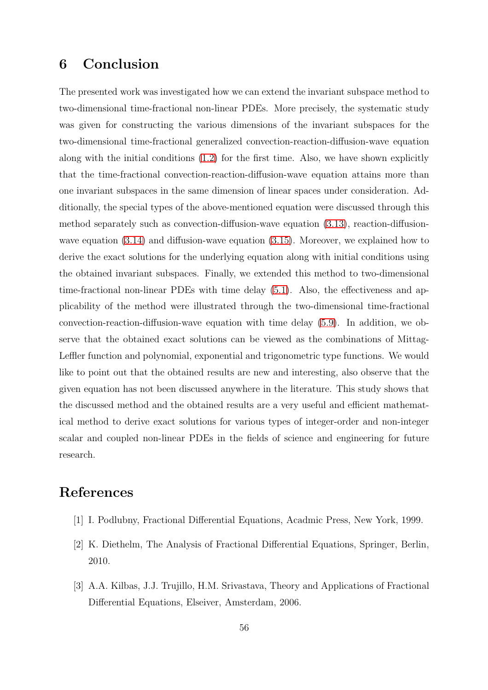#### 6 Conclusion

The presented work was investigated how we can extend the invariant subspace method to two-dimensional time-fractional non-linear PDEs. More precisely, the systematic study was given for constructing the various dimensions of the invariant subspaces for the two-dimensional time-fractional generalized convection-reaction-diffusion-wave equation along with the initial conditions [\(1.2\)](#page-2-0) for the first time. Also, we have shown explicitly that the time-fractional convection-reaction-diffusion-wave equation attains more than one invariant subspaces in the same dimension of linear spaces under consideration. Additionally, the special types of the above-mentioned equation were discussed through this method separately such as convection-diffusion-wave equation [\(3.13\)](#page-27-0), reaction-diffusionwave equation  $(3.14)$  and diffusion-wave equation  $(3.15)$ . Moreover, we explained how to derive the exact solutions for the underlying equation along with initial conditions using the obtained invariant subspaces. Finally, we extended this method to two-dimensional time-fractional non-linear PDEs with time delay [\(5.1\)](#page-44-0). Also, the effectiveness and applicability of the method were illustrated through the two-dimensional time-fractional convection-reaction-diffusion-wave equation with time delay [\(5.9\)](#page-48-0). In addition, we observe that the obtained exact solutions can be viewed as the combinations of Mittag-Leffler function and polynomial, exponential and trigonometric type functions. We would like to point out that the obtained results are new and interesting, also observe that the given equation has not been discussed anywhere in the literature. This study shows that the discussed method and the obtained results are a very useful and efficient mathematical method to derive exact solutions for various types of integer-order and non-integer scalar and coupled non-linear PDEs in the fields of science and engineering for future research.

#### References

- <span id="page-55-0"></span>[1] I. Podlubny, Fractional Differential Equations, Acadmic Press, New York, 1999.
- <span id="page-55-1"></span>[2] K. Diethelm, The Analysis of Fractional Differential Equations, Springer, Berlin, 2010.
- [3] A.A. Kilbas, J.J. Trujillo, H.M. Srivastava, Theory and Applications of Fractional Differential Equations, Elseiver, Amsterdam, 2006.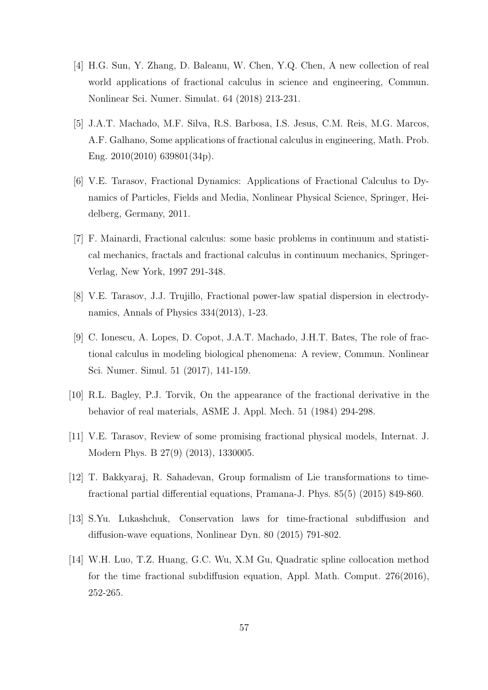- [4] H.G. Sun, Y. Zhang, D. Baleanu, W. Chen, Y.Q. Chen, A new collection of real world applications of fractional calculus in science and engineering, Commun. Nonlinear Sci. Numer. Simulat. 64 (2018) 213-231.
- [5] J.A.T. Machado, M.F. Silva, R.S. Barbosa, I.S. Jesus, C.M. Reis, M.G. Marcos, A.F. Galhano, Some applications of fractional calculus in engineering, Math. Prob. Eng. 2010(2010) 639801(34p).
- <span id="page-56-0"></span>[6] V.E. Tarasov, Fractional Dynamics: Applications of Fractional Calculus to Dynamics of Particles, Fields and Media, Nonlinear Physical Science, Springer, Heidelberg, Germany, 2011.
- <span id="page-56-1"></span>[7] F. Mainardi, Fractional calculus: some basic problems in continuum and statistical mechanics, fractals and fractional calculus in continuum mechanics, Springer-Verlag, New York, 1997 291-348.
- <span id="page-56-2"></span>[8] V.E. Tarasov, J.J. Trujillo, Fractional power-law spatial dispersion in electrodynamics, Annals of Physics 334(2013), 1-23.
- <span id="page-56-3"></span>[9] C. Ionescu, A. Lopes, D. Copot, J.A.T. Machado, J.H.T. Bates, The role of fractional calculus in modeling biological phenomena: A review, Commun. Nonlinear Sci. Numer. Simul. 51 (2017), 141-159.
- <span id="page-56-4"></span>[10] R.L. Bagley, P.J. Torvik, On the appearance of the fractional derivative in the behavior of real materials, ASME J. Appl. Mech. 51 (1984) 294-298.
- <span id="page-56-5"></span>[11] V.E. Tarasov, Review of some promising fractional physical models, Internat. J. Modern Phys. B 27(9) (2013), 1330005.
- <span id="page-56-6"></span>[12] T. Bakkyaraj, R. Sahadevan, Group formalism of Lie transformations to timefractional partial differential equations, Pramana-J. Phys. 85(5) (2015) 849-860.
- <span id="page-56-7"></span>[13] S.Yu. Lukashchuk, Conservation laws for time-fractional subdiffusion and diffusion-wave equations, Nonlinear Dyn. 80 (2015) 791-802.
- <span id="page-56-8"></span>[14] W.H. Luo, T.Z. Huang, G.C. Wu, X.M Gu, Quadratic spline collocation method for the time fractional subdiffusion equation, Appl. Math. Comput. 276(2016), 252-265.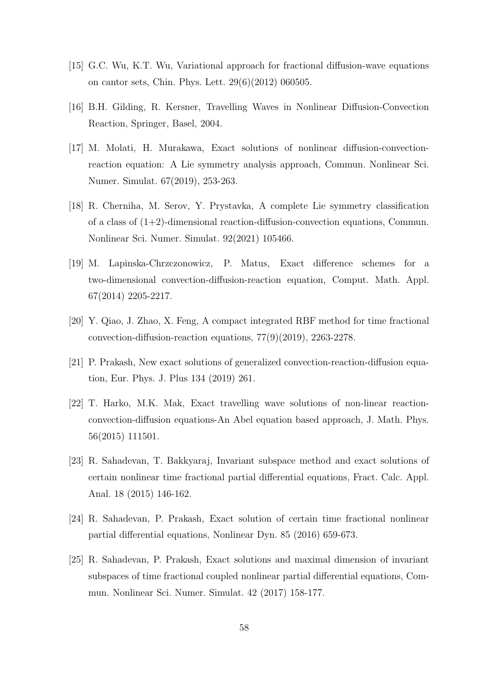- <span id="page-57-0"></span>[15] G.C. Wu, K.T. Wu, Variational approach for fractional diffusion-wave equations on cantor sets, Chin. Phys. Lett. 29(6)(2012) 060505.
- <span id="page-57-1"></span>[16] B.H. Gilding, R. Kersner, Travelling Waves in Nonlinear Diffusion-Convection Reaction, Springer, Basel, 2004.
- [17] M. Molati, H. Murakawa, Exact solutions of nonlinear diffusion-convectionreaction equation: A Lie symmetry analysis approach, Commun. Nonlinear Sci. Numer. Simulat. 67(2019), 253-263.
- [18] R. Cherniha, M. Serov, Y. Prystavka, A complete Lie symmetry classification of a class of  $(1+2)$ -dimensional reaction-diffusion-convection equations, Commun. Nonlinear Sci. Numer. Simulat. 92(2021) 105466.
- [19] M. Lapinska-Chrzczonowicz, P. Matus, Exact difference schemes for a two-dimensional convection-diffusion-reaction equation, Comput. Math. Appl. 67(2014) 2205-2217.
- [20] Y. Qiao, J. Zhao, X. Feng, A compact integrated RBF method for time fractional convection-diffusion-reaction equations, 77(9)(2019), 2263-2278.
- [21] P. Prakash, New exact solutions of generalized convection-reaction-diffusion equation, Eur. Phys. J. Plus 134 (2019) 261.
- <span id="page-57-2"></span>[22] T. Harko, M.K. Mak, Exact travelling wave solutions of non-linear reactionconvection-diffusion equations-An Abel equation based approach, J. Math. Phys. 56(2015) 111501.
- <span id="page-57-3"></span>[23] R. Sahadevan, T. Bakkyaraj, Invariant subspace method and exact solutions of certain nonlinear time fractional partial differential equations, Fract. Calc. Appl. Anal. 18 (2015) 146-162.
- [24] R. Sahadevan, P. Prakash, Exact solution of certain time fractional nonlinear partial differential equations, Nonlinear Dyn. 85 (2016) 659-673.
- [25] R. Sahadevan, P. Prakash, Exact solutions and maximal dimension of invariant subspaces of time fractional coupled nonlinear partial differential equations, Commun. Nonlinear Sci. Numer. Simulat. 42 (2017) 158-177.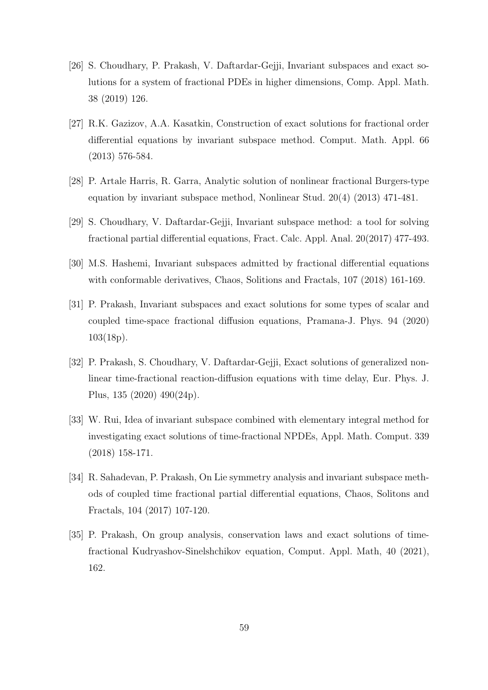- [26] S. Choudhary, P. Prakash, V. Daftardar-Gejji, Invariant subspaces and exact solutions for a system of fractional PDEs in higher dimensions, Comp. Appl. Math. 38 (2019) 126.
- [27] R.K. Gazizov, A.A. Kasatkin, Construction of exact solutions for fractional order differential equations by invariant subspace method. Comput. Math. Appl. 66 (2013) 576-584.
- [28] P. Artale Harris, R. Garra, Analytic solution of nonlinear fractional Burgers-type equation by invariant subspace method, Nonlinear Stud. 20(4) (2013) 471-481.
- [29] S. Choudhary, V. Daftardar-Gejji, Invariant subspace method: a tool for solving fractional partial differential equations, Fract. Calc. Appl. Anal. 20(2017) 477-493.
- [30] M.S. Hashemi, Invariant subspaces admitted by fractional differential equations with conformable derivatives, Chaos, Solitions and Fractals, 107 (2018) 161-169.
- [31] P. Prakash, Invariant subspaces and exact solutions for some types of scalar and coupled time-space fractional diffusion equations, Pramana-J. Phys. 94 (2020) 103(18p).
- [32] P. Prakash, S. Choudhary, V. Daftardar-Gejji, Exact solutions of generalized nonlinear time-fractional reaction-diffusion equations with time delay, Eur. Phys. J. Plus, 135 (2020) 490(24p).
- [33] W. Rui, Idea of invariant subspace combined with elementary integral method for investigating exact solutions of time-fractional NPDEs, Appl. Math. Comput. 339 (2018) 158-171.
- <span id="page-58-1"></span>[34] R. Sahadevan, P. Prakash, On Lie symmetry analysis and invariant subspace methods of coupled time fractional partial differential equations, Chaos, Solitons and Fractals, 104 (2017) 107-120.
- <span id="page-58-0"></span>[35] P. Prakash, On group analysis, conservation laws and exact solutions of timefractional Kudryashov-Sinelshchikov equation, Comput. Appl. Math, 40 (2021), 162.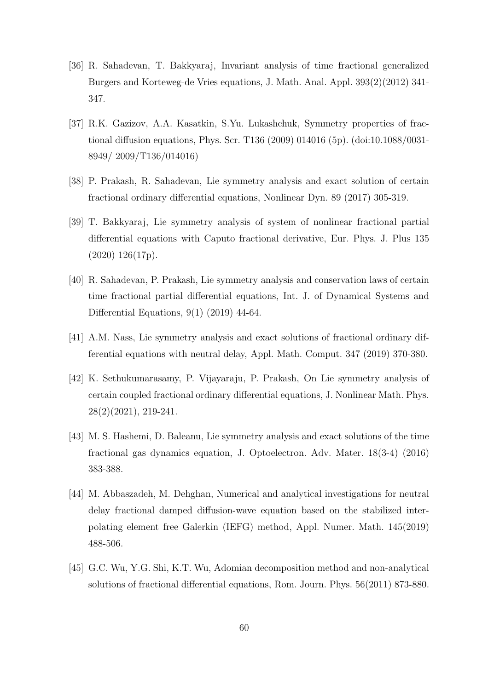- [36] R. Sahadevan, T. Bakkyaraj, Invariant analysis of time fractional generalized Burgers and Korteweg-de Vries equations, J. Math. Anal. Appl. 393(2)(2012) 341- 347.
- [37] R.K. Gazizov, A.A. Kasatkin, S.Yu. Lukashchuk, Symmetry properties of fractional diffusion equations, Phys. Scr. T136 (2009) 014016 (5p). (doi:10.1088/0031- 8949/ 2009/T136/014016)
- [38] P. Prakash, R. Sahadevan, Lie symmetry analysis and exact solution of certain fractional ordinary differential equations, Nonlinear Dyn. 89 (2017) 305-319.
- [39] T. Bakkyaraj, Lie symmetry analysis of system of nonlinear fractional partial differential equations with Caputo fractional derivative, Eur. Phys. J. Plus 135 (2020) 126(17p).
- [40] R. Sahadevan, P. Prakash, Lie symmetry analysis and conservation laws of certain time fractional partial differential equations, Int. J. of Dynamical Systems and Differential Equations, 9(1) (2019) 44-64.
- [41] A.M. Nass, Lie symmetry analysis and exact solutions of fractional ordinary differential equations with neutral delay, Appl. Math. Comput. 347 (2019) 370-380.
- [42] K. Sethukumarasamy, P. Vijayaraju, P. Prakash, On Lie symmetry analysis of certain coupled fractional ordinary differential equations, J. Nonlinear Math. Phys. 28(2)(2021), 219-241.
- <span id="page-59-0"></span>[43] M. S. Hashemi, D. Baleanu, Lie symmetry analysis and exact solutions of the time fractional gas dynamics equation, J. Optoelectron. Adv. Mater. 18(3-4) (2016) 383-388.
- <span id="page-59-1"></span>[44] M. Abbaszadeh, M. Dehghan, Numerical and analytical investigations for neutral delay fractional damped diffusion-wave equation based on the stabilized interpolating element free Galerkin (IEFG) method, Appl. Numer. Math. 145(2019) 488-506.
- <span id="page-59-2"></span>[45] G.C. Wu, Y.G. Shi, K.T. Wu, Adomian decomposition method and non-analytical solutions of fractional differential equations, Rom. Journ. Phys. 56(2011) 873-880.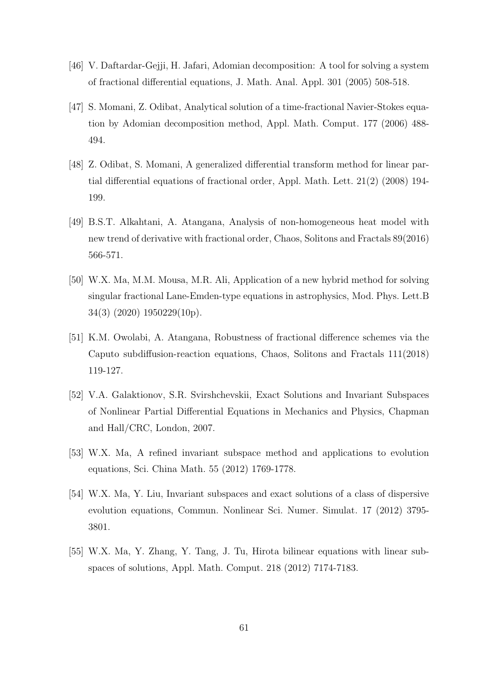- [46] V. Daftardar-Gejji, H. Jafari, Adomian decomposition: A tool for solving a system of fractional differential equations, J. Math. Anal. Appl. 301 (2005) 508-518.
- <span id="page-60-0"></span>[47] S. Momani, Z. Odibat, Analytical solution of a time-fractional Navier-Stokes equation by Adomian decomposition method, Appl. Math. Comput. 177 (2006) 488- 494.
- <span id="page-60-1"></span>[48] Z. Odibat, S. Momani, A generalized differential transform method for linear partial differential equations of fractional order, Appl. Math. Lett. 21(2) (2008) 194- 199.
- <span id="page-60-2"></span>[49] B.S.T. Alkahtani, A. Atangana, Analysis of non-homogeneous heat model with new trend of derivative with fractional order, Chaos, Solitons and Fractals 89(2016) 566-571.
- <span id="page-60-3"></span>[50] W.X. Ma, M.M. Mousa, M.R. Ali, Application of a new hybrid method for solving singular fractional Lane-Emden-type equations in astrophysics, Mod. Phys. Lett.B 34(3) (2020) 1950229(10p).
- <span id="page-60-4"></span>[51] K.M. Owolabi, A. Atangana, Robustness of fractional difference schemes via the Caputo subdiffusion-reaction equations, Chaos, Solitons and Fractals 111(2018) 119-127.
- <span id="page-60-5"></span>[52] V.A. Galaktionov, S.R. Svirshchevskii, Exact Solutions and Invariant Subspaces of Nonlinear Partial Differential Equations in Mechanics and Physics, Chapman and Hall/CRC, London, 2007.
- <span id="page-60-6"></span>[53] W.X. Ma, A refined invariant subspace method and applications to evolution equations, Sci. China Math. 55 (2012) 1769-1778.
- <span id="page-60-7"></span>[54] W.X. Ma, Y. Liu, Invariant subspaces and exact solutions of a class of dispersive evolution equations, Commun. Nonlinear Sci. Numer. Simulat. 17 (2012) 3795- 3801.
- [55] W.X. Ma, Y. Zhang, Y. Tang, J. Tu, Hirota bilinear equations with linear subspaces of solutions, Appl. Math. Comput. 218 (2012) 7174-7183.